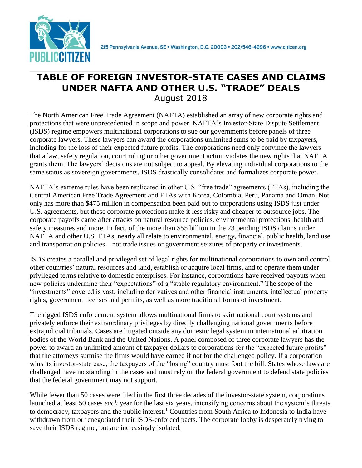

#### **TABLE OF FOREIGN INVESTOR-STATE CASES AND CLAIMS UNDER NAFTA AND OTHER U.S. "TRADE" DEALS** August 2018

The North American Free Trade Agreement (NAFTA) established an array of new corporate rights and protections that were unprecedented in scope and power. NAFTA's Investor-State Dispute Settlement (ISDS) regime empowers multinational corporations to sue our governments before panels of three corporate lawyers. These lawyers can award the corporations unlimited sums to be paid by taxpayers, including for the loss of their expected future profits. The corporations need only convince the lawyers that a law, safety regulation, court ruling or other government action violates the new rights that NAFTA grants them. The lawyers' decisions are not subject to appeal. By elevating individual corporations to the same status as sovereign governments, ISDS drastically consolidates and formalizes corporate power.

NAFTA's extreme rules have been replicated in other U.S. "free trade" agreements (FTAs), including the Central American Free Trade Agreement and FTAs with Korea, Colombia, Peru, Panama and Oman. Not only has more than \$475 million in compensation been paid out to corporations using ISDS just under U.S. agreements, but these corporate protections make it less risky and cheaper to outsource jobs. The corporate payoffs came after attacks on natural resource policies, environmental protections, health and safety measures and more. In fact, of the more than \$55 billion in the 23 pending ISDS claims under NAFTA and other U.S. FTAs, nearly all relate to environmental, energy, financial, public health, land use and transportation policies – not trade issues or government seizures of property or investments.

ISDS creates a parallel and privileged set of legal rights for multinational corporations to own and control other countries' natural resources and land, establish or acquire local firms, and to operate them under privileged terms relative to domestic enterprises. For instance, corporations have received payouts when new policies undermine their "expectations" of a "stable regulatory environment." The scope of the "investments" covered is vast, including derivatives and other financial instruments, intellectual property rights, government licenses and permits, as well as more traditional forms of investment.

The rigged ISDS enforcement system allows multinational firms to skirt national court systems and privately enforce their extraordinary privileges by directly challenging national governments before extrajudicial tribunals. Cases are litigated outside any domestic legal system in international arbitration bodies of the World Bank and the United Nations. A panel composed of three corporate lawyers has the power to award an unlimited amount of taxpayer dollars to corporations for the "expected future profits" that the attorneys surmise the firms would have earned if not for the challenged policy. If a corporation wins its investor-state case, the taxpayers of the "losing" country must foot the bill. States whose laws are challenged have no standing in the cases and must rely on the federal government to defend state policies that the federal government may not support.

While fewer than 50 cases were filed in the first three decades of the investor-state system, corporations launched at least 50 cases *each* year for the last six years, intensifying concerns about the system's threats to democracy, taxpayers and the public interest.<sup>1</sup> Countries from South Africa to Indonesia to India have withdrawn from or renegotiated their ISDS-enforced pacts. The corporate lobby is desperately trying to save their ISDS regime, but are increasingly isolated.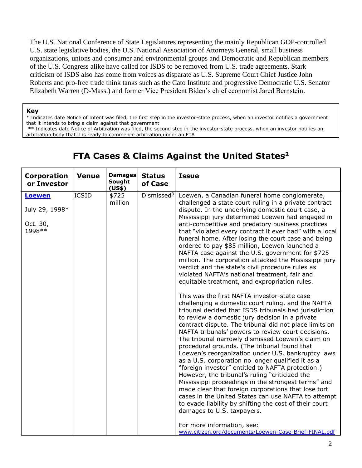The U.S. National Conference of State Legislatures representing the mainly Republican GOP-controlled U.S. state legislative bodies, the U.S. National Association of Attorneys General, small business organizations, unions and consumer and environmental groups and Democratic and Republican members of the U.S. Congress alike have called for ISDS to be removed from U.S. trade agreements. Stark criticism of ISDS also has come from voices as disparate as U.S. Supreme Court Chief Justice John Roberts and pro-free trade think tanks such as the Cato Institute and progressive Democratic [U.S. Senator](https://www.washingtonpost.com/opinions/kill-the-dispute-settlement-language-in-the-trans-pacific-partnership/2015/02/25/ec7705a2-bd1e-11e4-b274-e5209a3bc9a9_story.html?utm_term=.47af96643032)  [Elizabeth Warren \(D-Mass.\)](https://www.washingtonpost.com/opinions/kill-the-dispute-settlement-language-in-the-trans-pacific-partnership/2015/02/25/ec7705a2-bd1e-11e4-b274-e5209a3bc9a9_story.html?utm_term=.47af96643032) and former Vice President Biden's chief economist Jared Bernstein.

#### **Key**

\* Indicates date Notice of Intent was filed, the first step in the investor-state process, when an investor notifies a government that it intends to bring a claim against that government

\*\* Indicates date Notice of Arbitration was filed, the second step in the investor-state process, when an investor notifies an arbitration body that it is ready to commence arbitration under an FTA

| <b>Corporation</b><br>or Investor                      | <b>Venue</b> | <b>Damages</b><br>Sought   | <b>Status</b><br>of Case | <b>Issue</b>                                                                                                                                                                                                                                                                                                                                                                                                                                                                                                                                                                                                                                                                                                                                                                                                                                                                                                                                                                                                                                                                                                                                                                                                                                                                                                                                                                                                                                                                                                                                |
|--------------------------------------------------------|--------------|----------------------------|--------------------------|---------------------------------------------------------------------------------------------------------------------------------------------------------------------------------------------------------------------------------------------------------------------------------------------------------------------------------------------------------------------------------------------------------------------------------------------------------------------------------------------------------------------------------------------------------------------------------------------------------------------------------------------------------------------------------------------------------------------------------------------------------------------------------------------------------------------------------------------------------------------------------------------------------------------------------------------------------------------------------------------------------------------------------------------------------------------------------------------------------------------------------------------------------------------------------------------------------------------------------------------------------------------------------------------------------------------------------------------------------------------------------------------------------------------------------------------------------------------------------------------------------------------------------------------|
| <b>Loewen</b><br>July 29, 1998*<br>Oct. 30,<br>1998 ** | <b>ICSID</b> | (US\$)<br>\$725<br>million | Dismissed <sup>3</sup>   | Loewen, a Canadian funeral home conglomerate,<br>challenged a state court ruling in a private contract<br>dispute. In the underlying domestic court case, a<br>Mississippi jury determined Loewen had engaged in<br>anti-competitive and predatory business practices<br>that "violated every contract it ever had" with a local<br>funeral home. After losing the court case and being<br>ordered to pay \$85 million, Loewen launched a<br>NAFTA case against the U.S. government for \$725<br>million. The corporation attacked the Mississippi jury<br>verdict and the state's civil procedure rules as<br>violated NAFTA's national treatment, fair and<br>equitable treatment, and expropriation rules.<br>This was the first NAFTA investor-state case<br>challenging a domestic court ruling, and the NAFTA<br>tribunal decided that ISDS tribunals had jurisdiction<br>to review a domestic jury decision in a private<br>contract dispute. The tribunal did not place limits on<br>NAFTA tribunals' powers to review court decisions.<br>The tribunal narrowly dismissed Loewen's claim on<br>procedural grounds. (The tribunal found that<br>Loewen's reorganization under U.S. bankruptcy laws<br>as a U.S. corporation no longer qualified it as a<br>"foreign investor" entitled to NAFTA protection.)<br>However, the tribunal's ruling "criticized the<br>Mississippi proceedings in the strongest terms" and<br>made clear that foreign corporations that lose tort<br>cases in the United States can use NAFTA to attempt |
|                                                        |              |                            |                          | to evade liability by shifting the cost of their court<br>damages to U.S. taxpayers.<br>For more information, see:<br>www.citizen.org/documents/Loewen-Case-Brief-FINAL.pdf                                                                                                                                                                                                                                                                                                                                                                                                                                                                                                                                                                                                                                                                                                                                                                                                                                                                                                                                                                                                                                                                                                                                                                                                                                                                                                                                                                 |

#### **FTA Cases & Claims Against the United States<sup>2</sup>**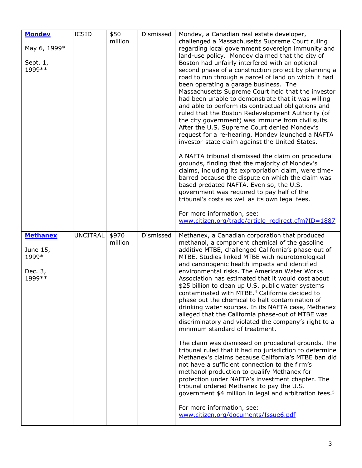| <b>Mondey</b><br>May 6, 1999*<br>Sept. 1,<br>1999 **       | <b>ICSID</b>    | \$50<br>million  | Dismissed | Mondev, a Canadian real estate developer,<br>challenged a Massachusetts Supreme Court ruling<br>regarding local government sovereign immunity and<br>land-use policy. Mondev claimed that the city of<br>Boston had unfairly interfered with an optional<br>second phase of a construction project by planning a<br>road to run through a parcel of land on which it had<br>been operating a garage business. The<br>Massachusetts Supreme Court held that the investor<br>had been unable to demonstrate that it was willing<br>and able to perform its contractual obligations and<br>ruled that the Boston Redevelopment Authority (of<br>the city government) was immune from civil suits.<br>After the U.S. Supreme Court denied Mondev's<br>request for a re-hearing, Mondev launched a NAFTA<br>investor-state claim against the United States.<br>A NAFTA tribunal dismissed the claim on procedural<br>grounds, finding that the majority of Mondev's<br>claims, including its expropriation claim, were time-<br>barred because the dispute on which the claim was<br>based predated NAFTA. Even so, the U.S.<br>government was required to pay half of the<br>tribunal's costs as well as its own legal fees.<br>For more information, see:                                                                       |
|------------------------------------------------------------|-----------------|------------------|-----------|------------------------------------------------------------------------------------------------------------------------------------------------------------------------------------------------------------------------------------------------------------------------------------------------------------------------------------------------------------------------------------------------------------------------------------------------------------------------------------------------------------------------------------------------------------------------------------------------------------------------------------------------------------------------------------------------------------------------------------------------------------------------------------------------------------------------------------------------------------------------------------------------------------------------------------------------------------------------------------------------------------------------------------------------------------------------------------------------------------------------------------------------------------------------------------------------------------------------------------------------------------------------------------------------------------------------------|
| <b>Methanex</b><br>June 15,<br>1999*<br>Dec. 3,<br>1999 ** | <b>UNCITRAL</b> | \$970<br>million | Dismissed | www.citizen.org/trade/article redirect.cfm?ID=1887<br>Methanex, a Canadian corporation that produced<br>methanol, a component chemical of the gasoline<br>additive MTBE, challenged California's phase-out of<br>MTBE. Studies linked MTBE with neurotoxological<br>and carcinogenic health impacts and identified<br>environmental risks. The American Water Works<br>Association has estimated that it would cost about<br>\$25 billion to clean up U.S. public water systems<br>contaminated with MTBE. <sup>4</sup> California decided to<br>phase out the chemical to halt contamination of<br>drinking water sources. In its NAFTA case, Methanex<br>alleged that the California phase-out of MTBE was<br>discriminatory and violated the company's right to a<br>minimum standard of treatment.<br>The claim was dismissed on procedural grounds. The<br>tribunal ruled that it had no jurisdiction to determine<br>Methanex's claims because California's MTBE ban did<br>not have a sufficient connection to the firm's<br>methanol production to qualify Methanex for<br>protection under NAFTA's investment chapter. The<br>tribunal ordered Methanex to pay the U.S.<br>government \$4 million in legal and arbitration fees. <sup>5</sup><br>For more information, see:<br>www.citizen.org/documents/Issue6.pdf |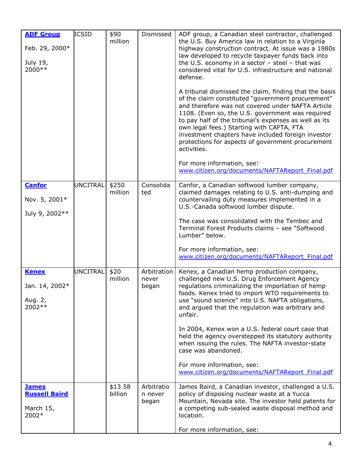| <b>ADF Group</b><br>Feb. 29, 2000*<br>July 19,<br>2000**   | <b>ICSID</b>    | \$90<br>million    | Dismissed                      | ADF group, a Canadian steel contractor, challenged<br>the U.S. Buy America law in relation to a Virginia<br>highway construction contract. At issue was a 1980s<br>law developed to recycle taxpayer funds back into<br>the U.S. economy in a sector $-$ steel $-$ that was<br>considered vital for U.S. infrastructure and national<br>defense.<br>A tribunal dismissed the claim, finding that the basis<br>of the claim constituted "government procurement"<br>and therefore was not covered under NAFTA Article<br>1108. (Even so, the U.S. government was required<br>to pay half of the tribunal's expenses as well as its<br>own legal fees.) Starting with CAFTA, FTA<br>investment chapters have included foreign investor<br>protections for aspects of government procurement<br>activities.<br>For more information, see:<br>www.citizen.org/documents/NAFTAReport Final.pdf |
|------------------------------------------------------------|-----------------|--------------------|--------------------------------|-------------------------------------------------------------------------------------------------------------------------------------------------------------------------------------------------------------------------------------------------------------------------------------------------------------------------------------------------------------------------------------------------------------------------------------------------------------------------------------------------------------------------------------------------------------------------------------------------------------------------------------------------------------------------------------------------------------------------------------------------------------------------------------------------------------------------------------------------------------------------------------------|
| <b>Canfor</b><br>Nov. 5, 2001*<br>July 9, 2002**           | <b>UNCITRAL</b> | \$250<br>million   | Consolida<br>ted               | Canfor, a Canadian softwood lumber company,<br>claimed damages relating to U.S. anti-dumping and<br>countervailing duty measures implemented in a<br>U.S.-Canada softwood lumber dispute.<br>The case was consolidated with the Tembec and<br>Terminal Forest Products claims - see "Softwood<br>Lumber" below.<br>For more information, see:<br>www.citizen.org/documents/NAFTAReport Final.pdf                                                                                                                                                                                                                                                                                                                                                                                                                                                                                          |
| <b>Kenex</b><br>Jan. 14, 2002*<br>Aug. 2,<br>2002 **       | <b>UNCITRAL</b> | \$20<br>million    | Arbitration<br>never<br>began  | Kenex, a Canadian hemp production company,<br>challenged new U.S. Drug Enforcement Agency<br>regulations criminalizing the importation of hemp<br>foods. Kenex tried to import WTO requirements to<br>use "sound science" into U.S. NAFTA obligations,<br>and argued that the regulation was arbitrary and<br>unfair.<br>In 2004, Kenex won a U.S. federal court case that<br>held the agency overstepped its statutory authority<br>when issuing the rules. The NAFTA investor-state<br>case was abandoned.<br>For more information, see:<br>www.citizen.org/documents/NAFTAReport Final.pdf                                                                                                                                                                                                                                                                                             |
| <b>James</b><br><b>Russell Baird</b><br>March 15,<br>2002* |                 | \$13.58<br>billion | Arbitratio<br>n never<br>began | James Baird, a Canadian investor, challenged a U.S.<br>policy of disposing nuclear waste at a Yucca<br>Mountain, Nevada site. The investor held patents for<br>a competing sub-sealed waste disposal method and<br>location.<br>For more information, see:                                                                                                                                                                                                                                                                                                                                                                                                                                                                                                                                                                                                                                |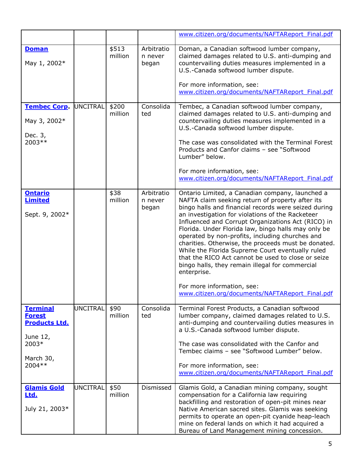|                              |                 |                  |                                | www.citizen.org/documents/NAFTAReport Final.pdf                                                                                                                                                                                                                            |
|------------------------------|-----------------|------------------|--------------------------------|----------------------------------------------------------------------------------------------------------------------------------------------------------------------------------------------------------------------------------------------------------------------------|
| <b>Doman</b><br>May 1, 2002* |                 | \$513<br>million | Arbitratio<br>n never<br>began | Doman, a Canadian softwood lumber company,<br>claimed damages related to U.S. anti-dumping and<br>countervailing duties measures implemented in a<br>U.S.-Canada softwood lumber dispute.<br>For more information, see:<br>www.citizen.org/documents/NAFTAReport Final.pdf |
| <b>Tembec Corp.</b>          | <b>UNCITRAL</b> | \$200            | Consolida                      | Tembec, a Canadian softwood lumber company,                                                                                                                                                                                                                                |
| May 3, 2002*                 |                 | million          | ted                            | claimed damages related to U.S. anti-dumping and<br>countervailing duties measures implemented in a<br>U.S.-Canada softwood lumber dispute.                                                                                                                                |
| Dec. 3,                      |                 |                  |                                |                                                                                                                                                                                                                                                                            |
| 2003 **                      |                 |                  |                                | The case was consolidated with the Terminal Forest<br>Products and Canfor claims - see "Softwood<br>Lumber" below.                                                                                                                                                         |
|                              |                 |                  |                                | For more information, see:                                                                                                                                                                                                                                                 |
|                              |                 |                  |                                | www.citizen.org/documents/NAFTAReport Final.pdf                                                                                                                                                                                                                            |
| <b>Ontario</b>               |                 | \$38             | Arbitratio                     | Ontario Limited, a Canadian company, launched a                                                                                                                                                                                                                            |
| <b>Limited</b>               |                 | million          | n never                        | NAFTA claim seeking return of property after its                                                                                                                                                                                                                           |
| Sept. 9, 2002*               |                 |                  | began                          | bingo halls and financial records were seized during<br>an investigation for violations of the Racketeer                                                                                                                                                                   |
|                              |                 |                  |                                | Influenced and Corrupt Organizations Act (RICO) in                                                                                                                                                                                                                         |
|                              |                 |                  |                                | Florida. Under Florida law, bingo halls may only be                                                                                                                                                                                                                        |
|                              |                 |                  |                                | operated by non-profits, including churches and<br>charities. Otherwise, the proceeds must be donated.                                                                                                                                                                     |
|                              |                 |                  |                                | While the Florida Supreme Court eventually ruled                                                                                                                                                                                                                           |
|                              |                 |                  |                                | that the RICO Act cannot be used to close or seize                                                                                                                                                                                                                         |
|                              |                 |                  |                                | bingo halls, they remain illegal for commercial                                                                                                                                                                                                                            |
|                              |                 |                  |                                | enterprise.                                                                                                                                                                                                                                                                |
|                              |                 |                  |                                | For more information, see:                                                                                                                                                                                                                                                 |
|                              |                 |                  |                                | www.citizen.org/documents/NAFTAReport Final.pdf                                                                                                                                                                                                                            |
| <b>Terminal</b>              | <b>UNCITRAL</b> | \$90             | Consolida                      | Terminal Forest Products, a Canadian softwood                                                                                                                                                                                                                              |
| <b>Forest</b>                |                 | million          | ted                            | lumber company, claimed damages related to U.S.                                                                                                                                                                                                                            |
| <b>Products Ltd.</b>         |                 |                  |                                | anti-dumping and countervailing duties measures in                                                                                                                                                                                                                         |
| June 12,                     |                 |                  |                                | a U.S.-Canada softwood lumber dispute.                                                                                                                                                                                                                                     |
| 2003*                        |                 |                  |                                | The case was consolidated with the Canfor and                                                                                                                                                                                                                              |
|                              |                 |                  |                                | Tembec claims - see "Softwood Lumber" below.                                                                                                                                                                                                                               |
| March 30,<br>2004 **         |                 |                  |                                | For more information, see:                                                                                                                                                                                                                                                 |
|                              |                 |                  |                                | www.citizen.org/documents/NAFTAReport Final.pdf                                                                                                                                                                                                                            |
|                              |                 |                  |                                |                                                                                                                                                                                                                                                                            |
| <b>Glamis Gold</b>           | <b>UNCITRAL</b> | \$50             | Dismissed                      | Glamis Gold, a Canadian mining company, sought                                                                                                                                                                                                                             |
| Ltd.                         |                 | million          |                                | compensation for a California law requiring<br>backfilling and restoration of open-pit mines near                                                                                                                                                                          |
| July 21, 2003*               |                 |                  |                                | Native American sacred sites. Glamis was seeking                                                                                                                                                                                                                           |
|                              |                 |                  |                                | permits to operate an open-pit cyanide heap-leach                                                                                                                                                                                                                          |
|                              |                 |                  |                                | mine on federal lands on which it had acquired a<br>Bureau of Land Management mining concession.                                                                                                                                                                           |
|                              |                 |                  |                                |                                                                                                                                                                                                                                                                            |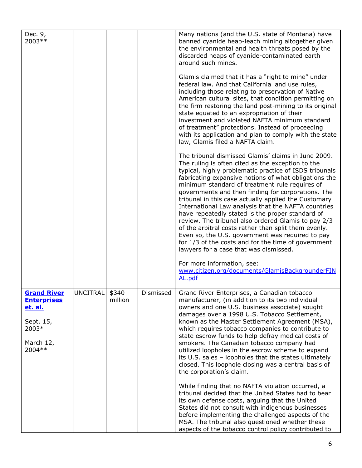| Dec. 9,<br>2003**                                                                                        |                 |                  |           | Many nations (and the U.S. state of Montana) have<br>banned cyanide heap-leach mining altogether given                                                                                                                                                                                                                                                                                                                                                                                                                                                                                                                                                                                                                                                                                                   |
|----------------------------------------------------------------------------------------------------------|-----------------|------------------|-----------|----------------------------------------------------------------------------------------------------------------------------------------------------------------------------------------------------------------------------------------------------------------------------------------------------------------------------------------------------------------------------------------------------------------------------------------------------------------------------------------------------------------------------------------------------------------------------------------------------------------------------------------------------------------------------------------------------------------------------------------------------------------------------------------------------------|
|                                                                                                          |                 |                  |           | the environmental and health threats posed by the<br>discarded heaps of cyanide-contaminated earth<br>around such mines.                                                                                                                                                                                                                                                                                                                                                                                                                                                                                                                                                                                                                                                                                 |
|                                                                                                          |                 |                  |           | Glamis claimed that it has a "right to mine" under<br>federal law. And that California land use rules,<br>including those relating to preservation of Native<br>American cultural sites, that condition permitting on<br>the firm restoring the land post-mining to its original<br>state equated to an expropriation of their<br>investment and violated NAFTA minimum standard<br>of treatment" protections. Instead of proceeding<br>with its application and plan to comply with the state<br>law, Glamis filed a NAFTA claim.                                                                                                                                                                                                                                                                       |
|                                                                                                          |                 |                  |           | The tribunal dismissed Glamis' claims in June 2009.<br>The ruling is often cited as the exception to the<br>typical, highly problematic practice of ISDS tribunals<br>fabricating expansive notions of what obligations the<br>minimum standard of treatment rule requires of<br>governments and then finding for corporations. The<br>tribunal in this case actually applied the Customary<br>International Law analysis that the NAFTA countries<br>have repeatedly stated is the proper standard of<br>review. The tribunal also ordered Glamis to pay 2/3<br>of the arbitral costs rather than split them evenly.<br>Even so, the U.S. government was required to pay<br>for 1/3 of the costs and for the time of government<br>lawyers for a case that was dismissed.<br>For more information, see: |
|                                                                                                          |                 |                  |           | www.citizen.org/documents/GlamisBackgrounderFIN<br>AL.pdf                                                                                                                                                                                                                                                                                                                                                                                                                                                                                                                                                                                                                                                                                                                                                |
| <b>Grand River</b><br><b>Enterprises</b><br><u>et. al.</u><br>Sept. 15,<br>2003*<br>March 12,<br>2004 ** | <b>UNCITRAL</b> | \$340<br>million | Dismissed | Grand River Enterprises, a Canadian tobacco<br>manufacturer, (in addition to its two individual<br>owners and one U.S. business associate) sought<br>damages over a 1998 U.S. Tobacco Settlement,<br>known as the Master Settlement Agreement (MSA),<br>which requires tobacco companies to contribute to<br>state escrow funds to help defray medical costs of<br>smokers. The Canadian tobacco company had<br>utilized loopholes in the escrow scheme to expand<br>its U.S. sales - loopholes that the states ultimately<br>closed. This loophole closing was a central basis of<br>the corporation's claim.                                                                                                                                                                                           |
|                                                                                                          |                 |                  |           | While finding that no NAFTA violation occurred, a<br>tribunal decided that the United States had to bear<br>its own defense costs, arguing that the United<br>States did not consult with indigenous businesses<br>before implementing the challenged aspects of the<br>MSA. The tribunal also questioned whether these<br>aspects of the tobacco control policy contributed to                                                                                                                                                                                                                                                                                                                                                                                                                          |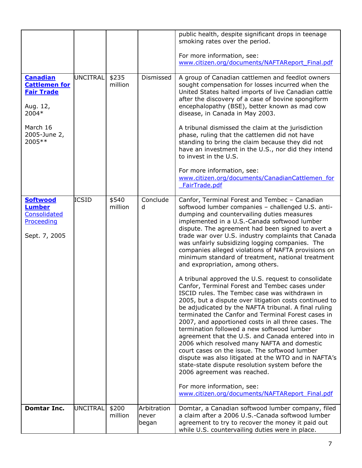|                                                                                 |                 |                  |                               | public health, despite significant drops in teenage<br>smoking rates over the period.                                                                                                                                                                                                                                                                                                                                                                                                                                                                                                                                                                                                                                                                              |
|---------------------------------------------------------------------------------|-----------------|------------------|-------------------------------|--------------------------------------------------------------------------------------------------------------------------------------------------------------------------------------------------------------------------------------------------------------------------------------------------------------------------------------------------------------------------------------------------------------------------------------------------------------------------------------------------------------------------------------------------------------------------------------------------------------------------------------------------------------------------------------------------------------------------------------------------------------------|
|                                                                                 |                 |                  |                               | For more information, see:<br>www.citizen.org/documents/NAFTAReport Final.pdf                                                                                                                                                                                                                                                                                                                                                                                                                                                                                                                                                                                                                                                                                      |
| <b>Canadian</b><br><b>Cattlemen for</b><br><b>Fair Trade</b>                    | <b>UNCITRAL</b> | \$235<br>million | Dismissed                     | A group of Canadian cattlemen and feedlot owners<br>sought compensation for losses incurred when the<br>United States halted imports of live Canadian cattle                                                                                                                                                                                                                                                                                                                                                                                                                                                                                                                                                                                                       |
| Aug. 12,<br>2004*                                                               |                 |                  |                               | after the discovery of a case of bovine spongiform<br>encephalopathy (BSE), better known as mad cow<br>disease, in Canada in May 2003.                                                                                                                                                                                                                                                                                                                                                                                                                                                                                                                                                                                                                             |
| March 16<br>2005-June 2,<br>2005**                                              |                 |                  |                               | A tribunal dismissed the claim at the jurisdiction<br>phase, ruling that the cattlemen did not have<br>standing to bring the claim because they did not<br>have an investment in the U.S., nor did they intend<br>to invest in the U.S.                                                                                                                                                                                                                                                                                                                                                                                                                                                                                                                            |
|                                                                                 |                 |                  |                               | For more information, see:<br>www.citizen.org/documents/CanadianCattlemen for<br>FairTrade.pdf                                                                                                                                                                                                                                                                                                                                                                                                                                                                                                                                                                                                                                                                     |
| <b>Softwood</b><br><b>Lumber</b><br>Consolidated<br>Proceeding<br>Sept. 7, 2005 | <b>ICSID</b>    | \$540<br>million | Conclude<br>d                 | Canfor, Terminal Forest and Tembec - Canadian<br>softwood lumber companies - challenged U.S. anti-<br>dumping and countervailing duties measures<br>implemented in a U.S.-Canada softwood lumber<br>dispute. The agreement had been signed to avert a<br>trade war over U.S. industry complaints that Canada<br>was unfairly subsidizing logging companies. The<br>companies alleged violations of NAFTA provisions on<br>minimum standard of treatment, national treatment<br>and expropriation, among others.                                                                                                                                                                                                                                                    |
|                                                                                 |                 |                  |                               | A tribunal approved the U.S. request to consolidate<br>Canfor, Terminal Forest and Tembec cases under<br>ISCID rules. The Tembec case was withdrawn in<br>2005, but a dispute over litigation costs continued to<br>be adjudicated by the NAFTA tribunal. A final ruling<br>terminated the Canfor and Terminal Forest cases in<br>2007, and apportioned costs in all three cases. The<br>termination followed a new softwood lumber<br>agreement that the U.S. and Canada entered into in<br>2006 which resolved many NAFTA and domestic<br>court cases on the issue. The softwood lumber<br>dispute was also litigated at the WTO and in NAFTA's<br>state-state dispute resolution system before the<br>2006 agreement was reached.<br>For more information, see: |
|                                                                                 |                 |                  |                               | www.citizen.org/documents/NAFTAReport Final.pdf                                                                                                                                                                                                                                                                                                                                                                                                                                                                                                                                                                                                                                                                                                                    |
| <b>Domtar Inc.</b>                                                              | <b>UNCITRAL</b> | \$200<br>million | Arbitration<br>never<br>began | Domtar, a Canadian softwood lumber company, filed<br>a claim after a 2006 U.S.-Canada softwood lumber<br>agreement to try to recover the money it paid out<br>while U.S. countervailing duties were in place.                                                                                                                                                                                                                                                                                                                                                                                                                                                                                                                                                      |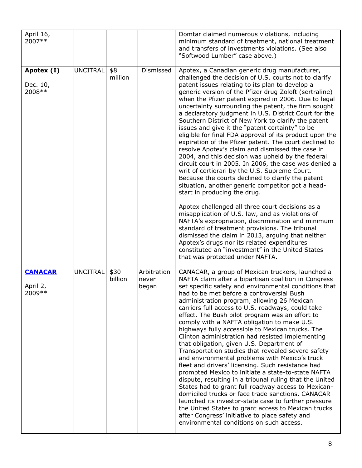| April 16,<br>2007**                   |                 |                 |                               | Domtar claimed numerous violations, including<br>minimum standard of treatment, national treatment<br>and transfers of investments violations. (See also<br>"Softwood Lumber" case above.)                                                                                                                                                                                                                                                                                                                                                                                                                                                                                                                                                                                                                                                                                                                                                                                                                                                                                                                                                                                                                                                                                                                                                                                                        |
|---------------------------------------|-----------------|-----------------|-------------------------------|---------------------------------------------------------------------------------------------------------------------------------------------------------------------------------------------------------------------------------------------------------------------------------------------------------------------------------------------------------------------------------------------------------------------------------------------------------------------------------------------------------------------------------------------------------------------------------------------------------------------------------------------------------------------------------------------------------------------------------------------------------------------------------------------------------------------------------------------------------------------------------------------------------------------------------------------------------------------------------------------------------------------------------------------------------------------------------------------------------------------------------------------------------------------------------------------------------------------------------------------------------------------------------------------------------------------------------------------------------------------------------------------------|
| Apotex (I)<br>Dec. 10,<br>2008 **     | <b>UNCITRAL</b> | \$8<br>million  | Dismissed                     | Apotex, a Canadian generic drug manufacturer,<br>challenged the decision of U.S. courts not to clarify<br>patent issues relating to its plan to develop a<br>generic version of the Pfizer drug Zoloft (sertraline)<br>when the Pfizer patent expired in 2006. Due to legal<br>uncertainty surrounding the patent, the firm sought<br>a declaratory judgment in U.S. District Court for the<br>Southern District of New York to clarify the patent<br>issues and give it the "patent certainty" to be<br>eligible for final FDA approval of its product upon the<br>expiration of the Pfizer patent. The court declined to<br>resolve Apotex's claim and dismissed the case in<br>2004, and this decision was upheld by the federal<br>circuit court in 2005. In 2006, the case was denied a<br>writ of certiorari by the U.S. Supreme Court.<br>Because the courts declined to clarify the patent<br>situation, another generic competitor got a head-<br>start in producing the drug.<br>Apotex challenged all three court decisions as a<br>misapplication of U.S. law, and as violations of<br>NAFTA's expropriation, discrimination and minimum<br>standard of treatment provisions. The tribunal<br>dismissed the claim in 2013, arguing that neither<br>Apotex's drugs nor its related expenditures<br>constituted an "investment" in the United States<br>that was protected under NAFTA. |
| <b>CANACAR</b><br>April 2,<br>2009 ** | <b>UNCITRAL</b> | \$30<br>billion | Arbitration<br>never<br>began | CANACAR, a group of Mexican truckers, launched a<br>NAFTA claim after a bipartisan coalition in Congress<br>set specific safety and environmental conditions that<br>had to be met before a controversial Bush<br>administration program, allowing 26 Mexican<br>carriers full access to U.S. roadways, could take<br>effect. The Bush pilot program was an effort to<br>comply with a NAFTA obligation to make U.S.<br>highways fully accessible to Mexican trucks. The<br>Clinton administration had resisted implementing<br>that obligation, given U.S. Department of<br>Transportation studies that revealed severe safety<br>and environmental problems with Mexico's truck<br>fleet and drivers' licensing. Such resistance had<br>prompted Mexico to initiate a state-to-state NAFTA<br>dispute, resulting in a tribunal ruling that the United<br>States had to grant full roadway access to Mexican-<br>domiciled trucks or face trade sanctions. CANACAR<br>launched its investor-state case to further pressure<br>the United States to grant access to Mexican trucks<br>after Congress' initiative to place safety and<br>environmental conditions on such access.                                                                                                                                                                                                                  |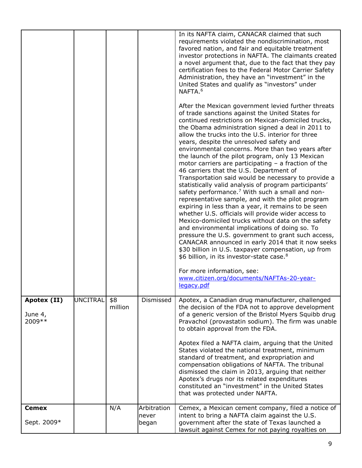|                                   |                 |                |                      | In its NAFTA claim, CANACAR claimed that such<br>requirements violated the nondiscrimination, most<br>favored nation, and fair and equitable treatment<br>investor protections in NAFTA. The claimants created<br>a novel argument that, due to the fact that they pay<br>certification fees to the Federal Motor Carrier Safety<br>Administration, they have an "investment" in the<br>United States and qualify as "investors" under<br>NAFTA. <sup>6</sup><br>After the Mexican government levied further threats<br>of trade sanctions against the United States for<br>continued restrictions on Mexican-domiciled trucks,<br>the Obama administration signed a deal in 2011 to<br>allow the trucks into the U.S. interior for three<br>years, despite the unresolved safety and<br>environmental concerns. More than two years after<br>the launch of the pilot program, only 13 Mexican<br>motor carriers are participating $-$ a fraction of the<br>46 carriers that the U.S. Department of<br>Transportation said would be necessary to provide a<br>statistically valid analysis of program participants'<br>safety performance. <sup>7</sup> With such a small and non-<br>representative sample, and with the pilot program<br>expiring in less than a year, it remains to be seen<br>whether U.S. officials will provide wider access to<br>Mexico-domiciled trucks without data on the safety<br>and environmental implications of doing so. To<br>pressure the U.S. government to grant such access,<br>CANACAR announced in early 2014 that it now seeks<br>\$30 billion in U.S. taxpayer compensation, up from<br>\$6 billion, in its investor-state case. <sup>8</sup><br>For more information, see:<br>www.citizen.org/documents/NAFTAs-20-year-<br>legacy.pdf |
|-----------------------------------|-----------------|----------------|----------------------|-----------------------------------------------------------------------------------------------------------------------------------------------------------------------------------------------------------------------------------------------------------------------------------------------------------------------------------------------------------------------------------------------------------------------------------------------------------------------------------------------------------------------------------------------------------------------------------------------------------------------------------------------------------------------------------------------------------------------------------------------------------------------------------------------------------------------------------------------------------------------------------------------------------------------------------------------------------------------------------------------------------------------------------------------------------------------------------------------------------------------------------------------------------------------------------------------------------------------------------------------------------------------------------------------------------------------------------------------------------------------------------------------------------------------------------------------------------------------------------------------------------------------------------------------------------------------------------------------------------------------------------------------------------------------------------------------------------------------------------------------------------------------------------|
| Apotex (II)<br>June 4,<br>2009 ** | <b>UNCITRAL</b> | \$8<br>million | Dismissed            | Apotex, a Canadian drug manufacturer, challenged<br>the decision of the FDA not to approve development<br>of a generic version of the Bristol Myers Squibb drug<br>Pravachol (provastatin sodium). The firm was unable<br>to obtain approval from the FDA.<br>Apotex filed a NAFTA claim, arguing that the United<br>States violated the national treatment, minimum<br>standard of treatment, and expropriation and<br>compensation obligations of NAFTA. The tribunal<br>dismissed the claim in 2013, arguing that neither<br>Apotex's drugs nor its related expenditures<br>constituted an "investment" in the United States<br>that was protected under NAFTA.                                                                                                                                                                                                                                                                                                                                                                                                                                                                                                                                                                                                                                                                                                                                                                                                                                                                                                                                                                                                                                                                                                                |
| <b>Cemex</b>                      |                 | N/A            | Arbitration<br>never | Cemex, a Mexican cement company, filed a notice of<br>intent to bring a NAFTA claim against the U.S.                                                                                                                                                                                                                                                                                                                                                                                                                                                                                                                                                                                                                                                                                                                                                                                                                                                                                                                                                                                                                                                                                                                                                                                                                                                                                                                                                                                                                                                                                                                                                                                                                                                                              |
| Sept. 2009*                       |                 |                | began                | government after the state of Texas launched a<br>lawsuit against Cemex for not paying royalties on                                                                                                                                                                                                                                                                                                                                                                                                                                                                                                                                                                                                                                                                                                                                                                                                                                                                                                                                                                                                                                                                                                                                                                                                                                                                                                                                                                                                                                                                                                                                                                                                                                                                               |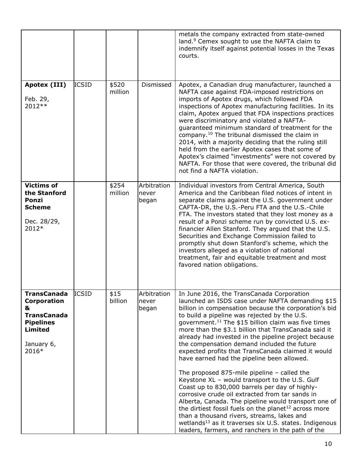|                                                                                                                    |              |                  |                               | metals the company extracted from state-owned<br>land. <sup>9</sup> Cemex sought to use the NAFTA claim to<br>indemnify itself against potential losses in the Texas<br>courts.                                                                                                                                                                                                                                                                                                                                                                                                                                                                                                                                                                                                                                                                                                                                                                                                                                                                            |
|--------------------------------------------------------------------------------------------------------------------|--------------|------------------|-------------------------------|------------------------------------------------------------------------------------------------------------------------------------------------------------------------------------------------------------------------------------------------------------------------------------------------------------------------------------------------------------------------------------------------------------------------------------------------------------------------------------------------------------------------------------------------------------------------------------------------------------------------------------------------------------------------------------------------------------------------------------------------------------------------------------------------------------------------------------------------------------------------------------------------------------------------------------------------------------------------------------------------------------------------------------------------------------|
| Apotex (III)<br>Feb. 29,<br>2012 **                                                                                | <b>ICSID</b> | \$520<br>million | Dismissed                     | Apotex, a Canadian drug manufacturer, launched a<br>NAFTA case against FDA-imposed restrictions on<br>imports of Apotex drugs, which followed FDA<br>inspections of Apotex manufacturing facilities. In its<br>claim, Apotex argued that FDA inspections practices<br>were discriminatory and violated a NAFTA-<br>guaranteed minimum standard of treatment for the<br>company. <sup>10</sup> The tribunal dismissed the claim in<br>2014, with a majority deciding that the ruling still<br>held from the earlier Apotex cases that some of<br>Apotex's claimed "investments" were not covered by<br>NAFTA. For those that were covered, the tribunal did<br>not find a NAFTA violation.                                                                                                                                                                                                                                                                                                                                                                  |
| <b>Victims of</b><br>the Stanford<br>Ponzi<br><b>Scheme</b><br>Dec. 28/29,<br>2012*                                |              | \$254<br>million | Arbitration<br>never<br>began | Individual investors from Central America, South<br>America and the Caribbean filed notices of intent in<br>separate claims against the U.S. government under<br>CAFTA-DR, the U.S.-Peru FTA and the U.S.-Chile<br>FTA. The investors stated that they lost money as a<br>result of a Ponzi scheme run by convicted U.S. ex-<br>financier Allen Stanford. They argued that the U.S.<br>Securities and Exchange Commission failed to<br>promptly shut down Stanford's scheme, which the<br>investors alleged as a violation of national<br>treatment, fair and equitable treatment and most<br>favored nation obligations.                                                                                                                                                                                                                                                                                                                                                                                                                                  |
| TransCanada<br><b>Corporation</b><br>&<br><b>TransCanada</b><br><b>Pipelines</b><br>Limited<br>January 6,<br>2016* | <b>ICSID</b> | \$15<br>billion  | Arbitration<br>never<br>began | In June 2016, the TransCanada Corporation<br>launched an ISDS case under NAFTA demanding \$15<br>billion in compensation because the corporation's bid<br>to build a pipeline was rejected by the U.S.<br>government. <sup>11</sup> The \$15 billion claim was five times<br>more than the \$3.1 billion that TransCanada said it<br>already had invested in the pipeline project because<br>the compensation demand included the future<br>expected profits that TransCanada claimed it would<br>have earned had the pipeline been allowed.<br>The proposed 875-mile pipeline $-$ called the<br>Keystone XL - would transport to the U.S. Gulf<br>Coast up to 830,000 barrels per day of highly-<br>corrosive crude oil extracted from tar sands in<br>Alberta, Canada. The pipeline would transport one of<br>the dirtiest fossil fuels on the planet <sup>12</sup> across more<br>than a thousand rivers, streams, lakes and<br>wetlands <sup>13</sup> as it traverses six U.S. states. Indigenous<br>leaders, farmers, and ranchers in the path of the |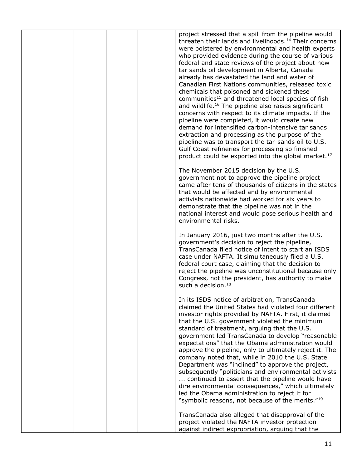|  |  | project stressed that a spill from the pipeline would<br>threaten their lands and livelihoods. <sup>14</sup> Their concerns<br>were bolstered by environmental and health experts<br>who provided evidence during the course of various<br>federal and state reviews of the project about how<br>tar sands oil development in Alberta, Canada<br>already has devastated the land and water of<br>Canadian First Nations communities, released toxic<br>chemicals that poisoned and sickened these<br>communities <sup>15</sup> and threatened local species of fish<br>and wildlife. <sup>16</sup> The pipeline also raises significant<br>concerns with respect to its climate impacts. If the<br>pipeline were completed, it would create new<br>demand for intensified carbon-intensive tar sands<br>extraction and processing as the purpose of the<br>pipeline was to transport the tar-sands oil to U.S.<br>Gulf Coast refineries for processing so finished<br>product could be exported into the global market. <sup>17</sup> |
|--|--|---------------------------------------------------------------------------------------------------------------------------------------------------------------------------------------------------------------------------------------------------------------------------------------------------------------------------------------------------------------------------------------------------------------------------------------------------------------------------------------------------------------------------------------------------------------------------------------------------------------------------------------------------------------------------------------------------------------------------------------------------------------------------------------------------------------------------------------------------------------------------------------------------------------------------------------------------------------------------------------------------------------------------------------|
|  |  | The November 2015 decision by the U.S.<br>government not to approve the pipeline project<br>came after tens of thousands of citizens in the states<br>that would be affected and by environmental<br>activists nationwide had worked for six years to<br>demonstrate that the pipeline was not in the<br>national interest and would pose serious health and<br>environmental risks.                                                                                                                                                                                                                                                                                                                                                                                                                                                                                                                                                                                                                                                  |
|  |  | In January 2016, just two months after the U.S.<br>government's decision to reject the pipeline,<br>TransCanada filed notice of intent to start an ISDS<br>case under NAFTA. It simultaneously filed a U.S.<br>federal court case, claiming that the decision to<br>reject the pipeline was unconstitutional because only<br>Congress, not the president, has authority to make<br>such a decision. <sup>18</sup>                                                                                                                                                                                                                                                                                                                                                                                                                                                                                                                                                                                                                     |
|  |  | In its ISDS notice of arbitration, TransCanada<br>claimed the United States had violated four different<br>investor rights provided by NAFTA. First, it claimed<br>that the U.S. government violated the minimum<br>standard of treatment, arguing that the U.S.<br>government led TransCanada to develop "reasonable<br>expectations" that the Obama administration would<br>approve the pipeline, only to ultimately reject it. The<br>company noted that, while in 2010 the U.S. State<br>Department was "inclined" to approve the project,<br>subsequently "politicians and environmental activists<br>continued to assert that the pipeline would have<br>dire environmental consequences," which ultimately<br>led the Obama administration to reject it for<br>"symbolic reasons, not because of the merits." <sup>19</sup>                                                                                                                                                                                                    |
|  |  | TransCanada also alleged that disapproval of the<br>project violated the NAFTA investor protection<br>against indirect expropriation, arguing that the                                                                                                                                                                                                                                                                                                                                                                                                                                                                                                                                                                                                                                                                                                                                                                                                                                                                                |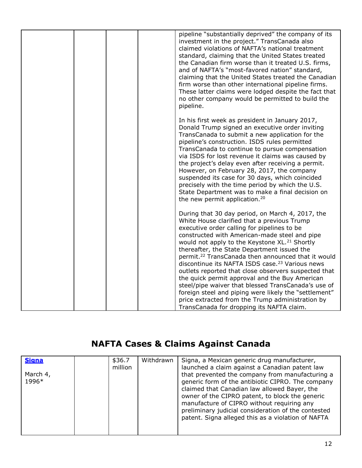| pipeline "substantially deprived" the company of its<br>investment in the project." TransCanada also<br>claimed violations of NAFTA's national treatment<br>standard, claiming that the United States treated<br>the Canadian firm worse than it treated U.S. firms,<br>and of NAFTA's "most-favored nation" standard,<br>claiming that the United States treated the Canadian<br>firm worse than other international pipeline firms.<br>These latter claims were lodged despite the fact that<br>no other company would be permitted to build the<br>pipeline.                                                                                                                                                                                                         |
|-------------------------------------------------------------------------------------------------------------------------------------------------------------------------------------------------------------------------------------------------------------------------------------------------------------------------------------------------------------------------------------------------------------------------------------------------------------------------------------------------------------------------------------------------------------------------------------------------------------------------------------------------------------------------------------------------------------------------------------------------------------------------|
| In his first week as president in January 2017,<br>Donald Trump signed an executive order inviting<br>TransCanada to submit a new application for the<br>pipeline's construction. ISDS rules permitted<br>TransCanada to continue to pursue compensation<br>via ISDS for lost revenue it claims was caused by<br>the project's delay even after receiving a permit.<br>However, on February 28, 2017, the company<br>suspended its case for 30 days, which coincided<br>precisely with the time period by which the U.S.<br>State Department was to make a final decision on<br>the new permit application. <sup>20</sup>                                                                                                                                               |
| During that 30 day period, on March 4, 2017, the<br>White House clarified that a previous Trump<br>executive order calling for pipelines to be<br>constructed with American-made steel and pipe<br>would not apply to the Keystone XL. <sup>21</sup> Shortly<br>thereafter, the State Department issued the<br>permit. <sup>22</sup> TransCanada then announced that it would<br>discontinue its NAFTA ISDS case. <sup>23</sup> Various news<br>outlets reported that close observers suspected that<br>the quick permit approval and the Buy American<br>steel/pipe waiver that blessed TransCanada's use of<br>foreign steel and piping were likely the "settlement"<br>price extracted from the Trump administration by<br>TransCanada for dropping its NAFTA claim. |

# **NAFTA Cases & Claims Against Canada**

| <b>Signa</b>      | \$36.7<br>million | Withdrawn | Signa, a Mexican generic drug manufacturer,<br>launched a claim against a Canadian patent law                                                                                                                                                                                                                                                                      |
|-------------------|-------------------|-----------|--------------------------------------------------------------------------------------------------------------------------------------------------------------------------------------------------------------------------------------------------------------------------------------------------------------------------------------------------------------------|
| March 4,<br>1996* |                   |           | that prevented the company from manufacturing a<br>generic form of the antibiotic CIPRO. The company<br>claimed that Canadian law allowed Bayer, the<br>owner of the CIPRO patent, to block the generic<br>manufacture of CIPRO without requiring any<br>preliminary judicial consideration of the contested<br>patent. Signa alleged this as a violation of NAFTA |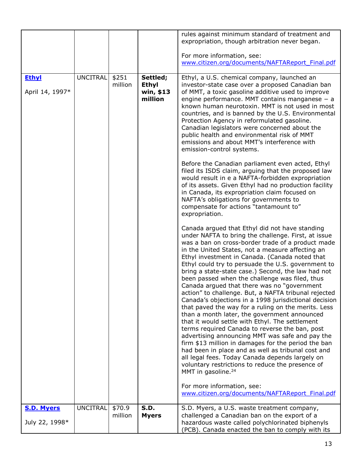|                                 |                 |                  |                                                  | rules against minimum standard of treatment and<br>expropriation, though arbitration never began.<br>For more information, see:<br>www.citizen.org/documents/NAFTAReport Final.pdf                                                                                                                                                                                                                                                                                                                                                                                                                                                                                                                                                                                                                                                                                                                                                                                                                                                                                                                                                                                                                   |
|---------------------------------|-----------------|------------------|--------------------------------------------------|------------------------------------------------------------------------------------------------------------------------------------------------------------------------------------------------------------------------------------------------------------------------------------------------------------------------------------------------------------------------------------------------------------------------------------------------------------------------------------------------------------------------------------------------------------------------------------------------------------------------------------------------------------------------------------------------------------------------------------------------------------------------------------------------------------------------------------------------------------------------------------------------------------------------------------------------------------------------------------------------------------------------------------------------------------------------------------------------------------------------------------------------------------------------------------------------------|
|                                 |                 |                  |                                                  |                                                                                                                                                                                                                                                                                                                                                                                                                                                                                                                                                                                                                                                                                                                                                                                                                                                                                                                                                                                                                                                                                                                                                                                                      |
| <b>Ethyl</b><br>April 14, 1997* | <b>UNCITRAL</b> | \$251<br>million | Settled;<br><b>Ethyl</b><br>win, \$13<br>million | Ethyl, a U.S. chemical company, launched an<br>investor-state case over a proposed Canadian ban<br>of MMT, a toxic gasoline additive used to improve<br>engine performance. MMT contains manganese $-$ a<br>known human neurotoxin. MMT is not used in most<br>countries, and is banned by the U.S. Environmental<br>Protection Agency in reformulated gasoline.<br>Canadian legislators were concerned about the<br>public health and environmental risk of MMT<br>emissions and about MMT's interference with<br>emission-control systems.                                                                                                                                                                                                                                                                                                                                                                                                                                                                                                                                                                                                                                                         |
|                                 |                 |                  |                                                  | Before the Canadian parliament even acted, Ethyl<br>filed its ISDS claim, arguing that the proposed law<br>would result in e a NAFTA-forbidden expropriation<br>of its assets. Given Ethyl had no production facility<br>in Canada, its expropriation claim focused on<br>NAFTA's obligations for governments to<br>compensate for actions "tantamount to"<br>expropriation.                                                                                                                                                                                                                                                                                                                                                                                                                                                                                                                                                                                                                                                                                                                                                                                                                         |
|                                 |                 |                  |                                                  | Canada argued that Ethyl did not have standing<br>under NAFTA to bring the challenge. First, at issue<br>was a ban on cross-border trade of a product made<br>in the United States, not a measure affecting an<br>Ethyl investment in Canada. (Canada noted that<br>Ethyl could try to persuade the U.S. government to<br>bring a state-state case.) Second, the law had not<br>been passed when the challenge was filed, thus<br>Canada argued that there was no "government<br>action" to challenge. But, a NAFTA tribunal rejected<br>Canada's objections in a 1998 jurisdictional decision<br>that paved the way for a ruling on the merits. Less<br>than a month later, the government announced<br>that it would settle with Ethyl. The settlement<br>terms required Canada to reverse the ban, post<br>advertising announcing MMT was safe and pay the<br>firm \$13 million in damages for the period the ban<br>had been in place and as well as tribunal cost and<br>all legal fees. Today Canada depends largely on<br>voluntary restrictions to reduce the presence of<br>MMT in gasoline. <sup>24</sup><br>For more information, see:<br>www.citizen.org/documents/NAFTAReport Final.pdf |
| <b>S.D. Myers</b>               | <b>UNCITRAL</b> | \$70.9           | <b>S.D.</b>                                      | S.D. Myers, a U.S. waste treatment company,                                                                                                                                                                                                                                                                                                                                                                                                                                                                                                                                                                                                                                                                                                                                                                                                                                                                                                                                                                                                                                                                                                                                                          |
| July 22, 1998*                  |                 | million          | <b>Myers</b>                                     | challenged a Canadian ban on the export of a<br>hazardous waste called polychlorinated biphenyls<br>(PCB). Canada enacted the ban to comply with its                                                                                                                                                                                                                                                                                                                                                                                                                                                                                                                                                                                                                                                                                                                                                                                                                                                                                                                                                                                                                                                 |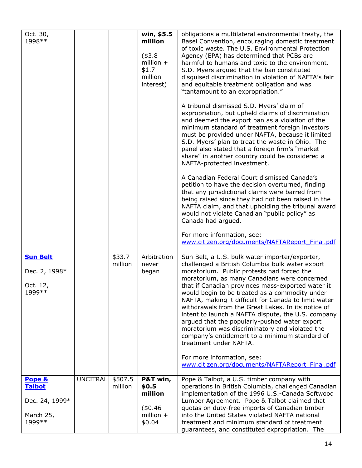| Oct. 30,<br>1998 **                                               |                 |                    | win, \$5.5<br>million<br>$(*3.8)$<br>million $+$<br>\$1.7<br>million<br>interest) | obligations a multilateral environmental treaty, the<br>Basel Convention, encouraging domestic treatment<br>of toxic waste. The U.S. Environmental Protection<br>Agency (EPA) has determined that PCBs are<br>harmful to humans and toxic to the environment.<br>S.D. Myers argued that the ban constituted<br>disguised discrimination in violation of NAFTA's fair<br>and equitable treatment obligation and was<br>"tantamount to an expropriation."<br>A tribunal dismissed S.D. Myers' claim of<br>expropriation, but upheld claims of discrimination<br>and deemed the export ban as a violation of the<br>minimum standard of treatment foreign investors<br>must be provided under NAFTA, because it limited<br>S.D. Myers' plan to treat the waste in Ohio. The<br>panel also stated that a foreign firm's "market<br>share" in another country could be considered a<br>NAFTA-protected investment.<br>A Canadian Federal Court dismissed Canada's<br>petition to have the decision overturned, finding<br>that any jurisdictional claims were barred from<br>being raised since they had not been raised in the<br>NAFTA claim, and that upholding the tribunal award<br>would not violate Canadian "public policy" as<br>Canada had argued.<br>For more information, see: |
|-------------------------------------------------------------------|-----------------|--------------------|-----------------------------------------------------------------------------------|---------------------------------------------------------------------------------------------------------------------------------------------------------------------------------------------------------------------------------------------------------------------------------------------------------------------------------------------------------------------------------------------------------------------------------------------------------------------------------------------------------------------------------------------------------------------------------------------------------------------------------------------------------------------------------------------------------------------------------------------------------------------------------------------------------------------------------------------------------------------------------------------------------------------------------------------------------------------------------------------------------------------------------------------------------------------------------------------------------------------------------------------------------------------------------------------------------------------------------------------------------------------------------------|
| <b>Sun Belt</b><br>Dec. 2, 1998*<br>Oct. 12,<br>1999 **           |                 | \$33.7<br>million  | Arbitration<br>never<br>began                                                     | www.citizen.org/documents/NAFTAReport Final.pdf<br>Sun Belt, a U.S. bulk water importer/exporter,<br>challenged a British Columbia bulk water export<br>moratorium. Public protests had forced the<br>moratorium, as many Canadians were concerned<br>that if Canadian provinces mass-exported water it<br>would begin to be treated as a commodity under<br>NAFTA, making it difficult for Canada to limit water<br>withdrawals from the Great Lakes. In its notice of<br>intent to launch a NAFTA dispute, the U.S. company<br>argued that the popularly-pushed water export<br>moratorium was discriminatory and violated the<br>company's entitlement to a minimum standard of<br>treatment under NAFTA.<br>For more information, see:<br>www.citizen.org/documents/NAFTAReport Final.pdf                                                                                                                                                                                                                                                                                                                                                                                                                                                                                         |
| Pope &<br><b>Talbot</b><br>Dec. 24, 1999*<br>March 25,<br>1999 ** | <b>UNCITRAL</b> | \$507.5<br>million | P&T win,<br>\$0.5<br>million<br>(\$0.46)<br>million $+$<br>\$0.04                 | Pope & Talbot, a U.S. timber company with<br>operations in British Columbia, challenged Canadian<br>implementation of the 1996 U.S.-Canada Softwood<br>Lumber Agreement. Pope & Talbot claimed that<br>quotas on duty-free imports of Canadian timber<br>into the United States violated NAFTA national<br>treatment and minimum standard of treatment<br>guarantees, and constituted expropriation. The                                                                                                                                                                                                                                                                                                                                                                                                                                                                                                                                                                                                                                                                                                                                                                                                                                                                              |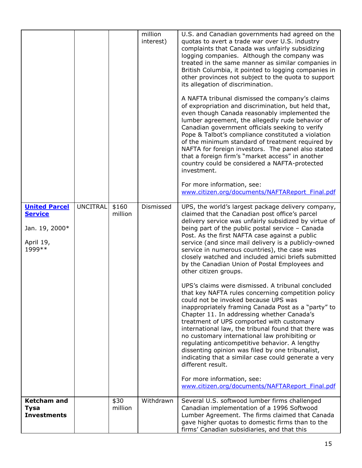|                                        |                 |                  | million<br>interest) | U.S. and Canadian governments had agreed on the<br>quotas to avert a trade war over U.S. industry<br>complaints that Canada was unfairly subsidizing<br>logging companies. Although the company was<br>treated in the same manner as similar companies in<br>British Columbia, it pointed to logging companies in<br>other provinces not subject to the quota to support<br>its allegation of discrimination.<br>A NAFTA tribunal dismissed the company's claims<br>of expropriation and discrimination, but held that,<br>even though Canada reasonably implemented the<br>lumber agreement, the allegedly rude behavior of<br>Canadian government officials seeking to verify<br>Pope & Talbot's compliance constituted a violation<br>of the minimum standard of treatment required by<br>NAFTA for foreign investors. The panel also stated<br>that a foreign firm's "market access" in another<br>country could be considered a NAFTA-protected<br>investment.<br>For more information, see:<br>www.citizen.org/documents/NAFTAReport Final.pdf |
|----------------------------------------|-----------------|------------------|----------------------|------------------------------------------------------------------------------------------------------------------------------------------------------------------------------------------------------------------------------------------------------------------------------------------------------------------------------------------------------------------------------------------------------------------------------------------------------------------------------------------------------------------------------------------------------------------------------------------------------------------------------------------------------------------------------------------------------------------------------------------------------------------------------------------------------------------------------------------------------------------------------------------------------------------------------------------------------------------------------------------------------------------------------------------------------|
| <b>United Parcel</b><br><b>Service</b> | <b>UNCITRAL</b> | \$160<br>million | Dismissed            | UPS, the world's largest package delivery company,<br>claimed that the Canadian post office's parcel                                                                                                                                                                                                                                                                                                                                                                                                                                                                                                                                                                                                                                                                                                                                                                                                                                                                                                                                                 |
| Jan. 19, 2000*                         |                 |                  |                      | delivery service was unfairly subsidized by virtue of<br>being part of the public postal service - Canada                                                                                                                                                                                                                                                                                                                                                                                                                                                                                                                                                                                                                                                                                                                                                                                                                                                                                                                                            |
| April 19,                              |                 |                  |                      | Post. As the first NAFTA case against a public<br>service (and since mail delivery is a publicly-owned                                                                                                                                                                                                                                                                                                                                                                                                                                                                                                                                                                                                                                                                                                                                                                                                                                                                                                                                               |
| 1999 **                                |                 |                  |                      | service in numerous countries), the case was<br>closely watched and included amici briefs submitted<br>by the Canadian Union of Postal Employees and<br>other citizen groups.                                                                                                                                                                                                                                                                                                                                                                                                                                                                                                                                                                                                                                                                                                                                                                                                                                                                        |
|                                        |                 |                  |                      | UPS's claims were dismissed. A tribunal concluded<br>that key NAFTA rules concerning competition policy                                                                                                                                                                                                                                                                                                                                                                                                                                                                                                                                                                                                                                                                                                                                                                                                                                                                                                                                              |
|                                        |                 |                  |                      | could not be invoked because UPS was<br>inappropriately framing Canada Post as a "party" to                                                                                                                                                                                                                                                                                                                                                                                                                                                                                                                                                                                                                                                                                                                                                                                                                                                                                                                                                          |
|                                        |                 |                  |                      | Chapter 11. In addressing whether Canada's<br>treatment of UPS comported with customary                                                                                                                                                                                                                                                                                                                                                                                                                                                                                                                                                                                                                                                                                                                                                                                                                                                                                                                                                              |
|                                        |                 |                  |                      | international law, the tribunal found that there was<br>no customary international law prohibiting or                                                                                                                                                                                                                                                                                                                                                                                                                                                                                                                                                                                                                                                                                                                                                                                                                                                                                                                                                |
|                                        |                 |                  |                      | regulating anticompetitive behavior. A lengthy<br>dissenting opinion was filed by one tribunalist,<br>indicating that a similar case could generate a very<br>different result.                                                                                                                                                                                                                                                                                                                                                                                                                                                                                                                                                                                                                                                                                                                                                                                                                                                                      |
|                                        |                 |                  |                      | For more information, see:<br>www.citizen.org/documents/NAFTAReport Final.pdf                                                                                                                                                                                                                                                                                                                                                                                                                                                                                                                                                                                                                                                                                                                                                                                                                                                                                                                                                                        |
| <b>Ketcham and</b><br><b>Tysa</b>      |                 | \$30<br>million  | Withdrawn            | Several U.S. softwood lumber firms challenged<br>Canadian implementation of a 1996 Softwood                                                                                                                                                                                                                                                                                                                                                                                                                                                                                                                                                                                                                                                                                                                                                                                                                                                                                                                                                          |
| <b>Investments</b>                     |                 |                  |                      | Lumber Agreement. The firms claimed that Canada<br>gave higher quotas to domestic firms than to the<br>firms' Canadian subsidiaries, and that this                                                                                                                                                                                                                                                                                                                                                                                                                                                                                                                                                                                                                                                                                                                                                                                                                                                                                                   |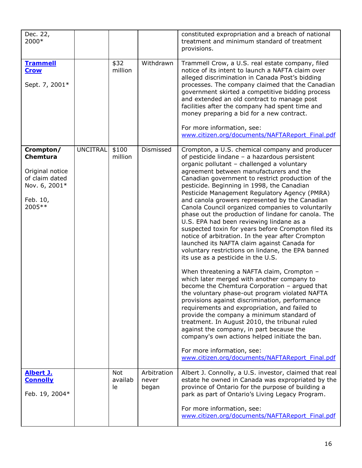| Dec. 22,<br>2000*                                                                                        |                 |                             |                               | constituted expropriation and a breach of national<br>treatment and minimum standard of treatment<br>provisions.                                                                                                                                                                                                                                                                                                                                                                                                                                                                                                                                                                                                                                                                                                                                                                                                                                                                                                                                                                                                                                                                                                                                                                                                                                                                            |
|----------------------------------------------------------------------------------------------------------|-----------------|-----------------------------|-------------------------------|---------------------------------------------------------------------------------------------------------------------------------------------------------------------------------------------------------------------------------------------------------------------------------------------------------------------------------------------------------------------------------------------------------------------------------------------------------------------------------------------------------------------------------------------------------------------------------------------------------------------------------------------------------------------------------------------------------------------------------------------------------------------------------------------------------------------------------------------------------------------------------------------------------------------------------------------------------------------------------------------------------------------------------------------------------------------------------------------------------------------------------------------------------------------------------------------------------------------------------------------------------------------------------------------------------------------------------------------------------------------------------------------|
| <b>Trammell</b><br><b>Crow</b><br>Sept. 7, 2001*                                                         |                 | \$32<br>million             | Withdrawn                     | Trammell Crow, a U.S. real estate company, filed<br>notice of its intent to launch a NAFTA claim over<br>alleged discrimination in Canada Post's bidding<br>processes. The company claimed that the Canadian<br>government skirted a competitive bidding process<br>and extended an old contract to manage post<br>facilities after the company had spent time and<br>money preparing a bid for a new contract.<br>For more information, see:<br>www.citizen.org/documents/NAFTAReport Final.pdf                                                                                                                                                                                                                                                                                                                                                                                                                                                                                                                                                                                                                                                                                                                                                                                                                                                                                            |
| Crompton/<br><b>Chemtura</b><br>Original notice<br>of claim dated<br>Nov. 6, 2001*<br>Feb. 10,<br>2005** | <b>UNCITRAL</b> | \$100<br>million            | Dismissed                     | Crompton, a U.S. chemical company and producer<br>of pesticide lindane - a hazardous persistent<br>organic pollutant - challenged a voluntary<br>agreement between manufacturers and the<br>Canadian government to restrict production of the<br>pesticide. Beginning in 1998, the Canadian<br>Pesticide Management Regulatory Agency (PMRA)<br>and canola growers represented by the Canadian<br>Canola Council organized companies to voluntarily<br>phase out the production of lindane for canola. The<br>U.S. EPA had been reviewing lindane as a<br>suspected toxin for years before Crompton filed its<br>notice of arbitration. In the year after Crompton<br>launched its NAFTA claim against Canada for<br>voluntary restrictions on lindane, the EPA banned<br>its use as a pesticide in the U.S.<br>When threatening a NAFTA claim, Crompton -<br>which later merged with another company to<br>become the Chemtura Corporation - argued that<br>the voluntary phase-out program violated NAFTA<br>provisions against discrimination, performance<br>requirements and expropriation, and failed to<br>provide the company a minimum standard of<br>treatment. In August 2010, the tribunal ruled<br>against the company, in part because the<br>company's own actions helped initiate the ban.<br>For more information, see:<br>www.citizen.org/documents/NAFTAReport Final.pdf |
| Albert J.<br><b>Connolly</b><br>Feb. 19, 2004*                                                           |                 | <b>Not</b><br>availab<br>le | Arbitration<br>never<br>began | Albert J. Connolly, a U.S. investor, claimed that real<br>estate he owned in Canada was expropriated by the<br>province of Ontario for the purpose of building a<br>park as part of Ontario's Living Legacy Program.<br>For more information, see:<br>www.citizen.org/documents/NAFTAReport Final.pdf                                                                                                                                                                                                                                                                                                                                                                                                                                                                                                                                                                                                                                                                                                                                                                                                                                                                                                                                                                                                                                                                                       |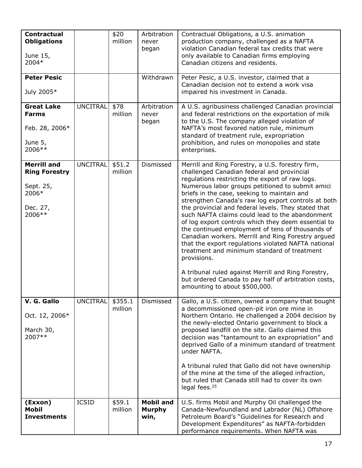| <b>Contractual</b><br><b>Obligations</b><br>June 15,<br>2004*                          |                 | \$20<br>million    | Arbitration<br>never<br>began             | Contractual Obligations, a U.S. animation<br>production company, challenged as a NAFTA<br>violation Canadian federal tax credits that were<br>only available to Canadian firms employing<br>Canadian citizens and residents.                                                                                                                                                                                                                                                                                                                                                                                                                                                                                                                                                                                                                                |
|----------------------------------------------------------------------------------------|-----------------|--------------------|-------------------------------------------|-------------------------------------------------------------------------------------------------------------------------------------------------------------------------------------------------------------------------------------------------------------------------------------------------------------------------------------------------------------------------------------------------------------------------------------------------------------------------------------------------------------------------------------------------------------------------------------------------------------------------------------------------------------------------------------------------------------------------------------------------------------------------------------------------------------------------------------------------------------|
| <b>Peter Pesic</b><br>July 2005*                                                       |                 |                    | Withdrawn                                 | Peter Pesic, a U.S. investor, claimed that a<br>Canadian decision not to extend a work visa<br>impaired his investment in Canada.                                                                                                                                                                                                                                                                                                                                                                                                                                                                                                                                                                                                                                                                                                                           |
| <b>Great Lake</b><br><b>Farms</b><br>Feb. 28, 2006*<br>June 5,<br>2006**               | UNCITRAL        | \$78<br>million    | Arbitration<br>never<br>began             | A U.S. agribusiness challenged Canadian provincial<br>and federal restrictions on the exportation of milk<br>to the U.S. The company alleged violation of<br>NAFTA's most favored nation rule, minimum<br>standard of treatment rule, expropriation<br>prohibition, and rules on monopolies and state<br>enterprises.                                                                                                                                                                                                                                                                                                                                                                                                                                                                                                                                       |
| <b>Merrill and</b><br><b>Ring Forestry</b><br>Sept. 25,<br>2006*<br>Dec. 27,<br>2006** | <b>UNCITRAL</b> | \$51.2<br>million  | Dismissed                                 | Merrill and Ring Forestry, a U.S. forestry firm,<br>challenged Canadian federal and provincial<br>regulations restricting the export of raw logs.<br>Numerous labor groups petitioned to submit amici<br>briefs in the case, seeking to maintain and<br>strengthen Canada's raw log export controls at both<br>the provincial and federal levels. They stated that<br>such NAFTA claims could lead to the abandonment<br>of log export controls which they deem essential to<br>the continued employment of tens of thousands of<br>Canadian workers. Merrill and Ring Forestry argued<br>that the export regulations violated NAFTA national<br>treatment and minimum standard of treatment<br>provisions.<br>A tribunal ruled against Merrill and Ring Forestry,<br>but ordered Canada to pay half of arbitration costs,<br>amounting to about \$500,000. |
| V. G. Gallo<br>Oct. 12, 2006*<br>March 30,<br>2007**                                   | <b>UNCITRAL</b> | \$355.1<br>million | Dismissed                                 | Gallo, a U.S. citizen, owned a company that bought<br>a decommissioned open-pit iron ore mine in<br>Northern Ontario. He challenged a 2004 decision by<br>the newly-elected Ontario government to block a<br>proposed landfill on the site. Gallo claimed this<br>decision was "tantamount to an expropriation" and<br>deprived Gallo of a minimum standard of treatment<br>under NAFTA.<br>A tribunal ruled that Gallo did not have ownership<br>of the mine at the time of the alleged infraction,<br>but ruled that Canada still had to cover its own<br>legal fees. $25$                                                                                                                                                                                                                                                                                |
| (Exxon)<br><b>Mobil</b><br><b>Investments</b>                                          | <b>ICSID</b>    | \$59.1<br>million  | <b>Mobil and</b><br><b>Murphy</b><br>win, | U.S. firms Mobil and Murphy Oil challenged the<br>Canada-Newfoundland and Labrador (NL) Offshore<br>Petroleum Board's "Guidelines for Research and<br>Development Expenditures" as NAFTA-forbidden<br>performance requirements. When NAFTA was                                                                                                                                                                                                                                                                                                                                                                                                                                                                                                                                                                                                              |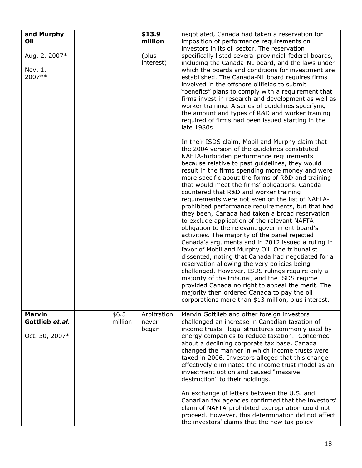| and Murphy<br>Oil<br>Aug. 2, 2007*<br>Nov. 1,<br>2007** |                  | \$13.9<br>million<br>(plus<br>interest) | negotiated, Canada had taken a reservation for<br>imposition of performance requirements on<br>investors in its oil sector. The reservation<br>specifically listed several provincial-federal boards,<br>including the Canada-NL board, and the laws under<br>which the boards and conditions for investment are<br>established. The Canada-NL board requires firms<br>involved in the offshore oilfields to submit<br>"benefits" plans to comply with a requirement that<br>firms invest in research and development as well as<br>worker training. A series of guidelines specifying<br>the amount and types of R&D and worker training<br>required of firms had been issued starting in the<br>late 1980s.<br>In their ISDS claim, Mobil and Murphy claim that<br>the 2004 version of the guidelines constituted<br>NAFTA-forbidden performance requirements<br>because relative to past guidelines, they would<br>result in the firms spending more money and were<br>more specific about the forms of R&D and training<br>that would meet the firms' obligations. Canada<br>countered that R&D and worker training<br>requirements were not even on the list of NAFTA-<br>prohibited performance requirements, but that had<br>they been, Canada had taken a broad reservation<br>to exclude application of the relevant NAFTA<br>obligation to the relevant government board's<br>activities. The majority of the panel rejected<br>Canada's arguments and in 2012 issued a ruling in<br>favor of Mobil and Murphy Oil. One tribunalist<br>dissented, noting that Canada had negotiated for a<br>reservation allowing the very policies being<br>challenged. However, ISDS rulings require only a<br>majority of the tribunal, and the ISDS regime<br>provided Canada no right to appeal the merit. The<br>majority then ordered Canada to pay the oil<br>corporations more than \$13 million, plus interest. |
|---------------------------------------------------------|------------------|-----------------------------------------|---------------------------------------------------------------------------------------------------------------------------------------------------------------------------------------------------------------------------------------------------------------------------------------------------------------------------------------------------------------------------------------------------------------------------------------------------------------------------------------------------------------------------------------------------------------------------------------------------------------------------------------------------------------------------------------------------------------------------------------------------------------------------------------------------------------------------------------------------------------------------------------------------------------------------------------------------------------------------------------------------------------------------------------------------------------------------------------------------------------------------------------------------------------------------------------------------------------------------------------------------------------------------------------------------------------------------------------------------------------------------------------------------------------------------------------------------------------------------------------------------------------------------------------------------------------------------------------------------------------------------------------------------------------------------------------------------------------------------------------------------------------------------------------------------------------------------------------------------------------------------------------------------------------------|
| <b>Marvin</b><br>Gottlieb et.al.<br>Oct. 30, 2007*      | \$6.5<br>million | Arbitration<br>never<br>began           | Marvin Gottlieb and other foreign investors<br>challenged an increase in Canadian taxation of<br>income trusts - legal structures commonly used by<br>energy companies to reduce taxation. Concerned<br>about a declining corporate tax base, Canada<br>changed the manner in which income trusts were<br>taxed in 2006. Investors alleged that this change<br>effectively eliminated the income trust model as an<br>investment option and caused "massive<br>destruction" to their holdings.<br>An exchange of letters between the U.S. and<br>Canadian tax agencies confirmed that the investors'<br>claim of NAFTA-prohibited expropriation could not<br>proceed. However, this determination did not affect<br>the investors' claims that the new tax policy                                                                                                                                                                                                                                                                                                                                                                                                                                                                                                                                                                                                                                                                                                                                                                                                                                                                                                                                                                                                                                                                                                                                                   |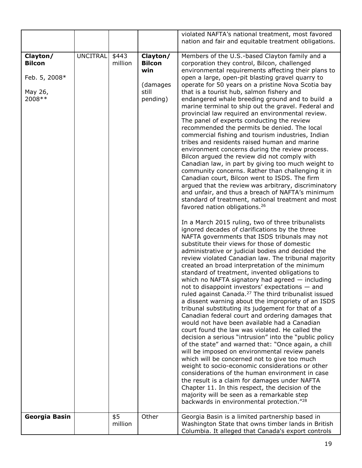|                                                                  |                 |                  |                                                                   | violated NAFTA's national treatment, most favored<br>nation and fair and equitable treatment obligations.                                                                                                                                                                                                                                                                                                                                                                                                                                                                                                                                                                                                                                                                                                                                                                                                                                                                                                                                                                                                                                                                                                                                                                                                                                                                                    |
|------------------------------------------------------------------|-----------------|------------------|-------------------------------------------------------------------|----------------------------------------------------------------------------------------------------------------------------------------------------------------------------------------------------------------------------------------------------------------------------------------------------------------------------------------------------------------------------------------------------------------------------------------------------------------------------------------------------------------------------------------------------------------------------------------------------------------------------------------------------------------------------------------------------------------------------------------------------------------------------------------------------------------------------------------------------------------------------------------------------------------------------------------------------------------------------------------------------------------------------------------------------------------------------------------------------------------------------------------------------------------------------------------------------------------------------------------------------------------------------------------------------------------------------------------------------------------------------------------------|
| Clayton/<br><b>Bilcon</b><br>Feb. 5, 2008*<br>May 26,<br>2008 ** | <b>UNCITRAL</b> | \$443<br>million | Clayton/<br><b>Bilcon</b><br>win<br>(damages<br>still<br>pending) | Members of the U.S.-based Clayton family and a<br>corporation they control, Bilcon, challenged<br>environmental requirements affecting their plans to<br>open a large, open-pit blasting gravel quarry to<br>operate for 50 years on a pristine Nova Scotia bay<br>that is a tourist hub, salmon fishery and<br>endangered whale breeding ground and to build a<br>marine terminal to ship out the gravel. Federal and<br>provincial law required an environmental review.<br>The panel of experts conducting the review<br>recommended the permits be denied. The local<br>commercial fishing and tourism industries, Indian<br>tribes and residents raised human and marine<br>environment concerns during the review process.<br>Bilcon argued the review did not comply with<br>Canadian law, in part by giving too much weight to<br>community concerns. Rather than challenging it in<br>Canadian court, Bilcon went to ISDS. The firm<br>argued that the review was arbitrary, discriminatory<br>and unfair, and thus a breach of NAFTA's minimum<br>standard of treatment, national treatment and most<br>favored nation obligations. <sup>26</sup>                                                                                                                                                                                                                                  |
|                                                                  |                 |                  |                                                                   | In a March 2015 ruling, two of three tribunalists<br>ignored decades of clarifications by the three<br>NAFTA governments that ISDS tribunals may not<br>substitute their views for those of domestic<br>administrative or judicial bodies and decided the<br>review violated Canadian law. The tribunal majority<br>created an broad interpretation of the minimum<br>standard of treatment, invented obligations to<br>which no NAFTA signatory had agreed $-$ including<br>not to disappoint investors' expectations - and<br>ruled against Canada. <sup>27</sup> The third tribunalist issued<br>a dissent warning about the impropriety of an ISDS<br>tribunal substituting its judgement for that of a<br>Canadian federal court and ordering damages that<br>would not have been available had a Canadian<br>court found the law was violated. He called the<br>decision a serious "intrusion" into the "public policy<br>of the state" and warned that: "Once again, a chill<br>will be imposed on environmental review panels<br>which will be concerned not to give too much<br>weight to socio-economic considerations or other<br>considerations of the human environment in case<br>the result is a claim for damages under NAFTA<br>Chapter 11. In this respect, the decision of the<br>majority will be seen as a remarkable step<br>backwards in environmental protection."28 |
| Georgia Basin                                                    |                 | \$5<br>million   | Other                                                             | Georgia Basin is a limited partnership based in<br>Washington State that owns timber lands in British<br>Columbia. It alleged that Canada's export controls                                                                                                                                                                                                                                                                                                                                                                                                                                                                                                                                                                                                                                                                                                                                                                                                                                                                                                                                                                                                                                                                                                                                                                                                                                  |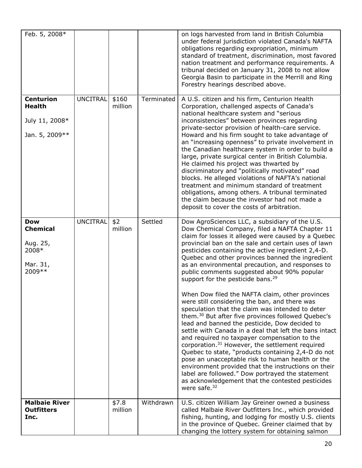| Feb. 5, 2008*<br><b>Centurion</b>                                         | <b>UNCITRAL</b> | \$160            | Terminated | on logs harvested from land in British Columbia<br>under federal jurisdiction violated Canada's NAFTA<br>obligations regarding expropriation, minimum<br>standard of treatment, discrimination, most favored<br>nation treatment and performance requirements. A<br>tribunal decided on January 31, 2008 to not allow<br>Georgia Basin to participate in the Merrill and Ring<br>Forestry hearings described above.<br>A U.S. citizen and his firm, Centurion Health                                                                                                                                                                                                                                                                                                                                                                                                                                                                                                                                                                                                                                                                                                                                                         |
|---------------------------------------------------------------------------|-----------------|------------------|------------|------------------------------------------------------------------------------------------------------------------------------------------------------------------------------------------------------------------------------------------------------------------------------------------------------------------------------------------------------------------------------------------------------------------------------------------------------------------------------------------------------------------------------------------------------------------------------------------------------------------------------------------------------------------------------------------------------------------------------------------------------------------------------------------------------------------------------------------------------------------------------------------------------------------------------------------------------------------------------------------------------------------------------------------------------------------------------------------------------------------------------------------------------------------------------------------------------------------------------|
| <b>Health</b><br>July 11, 2008*<br>Jan. 5, 2009 **                        |                 | million          |            | Corporation, challenged aspects of Canada's<br>national healthcare system and "serious<br>inconsistencies" between provinces regarding<br>private-sector provision of health-care service.<br>Howard and his firm sought to take advantage of<br>an "increasing openness" to private involvement in<br>the Canadian healthcare system in order to build a<br>large, private surgical center in British Columbia.<br>He claimed his project was thwarted by<br>discriminatory and "politically motivated" road<br>blocks. He alleged violations of NAFTA's national<br>treatment and minimum standard of treatment<br>obligations, among others. A tribunal terminated<br>the claim because the investor had not made a<br>deposit to cover the costs of arbitration.                                                                                                                                                                                                                                                                                                                                                                                                                                                         |
| <b>Dow</b><br><b>Chemical</b><br>Aug. 25,<br>2008*<br>Mar. 31,<br>2009 ** | <b>UNCITRAL</b> | \$2<br>million   | Settled    | Dow AgroSciences LLC, a subsidiary of the U.S.<br>Dow Chemical Company, filed a NAFTA Chapter 11<br>claim for losses it alleged were caused by a Quebec<br>provincial ban on the sale and certain uses of lawn<br>pesticides containing the active ingredient 2,4-D.<br>Quebec and other provinces banned the ingredient<br>as an environmental precaution, and responses to<br>public comments suggested about 90% popular<br>support for the pesticide bans. <sup>29</sup><br>When Dow filed the NAFTA claim, other provinces<br>were still considering the ban, and there was<br>speculation that the claim was intended to deter<br>them. <sup>30</sup> But after five provinces followed Quebec's<br>lead and banned the pesticide, Dow decided to<br>settle with Canada in a deal that left the bans intact<br>and required no taxpayer compensation to the<br>corporation. <sup>31</sup> However, the settlement required<br>Quebec to state, "products containing 2,4-D do not<br>pose an unacceptable risk to human health or the<br>environment provided that the instructions on their<br>label are followed." Dow portrayed the statement<br>as acknowledgement that the contested pesticides<br>were safe. $32$ |
| <b>Malbaie River</b><br><b>Outfitters</b><br>Inc.                         |                 | \$7.8<br>million | Withdrawn  | U.S. citizen William Jay Greiner owned a business<br>called Malbaie River Outfitters Inc., which provided<br>fishing, hunting, and lodging for mostly U.S. clients<br>in the province of Quebec. Greiner claimed that by<br>changing the lottery system for obtaining salmon                                                                                                                                                                                                                                                                                                                                                                                                                                                                                                                                                                                                                                                                                                                                                                                                                                                                                                                                                 |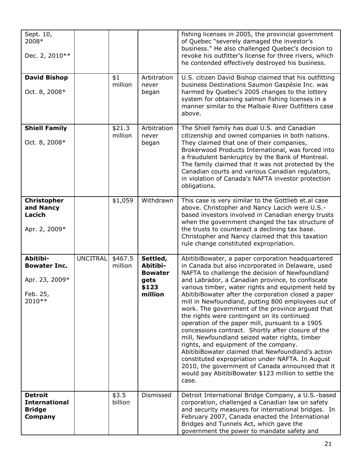| Sept. 10,<br>2008*<br>Dec. 2, 2010**                                     |          |                    |                                                                    | fishing licenses in 2005, the provincial government<br>of Quebec "severely damaged the investor's<br>business." He also challenged Quebec's decision to<br>revoke his outfitter's license for three rivers, which<br>he contended effectively destroyed his business.                                                                                                                                                                                                                                                                                                                                                                                                                                                                                                                                                                                                                                                 |
|--------------------------------------------------------------------------|----------|--------------------|--------------------------------------------------------------------|-----------------------------------------------------------------------------------------------------------------------------------------------------------------------------------------------------------------------------------------------------------------------------------------------------------------------------------------------------------------------------------------------------------------------------------------------------------------------------------------------------------------------------------------------------------------------------------------------------------------------------------------------------------------------------------------------------------------------------------------------------------------------------------------------------------------------------------------------------------------------------------------------------------------------|
| <b>David Bishop</b><br>Oct. 8, 2008*                                     |          | \$1<br>million     | Arbitration<br>never<br>began                                      | U.S. citizen David Bishop claimed that his outfitting<br>business Destinations Saumon Gaspésie Inc. was<br>harmed by Quebec's 2005 changes to the lottery<br>system for obtaining salmon fishing licenses in a<br>manner similar to the Malbaie River Outfitters case<br>above.                                                                                                                                                                                                                                                                                                                                                                                                                                                                                                                                                                                                                                       |
| <b>Shiell Family</b><br>Oct. 8, 2008*                                    |          | \$21.3<br>million  | Arbitration<br>never<br>began                                      | The Shiell family has dual U.S. and Canadian<br>citizenship and owned companies in both nations.<br>They claimed that one of their companies,<br>Brokerwood Products International, was forced into<br>a fraudulent bankruptcy by the Bank of Montreal.<br>The family claimed that it was not protected by the<br>Canadian courts and various Canadian regulators,<br>in violation of Canada's NAFTA investor protection<br>obligations.                                                                                                                                                                                                                                                                                                                                                                                                                                                                              |
| <b>Christopher</b><br>and Nancy<br>Lacich<br>Apr. 2, 2009*               |          | \$1,059            | Withdrawn                                                          | This case is very similar to the Gottlieb et.al case<br>above. Christopher and Nancy Lacich were U.S.-<br>based investors involved in Canadian energy trusts<br>when the government changed the tax structure of<br>the trusts to counteract a declining tax base.<br>Christopher and Nancy claimed that this taxation<br>rule change constituted expropriation.                                                                                                                                                                                                                                                                                                                                                                                                                                                                                                                                                      |
| Abitibi-<br><b>Bowater Inc.</b><br>Apr. 23, 2009*<br>Feb. 25,<br>2010 ** | UNCITRAL | \$467.5<br>million | Settled,<br>Abitibi-<br><b>Bowater</b><br>gets<br>\$123<br>million | AbitibiBowater, a paper corporation headquartered<br>in Canada but also incorporated in Delaware, used<br>NAFTA to challenge the decision of Newfoundland<br>and Labrador, a Canadian province, to confiscate<br>various timber, water rights and equipment held by<br>AbitibiBowater after the corporation closed a paper<br>mill in Newfoundland, putting 800 employees out of<br>work. The government of the province argued that<br>the rights were contingent on its continued<br>operation of the paper mill, pursuant to a 1905<br>concessions contract. Shortly after closure of the<br>mill, Newfoundland seized water rights, timber<br>rights, and equipment of the company.<br>AbitibiBowater claimed that Newfoundland's action<br>constituted expropriation under NAFTA. In August<br>2010, the government of Canada announced that it<br>would pay AbitibiBowater \$123 million to settle the<br>case. |
| <b>Detroit</b><br><b>International</b><br><b>Bridge</b><br>Company       |          | \$3.5<br>billion   | Dismissed                                                          | Detroit International Bridge Company, a U.S.-based<br>corporation, challenged a Canadian law on safety<br>and security measures for international bridges. In<br>February 2007, Canada enacted the International<br>Bridges and Tunnels Act, which gave the<br>government the power to mandate safety and                                                                                                                                                                                                                                                                                                                                                                                                                                                                                                                                                                                                             |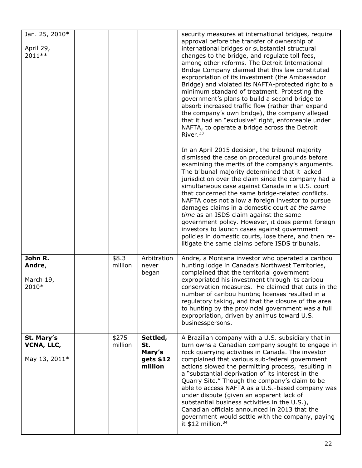| Jan. 25, 2010*<br>April 29,<br>2011**     |                  |                                                   | security measures at international bridges, require<br>approval before the transfer of ownership of<br>international bridges or substantial structural<br>changes to the bridge, and regulate toll fees,<br>among other reforms. The Detroit International<br>Bridge Company claimed that this law constituted<br>expropriation of its investment (the Ambassador<br>Bridge) and violated its NAFTA-protected right to a<br>minimum standard of treatment. Protesting the<br>government's plans to build a second bridge to<br>absorb increased traffic flow (rather than expand<br>the company's own bridge), the company alleged<br>that it had an "exclusive" right, enforceable under<br>NAFTA, to operate a bridge across the Detroit<br>River. <sup>33</sup> |
|-------------------------------------------|------------------|---------------------------------------------------|--------------------------------------------------------------------------------------------------------------------------------------------------------------------------------------------------------------------------------------------------------------------------------------------------------------------------------------------------------------------------------------------------------------------------------------------------------------------------------------------------------------------------------------------------------------------------------------------------------------------------------------------------------------------------------------------------------------------------------------------------------------------|
|                                           |                  |                                                   | In an April 2015 decision, the tribunal majority<br>dismissed the case on procedural grounds before<br>examining the merits of the company's arguments.<br>The tribunal majority determined that it lacked<br>jurisdiction over the claim since the company had a<br>simultaneous case against Canada in a U.S. court<br>that concerned the same bridge-related conflicts.<br>NAFTA does not allow a foreign investor to pursue<br>damages claims in a domestic court at the same<br>time as an ISDS claim against the same<br>government policy. However, it does permit foreign<br>investors to launch cases against government<br>policies in domestic courts, lose there, and then re-<br>litigate the same claims before ISDS tribunals.                      |
| John R.<br>Andre,<br>March 19,<br>2010*   | \$8.3<br>million | Arbitration<br>never<br>began                     | Andre, a Montana investor who operated a caribou<br>hunting lodge in Canada's Northwest Territories,<br>complained that the territorial government<br>expropriated his investment through its caribou<br>conservation measures. He claimed that cuts in the<br>number of caribou hunting licenses resulted in a<br>regulatory taking, and that the closure of the area<br>to hunting by the provincial government was a full<br>expropriation, driven by animus toward U.S.<br>businesspersons.                                                                                                                                                                                                                                                                    |
| St. Mary's<br>VCNA, LLC,<br>May 13, 2011* | \$275<br>million | Settled,<br>St.<br>Mary's<br>gets \$12<br>million | A Brazilian company with a U.S. subsidiary that in<br>turn owns a Canadian company sought to engage in<br>rock quarrying activities in Canada. The investor<br>complained that various sub-federal government<br>actions slowed the permitting process, resulting in<br>a "substantial deprivation of its interest in the<br>Quarry Site." Though the company's claim to be<br>able to access NAFTA as a U.S.-based company was<br>under dispute (given an apparent lack of<br>substantial business activities in the U.S.),<br>Canadian officials announced in 2013 that the<br>government would settle with the company, paying<br>it $$12$ million. <sup>34</sup>                                                                                               |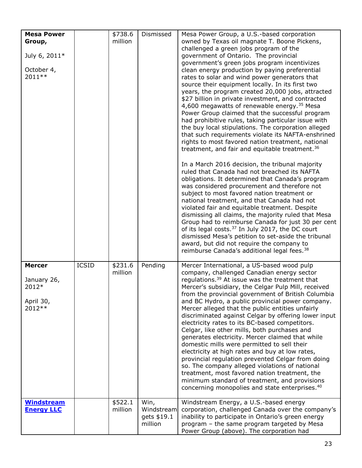| <b>Mesa Power</b><br>Group,<br>July 6, 2011*<br>October 4,<br>2011 ** |              | \$738.6<br>million | Dismissed                                    | Mesa Power Group, a U.S.-based corporation<br>owned by Texas oil magnate T. Boone Pickens,<br>challenged a green jobs program of the<br>government of Ontario. The provincial<br>government's green jobs program incentivizes<br>clean energy production by paying preferential<br>rates to solar and wind power generators that<br>source their equipment locally. In its first two<br>years, the program created 20,000 jobs, attracted<br>\$27 billion in private investment, and contracted<br>4,600 megawatts of renewable energy. <sup>35</sup> Mesa<br>Power Group claimed that the successful program<br>had prohibitive rules, taking particular issue with<br>the buy local stipulations. The corporation alleged<br>that such requirements violate its NAFTA-enshrined<br>rights to most favored nation treatment, national<br>treatment, and fair and equitable treatment. <sup>36</sup><br>In a March 2016 decision, the tribunal majority<br>ruled that Canada had not breached its NAFTA<br>obligations. It determined that Canada's program<br>was considered procurement and therefore not<br>subject to most favored nation treatment or<br>national treatment, and that Canada had not<br>violated fair and equitable treatment. Despite<br>dismissing all claims, the majority ruled that Mesa<br>Group had to reimburse Canada for just 30 per cent<br>of its legal costs. <sup>37</sup> In July 2017, the DC court<br>dismissed Mesa's petition to set-aside the tribunal<br>award, but did not require the company to<br>reimburse Canada's additional legal fees. <sup>38</sup> |
|-----------------------------------------------------------------------|--------------|--------------------|----------------------------------------------|---------------------------------------------------------------------------------------------------------------------------------------------------------------------------------------------------------------------------------------------------------------------------------------------------------------------------------------------------------------------------------------------------------------------------------------------------------------------------------------------------------------------------------------------------------------------------------------------------------------------------------------------------------------------------------------------------------------------------------------------------------------------------------------------------------------------------------------------------------------------------------------------------------------------------------------------------------------------------------------------------------------------------------------------------------------------------------------------------------------------------------------------------------------------------------------------------------------------------------------------------------------------------------------------------------------------------------------------------------------------------------------------------------------------------------------------------------------------------------------------------------------------------------------------------------------------------------------------------------|
| <b>Mercer</b><br>January 26,<br>2012*<br>April 30,<br>2012 **         | <b>ICSID</b> | \$231.6<br>million | Pending                                      | Mercer International, a US-based wood pulp<br>company, challenged Canadian energy sector<br>requlations. <sup>39</sup> At issue was the treatment that<br>Mercer's subsidiary, the Celgar Pulp Mill, received<br>from the provincial government of British Columbia<br>and BC Hydro, a public provincial power company.<br>Mercer alleged that the public entities unfairly<br>discriminated against Celgar by offering lower input<br>electricity rates to its BC-based competitors.<br>Celgar, like other mills, both purchases and<br>generates electricity. Mercer claimed that while<br>domestic mills were permitted to sell their<br>electricity at high rates and buy at low rates,<br>provincial regulation prevented Celgar from doing<br>so. The company alleged violations of national<br>treatment, most favored nation treatment, the<br>minimum standard of treatment, and provisions<br>concerning monopolies and state enterprises. <sup>40</sup>                                                                                                                                                                                                                                                                                                                                                                                                                                                                                                                                                                                                                                      |
| <b>Windstream</b><br><b>Energy LLC</b>                                |              | \$522.1<br>million | Win,<br>Windstream<br>gets \$19.1<br>million | Windstream Energy, a U.S.-based energy<br>corporation, challenged Canada over the company's<br>inability to participate in Ontario's green energy<br>program - the same program targeted by Mesa<br>Power Group (above). The corporation had                                                                                                                                                                                                                                                                                                                                                                                                                                                                                                                                                                                                                                                                                                                                                                                                                                                                                                                                                                                                                                                                                                                                                                                                                                                                                                                                                            |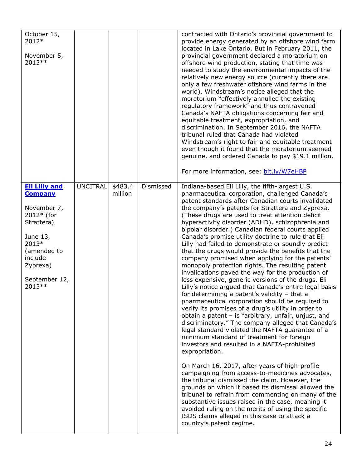| October 15,<br>2012*<br>November 5,<br>2013 **                                                                                                                             |                 |                    |           | contracted with Ontario's provincial government to<br>provide energy generated by an offshore wind farm<br>located in Lake Ontario. But in February 2011, the<br>provincial government declared a moratorium on<br>offshore wind production, stating that time was<br>needed to study the environmental impacts of the<br>relatively new energy source (currently there are<br>only a few freshwater offshore wind farms in the<br>world). Windstream's notice alleged that the<br>moratorium "effectively annulled the existing<br>regulatory framework" and thus contravened<br>Canada's NAFTA obligations concerning fair and<br>equitable treatment, expropriation, and<br>discrimination. In September 2016, the NAFTA<br>tribunal ruled that Canada had violated<br>Windstream's right to fair and equitable treatment<br>even though it found that the moratorium seemed<br>genuine, and ordered Canada to pay \$19.1 million.<br>For more information, see: bit.ly/W7eHBP                                                                                                                                                                                                                                                                                                                                                                                                                                                                                                                                                                                                                                                                                                                                               |
|----------------------------------------------------------------------------------------------------------------------------------------------------------------------------|-----------------|--------------------|-----------|---------------------------------------------------------------------------------------------------------------------------------------------------------------------------------------------------------------------------------------------------------------------------------------------------------------------------------------------------------------------------------------------------------------------------------------------------------------------------------------------------------------------------------------------------------------------------------------------------------------------------------------------------------------------------------------------------------------------------------------------------------------------------------------------------------------------------------------------------------------------------------------------------------------------------------------------------------------------------------------------------------------------------------------------------------------------------------------------------------------------------------------------------------------------------------------------------------------------------------------------------------------------------------------------------------------------------------------------------------------------------------------------------------------------------------------------------------------------------------------------------------------------------------------------------------------------------------------------------------------------------------------------------------------------------------------------------------------------------------|
| <b>Eli Lilly and</b><br><b>Company</b><br>November 7,<br>$2012*$ (for<br>Strattera)<br>June 13,<br>2013*<br>(amended to<br>include<br>Zyprexa)<br>September 12,<br>2013 ** | <b>UNCITRAL</b> | \$483.4<br>million | Dismissed | Indiana-based Eli Lilly, the fifth-largest U.S.<br>pharmaceutical corporation, challenged Canada's<br>patent standards after Canadian courts invalidated<br>the company's patents for Strattera and Zyprexa.<br>(These drugs are used to treat attention deficit<br>hyperactivity disorder (ADHD), schizophrenia and<br>bipolar disorder.) Canadian federal courts applied<br>Canada's promise utility doctrine to rule that Eli<br>Lilly had failed to demonstrate or soundly predict<br>that the drugs would provide the benefits that the<br>company promised when applying for the patents'<br>monopoly protection rights. The resulting patent<br>invalidations paved the way for the production of<br>less expensive, generic versions of the drugs. Eli<br>Lilly's notice argued that Canada's entire legal basis<br>for determining a patent's validity - that a<br>pharmaceutical corporation should be required to<br>verify its promises of a drug's utility in order to<br>obtain a patent - is "arbitrary, unfair, unjust, and<br>discriminatory." The company alleged that Canada's<br>legal standard violated the NAFTA guarantee of a<br>minimum standard of treatment for foreign<br>investors and resulted in a NAFTA-prohibited<br>expropriation.<br>On March 16, 2017, after years of high-profile<br>campaigning from access-to-medicines advocates,<br>the tribunal dismissed the claim. However, the<br>grounds on which it based its dismissal allowed the<br>tribunal to refrain from commenting on many of the<br>substantive issues raised in the case, meaning it<br>avoided ruling on the merits of using the specific<br>ISDS claims alleged in this case to attack a<br>country's patent regime. |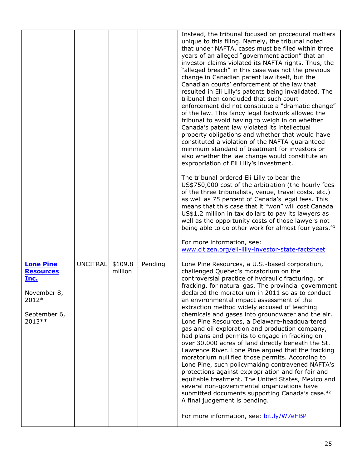|                                                                                                        |                 |                    |         | Instead, the tribunal focused on procedural matters<br>unique to this filing. Namely, the tribunal noted<br>that under NAFTA, cases must be filed within three<br>years of an alleged "government action" that an<br>investor claims violated its NAFTA rights. Thus, the<br>"alleged breach" in this case was not the previous<br>change in Canadian patent law itself, but the<br>Canadian courts' enforcement of the law that<br>resulted in Eli Lilly's patents being invalidated. The<br>tribunal then concluded that such court<br>enforcement did not constitute a "dramatic change"<br>of the law. This fancy legal footwork allowed the<br>tribunal to avoid having to weigh in on whether<br>Canada's patent law violated its intellectual<br>property obligations and whether that would have<br>constituted a violation of the NAFTA-guaranteed<br>minimum standard of treatment for investors or<br>also whether the law change would constitute an<br>expropriation of Eli Lilly's investment.<br>The tribunal ordered Eli Lilly to bear the<br>US\$750,000 cost of the arbitration (the hourly fees<br>of the three tribunalists, venue, travel costs, etc.)<br>as well as 75 percent of Canada's legal fees. This<br>means that this case that it "won" will cost Canada<br>US\$1.2 million in tax dollars to pay its lawyers as<br>well as the opportunity costs of those lawyers not<br>being able to do other work for almost four years. <sup>41</sup><br>For more information, see:<br>www.citizen.org/eli-lilly-investor-state-factsheet |
|--------------------------------------------------------------------------------------------------------|-----------------|--------------------|---------|----------------------------------------------------------------------------------------------------------------------------------------------------------------------------------------------------------------------------------------------------------------------------------------------------------------------------------------------------------------------------------------------------------------------------------------------------------------------------------------------------------------------------------------------------------------------------------------------------------------------------------------------------------------------------------------------------------------------------------------------------------------------------------------------------------------------------------------------------------------------------------------------------------------------------------------------------------------------------------------------------------------------------------------------------------------------------------------------------------------------------------------------------------------------------------------------------------------------------------------------------------------------------------------------------------------------------------------------------------------------------------------------------------------------------------------------------------------------------------------------------------------------------------------------------------------|
| <b>Lone Pine</b><br><b>Resources</b><br><u>Inc.</u><br>November 8,<br>2012*<br>September 6,<br>2013 ** | <b>UNCITRAL</b> | \$109.8<br>million | Pending | Lone Pine Resources, a U.S.-based corporation,<br>challenged Quebec's moratorium on the<br>controversial practice of hydraulic fracturing, or<br>fracking, for natural gas. The provincial government<br>declared the moratorium in 2011 so as to conduct<br>an environmental impact assessment of the<br>extraction method widely accused of leaching<br>chemicals and gases into groundwater and the air.<br>Lone Pine Resources, a Delaware-headquartered<br>gas and oil exploration and production company,<br>had plans and permits to engage in fracking on<br>over 30,000 acres of land directly beneath the St.<br>Lawrence River. Lone Pine argued that the fracking<br>moratorium nullified those permits. According to<br>Lone Pine, such policymaking contravened NAFTA's<br>protections against expropriation and for fair and<br>equitable treatment. The United States, Mexico and<br>several non-governmental organizations have<br>submitted documents supporting Canada's case. <sup>42</sup><br>A final judgement is pending.<br>For more information, see: bit.ly/W7eHBP                                                                                                                                                                                                                                                                                                                                                                                                                                                                   |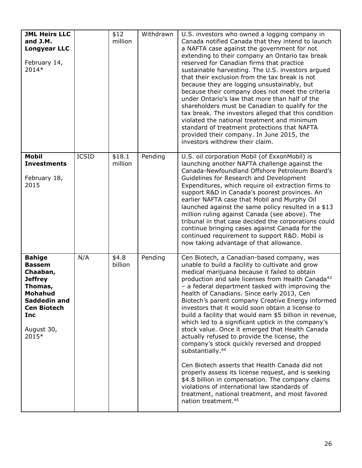| <b>JML Heirs LLC</b><br>and J.M.<br><b>Longyear LLC</b><br>February 14,<br>2014*                                                                              |              | \$12<br>million   | Withdrawn | U.S. investors who owned a logging company in<br>Canada notified Canada that they intend to launch<br>a NAFTA case against the government for not<br>extending to their company an Ontario tax break<br>reserved for Canadian firms that practice<br>sustainable harvesting. The U.S. investors argued<br>that their exclusion from the tax break is not<br>because they are logging unsustainably, but<br>because their company does not meet the criteria<br>under Ontario's law that more than half of the<br>shareholders must be Canadian to qualify for the<br>tax break. The investors alleged that this condition<br>violated the national treatment and minimum<br>standard of treatment protections that NAFTA<br>provided their company. In June 2015, the<br>investors withdrew their claim.                                                                                                                                                                                                                             |
|---------------------------------------------------------------------------------------------------------------------------------------------------------------|--------------|-------------------|-----------|--------------------------------------------------------------------------------------------------------------------------------------------------------------------------------------------------------------------------------------------------------------------------------------------------------------------------------------------------------------------------------------------------------------------------------------------------------------------------------------------------------------------------------------------------------------------------------------------------------------------------------------------------------------------------------------------------------------------------------------------------------------------------------------------------------------------------------------------------------------------------------------------------------------------------------------------------------------------------------------------------------------------------------------|
| <b>Mobil</b><br><b>Investments</b><br>February 18,<br>2015                                                                                                    | <b>ICSID</b> | \$18.1<br>million | Pending   | U.S. oil corporation Mobil (of ExxonMobil) is<br>launching another NAFTA challenge against the<br>Canada-Newfoundland Offshore Petroleum Board's<br>Guidelines for Research and Development<br>Expenditures, which require oil extraction firms to<br>support R&D in Canada's poorest provinces. An<br>earlier NAFTA case that Mobil and Murphy Oil<br>launched against the same policy resulted in a \$13<br>million ruling against Canada (see above). The<br>tribunal in that case decided the corporations could<br>continue bringing cases against Canada for the<br>continued requirement to support R&D. Mobil is<br>now taking advantage of that allowance.                                                                                                                                                                                                                                                                                                                                                                  |
| <b>Bahige</b><br><b>Bassem</b><br>Chaaban,<br><b>Jeffrey</b><br>Thomas,<br>Mohahud<br>Saddedin and<br><b>Cen Biotech</b><br><b>Inc</b><br>August 30,<br>2015* | N/A          | \$4.8<br>billion  | Pending   | Cen Biotech, a Canadian-based company, was<br>unable to build a facility to cultivate and grow<br>medical marijuana because it failed to obtain<br>production and sale licenses from Health Canada <sup>43</sup><br>- a federal department tasked with improving the<br>health of Canadians. Since early 2013, Cen<br>Biotech's parent company Creative Energy informed<br>investors that it would soon obtain a license to<br>build a facility that would earn \$5 billion in revenue,<br>which led to a significant uptick in the company's<br>stock value. Once it emerged that Health Canada<br>actually refused to provide the license, the<br>company's stock quickly reversed and dropped<br>substantially. <sup>44</sup><br>Cen Biotech asserts that Health Canada did not<br>properly assess its license request, and is seeking<br>\$4.8 billion in compensation. The company claims<br>violations of international law standards of<br>treatment, national treatment, and most favored<br>nation treatment. <sup>45</sup> |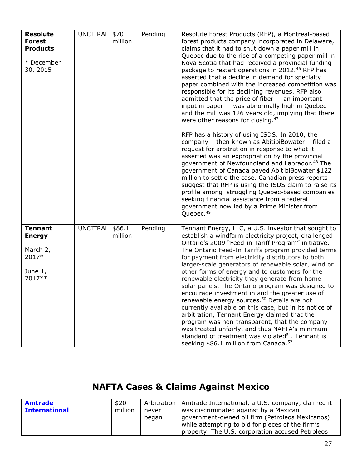| <b>Resolute</b><br><b>Forest</b><br><b>Products</b><br>* December<br>30, 2015 | <b>UNCITRAL</b> | \$70<br>million   | Pending | Resolute Forest Products (RFP), a Montreal-based<br>forest products company incorporated in Delaware,<br>claims that it had to shut down a paper mill in<br>Quebec due to the rise of a competing paper mill in<br>Nova Scotia that had received a provincial funding<br>package to restart operations in 2012.46 RFP has<br>asserted that a decline in demand for specialty<br>paper combined with the increased competition was<br>responsible for its declining revenues. RFP also<br>admitted that the price of fiber $-$ an important<br>input in paper - was abnormally high in Quebec<br>and the mill was 126 years old, implying that there<br>were other reasons for closing. <sup>47</sup><br>RFP has a history of using ISDS. In 2010, the<br>company - then known as AbitibiBowater - filed a<br>request for arbitration in response to what it<br>asserted was an expropriation by the provincial<br>government of Newfoundland and Labrador. <sup>48</sup> The<br>government of Canada payed AbitibiBowater \$122<br>million to settle the case. Canadian press reports<br>suggest that RFP is using the ISDS claim to raise its<br>profile among struggling Quebec-based companies<br>seeking financial assistance from a federal<br>government now led by a Prime Minister from<br>Quebec. <sup>49</sup> |
|-------------------------------------------------------------------------------|-----------------|-------------------|---------|--------------------------------------------------------------------------------------------------------------------------------------------------------------------------------------------------------------------------------------------------------------------------------------------------------------------------------------------------------------------------------------------------------------------------------------------------------------------------------------------------------------------------------------------------------------------------------------------------------------------------------------------------------------------------------------------------------------------------------------------------------------------------------------------------------------------------------------------------------------------------------------------------------------------------------------------------------------------------------------------------------------------------------------------------------------------------------------------------------------------------------------------------------------------------------------------------------------------------------------------------------------------------------------------------------------------------|
| <b>Tennant</b><br><b>Energy</b><br>March 2,<br>2017*<br>June $1,$<br>2017**   | <b>UNCITRAL</b> | \$86.1<br>million | Pending | Tennant Energy, LLC, a U.S. investor that sought to<br>establish a windfarm electricity project, challenged<br>Ontario's 2009 "Feed-in Tariff Program" initiative.<br>The Ontario Feed-In Tariffs program provided terms<br>for payment from electricity distributors to both<br>larger-scale generators of renewable solar, wind or<br>other forms of energy and to customers for the<br>renewable electricity they generate from home<br>solar panels. The Ontario program was designed to<br>encourage investment in and the greater use of<br>renewable energy sources. <sup>50</sup> Details are not<br>currently available on this case, but in its notice of<br>arbitration, Tennant Energy claimed that the<br>program was non-transparent, that the company<br>was treated unfairly, and thus NAFTA's minimum<br>standard of treatment was violated <sup>51</sup> . Tennant is<br>seeking \$86.1 million from Canada. <sup>52</sup>                                                                                                                                                                                                                                                                                                                                                                             |

# **NAFTA Cases & Claims Against Mexico**

| <b>Amtrade</b>       | \$20    |       | Arbitration   Amtrade International, a U.S. company, claimed it |
|----------------------|---------|-------|-----------------------------------------------------------------|
| <b>International</b> | million | never | was discriminated against by a Mexican                          |
|                      |         | began | government-owned oil firm (Petroleos Mexicanos)                 |
|                      |         |       | while attempting to bid for pieces of the firm's                |
|                      |         |       | property. The U.S. corporation accused Petroleos                |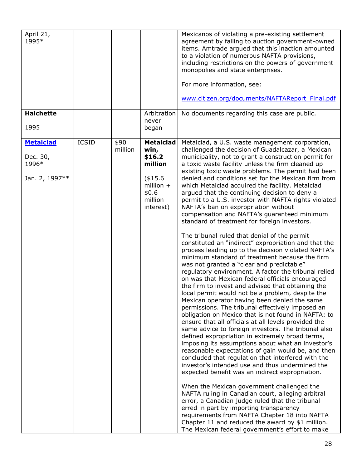| April 21,<br>1995*                                      |              |                 |                                                                                                          | Mexicanos of violating a pre-existing settlement<br>agreement by failing to auction government-owned<br>items. Amtrade arqued that this inaction amounted<br>to a violation of numerous NAFTA provisions,<br>including restrictions on the powers of government<br>monopolies and state enterprises.<br>For more information, see:<br>www.citizen.org/documents/NAFTAReport Final.pdf                                                                                                                                                                                                                                                                                                                                                                                                                                                                                                                                                                                                                                                                                                                                                                                                                                                                                                                                                                                                                                                                                                                                                                                                                                                                                                                                                                                                                                                                                                                                                                                                                                                                                              |
|---------------------------------------------------------|--------------|-----------------|----------------------------------------------------------------------------------------------------------|------------------------------------------------------------------------------------------------------------------------------------------------------------------------------------------------------------------------------------------------------------------------------------------------------------------------------------------------------------------------------------------------------------------------------------------------------------------------------------------------------------------------------------------------------------------------------------------------------------------------------------------------------------------------------------------------------------------------------------------------------------------------------------------------------------------------------------------------------------------------------------------------------------------------------------------------------------------------------------------------------------------------------------------------------------------------------------------------------------------------------------------------------------------------------------------------------------------------------------------------------------------------------------------------------------------------------------------------------------------------------------------------------------------------------------------------------------------------------------------------------------------------------------------------------------------------------------------------------------------------------------------------------------------------------------------------------------------------------------------------------------------------------------------------------------------------------------------------------------------------------------------------------------------------------------------------------------------------------------------------------------------------------------------------------------------------------------|
| <b>Halchette</b><br>1995                                |              |                 | Arbitration<br>never<br>began                                                                            | No documents regarding this case are public.                                                                                                                                                                                                                                                                                                                                                                                                                                                                                                                                                                                                                                                                                                                                                                                                                                                                                                                                                                                                                                                                                                                                                                                                                                                                                                                                                                                                                                                                                                                                                                                                                                                                                                                                                                                                                                                                                                                                                                                                                                       |
| <b>Metalclad</b><br>Dec. 30,<br>1996*<br>Jan. 2, 1997** | <b>ICSID</b> | \$90<br>million | <b>Metalclad</b><br>win,<br>\$16.2<br>million<br>(\$15.6<br>million $+$<br>\$0.6<br>million<br>interest) | Metalclad, a U.S. waste management corporation,<br>challenged the decision of Guadalcazar, a Mexican<br>municipality, not to grant a construction permit for<br>a toxic waste facility unless the firm cleaned up<br>existing toxic waste problems. The permit had been<br>denied and conditions set for the Mexican firm from<br>which Metalclad acquired the facility. Metalclad<br>argued that the continuing decision to deny a<br>permit to a U.S. investor with NAFTA rights violated<br>NAFTA's ban on expropriation without<br>compensation and NAFTA's guaranteed minimum<br>standard of treatment for foreign investors.<br>The tribunal ruled that denial of the permit<br>constituted an "indirect" expropriation and that the<br>process leading up to the decision violated NAFTA's<br>minimum standard of treatment because the firm<br>was not granted a "clear and predictable"<br>regulatory environment. A factor the tribunal relied<br>on was that Mexican federal officials encouraged<br>the firm to invest and advised that obtaining the<br>local permit would not be a problem, despite the<br>Mexican operator having been denied the same<br>permissions. The tribunal effectively imposed an<br>obligation on Mexico that is not found in NAFTA: to<br>ensure that all officials at all levels provided the<br>same advice to foreign investors. The tribunal also<br>defined expropriation in extremely broad terms,<br>imposing its assumptions about what an investor's<br>reasonable expectations of gain would be, and then<br>concluded that regulation that interfered with the<br>investor's intended use and thus undermined the<br>expected benefit was an indirect expropriation.<br>When the Mexican government challenged the<br>NAFTA ruling in Canadian court, alleging arbitral<br>error, a Canadian judge ruled that the tribunal<br>erred in part by importing transparency<br>requirements from NAFTA Chapter 18 into NAFTA<br>Chapter 11 and reduced the award by \$1 million.<br>The Mexican federal government's effort to make |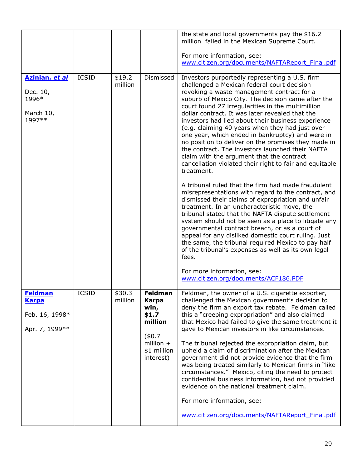|                                                                    |              |                   |                                                                                                                   | the state and local governments pay the \$16.2<br>million failed in the Mexican Supreme Court.<br>For more information, see:<br>www.citizen.org/documents/NAFTAReport Final.pdf                                                                                                                                                                                                                                                                                                                                                                                                                                                                                                                                                                                                                                                                                                                                                                                                                                                                                                                                                                                                                                                                                       |
|--------------------------------------------------------------------|--------------|-------------------|-------------------------------------------------------------------------------------------------------------------|-----------------------------------------------------------------------------------------------------------------------------------------------------------------------------------------------------------------------------------------------------------------------------------------------------------------------------------------------------------------------------------------------------------------------------------------------------------------------------------------------------------------------------------------------------------------------------------------------------------------------------------------------------------------------------------------------------------------------------------------------------------------------------------------------------------------------------------------------------------------------------------------------------------------------------------------------------------------------------------------------------------------------------------------------------------------------------------------------------------------------------------------------------------------------------------------------------------------------------------------------------------------------|
| Azinian, et al<br>Dec. 10,<br>1996*<br>March 10,<br>1997**         | <b>ICSID</b> | \$19.2<br>million | Dismissed                                                                                                         | Investors purportedly representing a U.S. firm<br>challenged a Mexican federal court decision<br>revoking a waste management contract for a<br>suburb of Mexico City. The decision came after the<br>court found 27 irregularities in the multimillion<br>dollar contract. It was later revealed that the<br>investors had lied about their business experience<br>(e.g. claiming 40 years when they had just over<br>one year, which ended in bankruptcy) and were in<br>no position to deliver on the promises they made in<br>the contract. The investors launched their NAFTA<br>claim with the argument that the contract<br>cancellation violated their right to fair and equitable<br>treatment.<br>A tribunal ruled that the firm had made fraudulent<br>misrepresentations with regard to the contract, and<br>dismissed their claims of expropriation and unfair<br>treatment. In an uncharacteristic move, the<br>tribunal stated that the NAFTA dispute settlement<br>system should not be seen as a place to litigate any<br>governmental contract breach, or as a court of<br>appeal for any disliked domestic court ruling. Just<br>the same, the tribunal required Mexico to pay half<br>of the tribunal's expenses as well as its own legal<br>fees. |
|                                                                    |              |                   |                                                                                                                   | For more information, see:<br>www.citizen.org/documents/ACF186.PDF                                                                                                                                                                                                                                                                                                                                                                                                                                                                                                                                                                                                                                                                                                                                                                                                                                                                                                                                                                                                                                                                                                                                                                                                    |
| <b>Feldman</b><br><b>Karpa</b><br>Feb. 16, 1998*<br>Apr. 7, 1999** | <b>ICSID</b> | \$30.3<br>million | <b>Feldman</b><br><b>Karpa</b><br>win,<br>\$1.7<br>million<br>(\$0.7\$<br>million $+$<br>\$1 million<br>interest) | Feldman, the owner of a U.S. cigarette exporter,<br>challenged the Mexican government's decision to<br>deny the firm an export tax rebate. Feldman called<br>this a "creeping expropriation" and also claimed<br>that Mexico had failed to give the same treatment it<br>gave to Mexican investors in like circumstances.<br>The tribunal rejected the expropriation claim, but<br>upheld a claim of discrimination after the Mexican<br>government did not provide evidence that the firm<br>was being treated similarly to Mexican firms in "like<br>circumstances." Mexico, citing the need to protect<br>confidential business information, had not provided<br>evidence on the national treatment claim.<br>For more information, see:<br>www.citizen.org/documents/NAFTAReport Final.pdf                                                                                                                                                                                                                                                                                                                                                                                                                                                                        |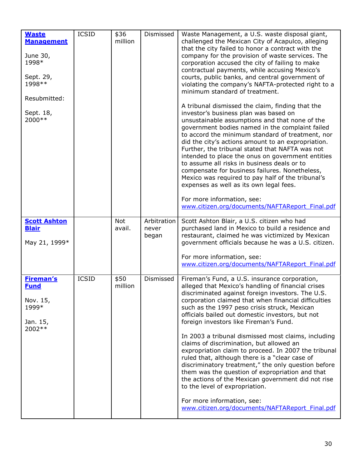| <b>Waste</b><br><b>Management</b><br>June 30,<br>1998*<br>Sept. 29,<br>1998 **<br>Resubmitted:<br>Sept. 18,<br>2000 ** | <b>ICSID</b> | \$36<br>million      | Dismissed                     | Waste Management, a U.S. waste disposal giant,<br>challenged the Mexican City of Acapulco, alleging<br>that the city failed to honor a contract with the<br>company for the provision of waste services. The<br>corporation accused the city of failing to make<br>contractual payments, while accusing Mexico's<br>courts, public banks, and central government of<br>violating the company's NAFTA-protected right to a<br>minimum standard of treatment.<br>A tribunal dismissed the claim, finding that the<br>investor's business plan was based on<br>unsustainable assumptions and that none of the<br>government bodies named in the complaint failed<br>to accord the minimum standard of treatment, nor<br>did the city's actions amount to an expropriation.<br>Further, the tribunal stated that NAFTA was not<br>intended to place the onus on government entities<br>to assume all risks in business deals or to<br>compensate for business failures. Nonetheless,<br>Mexico was required to pay half of the tribunal's<br>expenses as well as its own legal fees.<br>For more information, see:<br>www.citizen.org/documents/NAFTAReport Final.pdf |
|------------------------------------------------------------------------------------------------------------------------|--------------|----------------------|-------------------------------|-------------------------------------------------------------------------------------------------------------------------------------------------------------------------------------------------------------------------------------------------------------------------------------------------------------------------------------------------------------------------------------------------------------------------------------------------------------------------------------------------------------------------------------------------------------------------------------------------------------------------------------------------------------------------------------------------------------------------------------------------------------------------------------------------------------------------------------------------------------------------------------------------------------------------------------------------------------------------------------------------------------------------------------------------------------------------------------------------------------------------------------------------------------------|
| <b>Scott Ashton</b><br><b>Blair</b><br>May 21, 1999*                                                                   |              | <b>Not</b><br>avail. | Arbitration<br>never<br>began | Scott Ashton Blair, a U.S. citizen who had<br>purchased land in Mexico to build a residence and<br>restaurant, claimed he was victimized by Mexican<br>government officials because he was a U.S. citizen.<br>For more information, see:<br>www.citizen.org/documents/NAFTAReport Final.pdf                                                                                                                                                                                                                                                                                                                                                                                                                                                                                                                                                                                                                                                                                                                                                                                                                                                                       |
| <b>Fireman's</b><br><b>Fund</b><br>Nov. 15,<br>1999*<br>Jan. 15,<br>2002 **                                            | <b>ICSID</b> | \$50<br>million      | Dismissed                     | Fireman's Fund, a U.S. insurance corporation,<br>alleged that Mexico's handling of financial crises<br>discriminated against foreign investors. The U.S.<br>corporation claimed that when financial difficulties<br>such as the 1997 peso crisis struck, Mexican<br>officials bailed out domestic investors, but not<br>foreign investors like Fireman's Fund.<br>In 2003 a tribunal dismissed most claims, including<br>claims of discrimination, but allowed an<br>expropriation claim to proceed. In 2007 the tribunal<br>ruled that, although there is a "clear case of<br>discriminatory treatment," the only question before<br>them was the question of expropriation and that<br>the actions of the Mexican government did not rise<br>to the level of expropriation.<br>For more information, see:<br>www.citizen.org/documents/NAFTAReport Final.pdf                                                                                                                                                                                                                                                                                                    |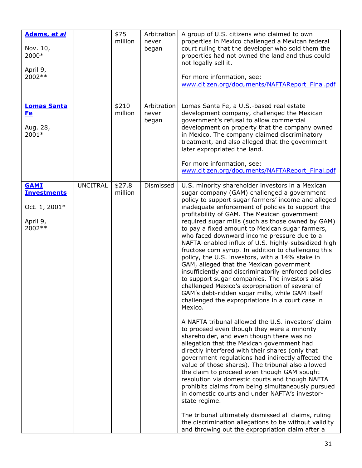| Adams, et al<br>Nov. 10,<br>2000*<br>April 9,<br>2002**                  |                 | \$75<br>million   | Arbitration<br>never<br>began | A group of U.S. citizens who claimed to own<br>properties in Mexico challenged a Mexican federal<br>court ruling that the developer who sold them the<br>properties had not owned the land and thus could<br>not legally sell it.<br>For more information, see:<br>www.citizen.org/documents/NAFTAReport Final.pdf                                                                                                                                                                                                                                                                                                                                                                                                                                                                                                                                                                                                                                                     |
|--------------------------------------------------------------------------|-----------------|-------------------|-------------------------------|------------------------------------------------------------------------------------------------------------------------------------------------------------------------------------------------------------------------------------------------------------------------------------------------------------------------------------------------------------------------------------------------------------------------------------------------------------------------------------------------------------------------------------------------------------------------------------------------------------------------------------------------------------------------------------------------------------------------------------------------------------------------------------------------------------------------------------------------------------------------------------------------------------------------------------------------------------------------|
| <b>Lomas Santa</b><br><b>Fe</b><br>Aug. 28,<br>2001*                     |                 | \$210<br>million  | Arbitration<br>never<br>began | Lomas Santa Fe, a U.S.-based real estate<br>development company, challenged the Mexican<br>government's refusal to allow commercial<br>development on property that the company owned<br>in Mexico. The company claimed discriminatory<br>treatment, and also alleged that the government<br>later expropriated the land.<br>For more information, see:<br>www.citizen.org/documents/NAFTAReport Final.pdf                                                                                                                                                                                                                                                                                                                                                                                                                                                                                                                                                             |
| <b>GAMI</b><br><b>Investments</b><br>Oct. 1, 2001*<br>April 9,<br>2002** | <b>UNCITRAL</b> | \$27.8<br>million | Dismissed                     | U.S. minority shareholder investors in a Mexican<br>sugar company (GAM) challenged a government<br>policy to support sugar farmers' income and alleged<br>inadequate enforcement of policies to support the<br>profitability of GAM. The Mexican government<br>required sugar mills (such as those owned by GAM)<br>to pay a fixed amount to Mexican sugar farmers,<br>who faced downward income pressure due to a<br>NAFTA-enabled influx of U.S. highly-subsidized high<br>fructose corn syrup. In addition to challenging this<br>policy, the U.S. investors, with a 14% stake in<br>GAM, alleged that the Mexican government<br>insufficiently and discriminatorily enforced policies<br>to support sugar companies. The investors also<br>challenged Mexico's expropriation of several of<br>GAM's debt-ridden sugar mills, while GAM itself<br>challenged the expropriations in a court case in<br>Mexico.<br>A NAFTA tribunal allowed the U.S. investors' claim |
|                                                                          |                 |                   |                               | to proceed even though they were a minority<br>shareholder, and even though there was no<br>allegation that the Mexican government had<br>directly interfered with their shares (only that<br>government regulations had indirectly affected the<br>value of those shares). The tribunal also allowed<br>the claim to proceed even though GAM sought<br>resolution via domestic courts and though NAFTA<br>prohibits claims from being simultaneously pursued<br>in domestic courts and under NAFTA's investor-<br>state regime.                                                                                                                                                                                                                                                                                                                                                                                                                                       |
|                                                                          |                 |                   |                               | The tribunal ultimately dismissed all claims, ruling<br>the discrimination allegations to be without validity<br>and throwing out the expropriation claim after a                                                                                                                                                                                                                                                                                                                                                                                                                                                                                                                                                                                                                                                                                                                                                                                                      |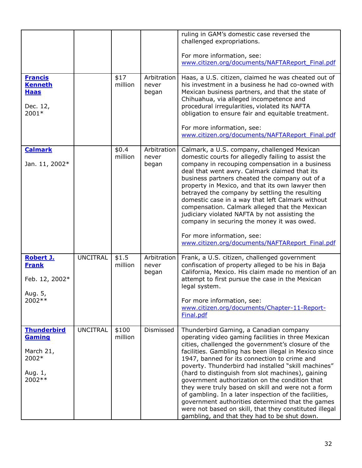|                                                                          |                 |                  |                               | ruling in GAM's domestic case reversed the<br>challenged expropriations.                                                                                                                                                                                                                                                                                                                                                                                                                                                                                                                                                                                                                               |
|--------------------------------------------------------------------------|-----------------|------------------|-------------------------------|--------------------------------------------------------------------------------------------------------------------------------------------------------------------------------------------------------------------------------------------------------------------------------------------------------------------------------------------------------------------------------------------------------------------------------------------------------------------------------------------------------------------------------------------------------------------------------------------------------------------------------------------------------------------------------------------------------|
|                                                                          |                 |                  |                               | For more information, see:<br>www.citizen.org/documents/NAFTAReport Final.pdf                                                                                                                                                                                                                                                                                                                                                                                                                                                                                                                                                                                                                          |
| <b>Francis</b><br><b>Kenneth</b><br><b>Haas</b><br>Dec. 12,<br>2001*     |                 | \$17<br>million  | Arbitration<br>never<br>began | Haas, a U.S. citizen, claimed he was cheated out of<br>his investment in a business he had co-owned with<br>Mexican business partners, and that the state of<br>Chihuahua, via alleged incompetence and<br>procedural irregularities, violated its NAFTA<br>obligation to ensure fair and equitable treatment.<br>For more information, see:<br>www.citizen.org/documents/NAFTAReport Final.pdf                                                                                                                                                                                                                                                                                                        |
| <b>Calmark</b><br>Jan. 11, 2002*                                         |                 | \$0.4<br>million | Arbitration<br>never<br>began | Calmark, a U.S. company, challenged Mexican<br>domestic courts for allegedly failing to assist the<br>company in recouping compensation in a business<br>deal that went awry. Calmark claimed that its<br>business partners cheated the company out of a<br>property in Mexico, and that its own lawyer then<br>betrayed the company by settling the resulting<br>domestic case in a way that left Calmark without<br>compensation. Calmark alleged that the Mexican<br>judiciary violated NAFTA by not assisting the<br>company in securing the money it was owed.                                                                                                                                    |
|                                                                          |                 |                  |                               | For more information, see:<br>www.citizen.org/documents/NAFTAReport Final.pdf                                                                                                                                                                                                                                                                                                                                                                                                                                                                                                                                                                                                                          |
| <b>Robert J.</b><br><b>Frank</b><br>Feb. 12, 2002*                       | <b>UNCITRAL</b> | \$1.5<br>million | Arbitration<br>never<br>began | Frank, a U.S. citizen, challenged government<br>confiscation of property alleged to be his in Baja<br>California, Mexico. His claim made no mention of an<br>attempt to first pursue the case in the Mexican<br>legal system.                                                                                                                                                                                                                                                                                                                                                                                                                                                                          |
| Aug. 5,<br>2002 **                                                       |                 |                  |                               | For more information, see:<br>www.citizen.org/documents/Chapter-11-Report-<br>Final.pdf                                                                                                                                                                                                                                                                                                                                                                                                                                                                                                                                                                                                                |
| <b>Thunderbird</b><br>Gaming<br>March 21,<br>2002*<br>Aug. 1,<br>2002 ** | <b>UNCITRAL</b> | \$100<br>million | Dismissed                     | Thunderbird Gaming, a Canadian company<br>operating video gaming facilities in three Mexican<br>cities, challenged the government's closure of the<br>facilities. Gambling has been illegal in Mexico since<br>1947, banned for its connection to crime and<br>poverty. Thunderbird had installed "skill machines"<br>(hard to distinguish from slot machines), gaining<br>government authorization on the condition that<br>they were truly based on skill and were not a form<br>of gambling. In a later inspection of the facilities,<br>government authorities determined that the games<br>were not based on skill, that they constituted illegal<br>gambling, and that they had to be shut down. |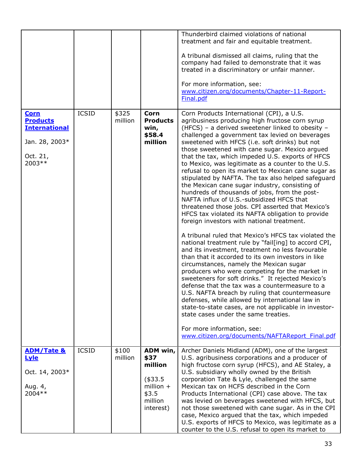|                                                                                                |              |                  |                                                                                         | Thunderbird claimed violations of national<br>treatment and fair and equitable treatment.<br>A tribunal dismissed all claims, ruling that the<br>company had failed to demonstrate that it was<br>treated in a discriminatory or unfair manner.<br>For more information, see:<br>www.citizen.org/documents/Chapter-11-Report-<br>Final.pdf                                                                                                                                                                                                                                                                                                                                                                                                                                                                                                                                                                                                                                                                                                                                                                                                                                                                                                                                                                                                                                                                                                                                                                                                                   |
|------------------------------------------------------------------------------------------------|--------------|------------------|-----------------------------------------------------------------------------------------|--------------------------------------------------------------------------------------------------------------------------------------------------------------------------------------------------------------------------------------------------------------------------------------------------------------------------------------------------------------------------------------------------------------------------------------------------------------------------------------------------------------------------------------------------------------------------------------------------------------------------------------------------------------------------------------------------------------------------------------------------------------------------------------------------------------------------------------------------------------------------------------------------------------------------------------------------------------------------------------------------------------------------------------------------------------------------------------------------------------------------------------------------------------------------------------------------------------------------------------------------------------------------------------------------------------------------------------------------------------------------------------------------------------------------------------------------------------------------------------------------------------------------------------------------------------|
| <b>Corn</b><br><b>Products</b><br><b>International</b><br>Jan. 28, 2003*<br>Oct. 21,<br>2003** | <b>ICSID</b> | \$325<br>million | <b>Corn</b><br><b>Products</b><br>win,<br>\$58.4<br>million                             | Corn Products International (CPI), a U.S.<br>agribusiness producing high fructose corn syrup<br>(HFCS) - a derived sweetener linked to obesity -<br>challenged a government tax levied on beverages<br>sweetened with HFCS (i.e. soft drinks) but not<br>those sweetened with cane sugar. Mexico argued<br>that the tax, which impeded U.S. exports of HFCS<br>to Mexico, was legitimate as a counter to the U.S.<br>refusal to open its market to Mexican cane sugar as<br>stipulated by NAFTA. The tax also helped safeguard<br>the Mexican cane sugar industry, consisting of<br>hundreds of thousands of jobs, from the post-<br>NAFTA influx of U.S.-subsidized HFCS that<br>threatened those jobs. CPI asserted that Mexico's<br>HFCS tax violated its NAFTA obligation to provide<br>foreign investors with national treatment.<br>A tribunal ruled that Mexico's HFCS tax violated the<br>national treatment rule by "fail[ing] to accord CPI,<br>and its investment, treatment no less favourable<br>than that it accorded to its own investors in like<br>circumstances, namely the Mexican sugar<br>producers who were competing for the market in<br>sweeteners for soft drinks." It rejected Mexico's<br>defense that the tax was a countermeasure to a<br>U.S. NAFTA breach by ruling that countermeasure<br>defenses, while allowed by international law in<br>state-to-state cases, are not applicable in investor-<br>state cases under the same treaties.<br>For more information, see:<br>www.citizen.org/documents/NAFTAReport Final.pdf |
| <b>ADM/Tate &amp;</b><br><b>Lyle</b><br>Oct. 14, 2003*<br>Aug. 4,<br>2004 **                   | <b>ICSID</b> | \$100<br>million | ADM win,<br>\$37<br>million<br>(\$33.5)<br>million $+$<br>\$3.5<br>million<br>interest) | Archer Daniels Midland (ADM), one of the largest<br>U.S. agribusiness corporations and a producer of<br>high fructose corn syrup (HFCS), and AE Staley, a<br>U.S. subsidiary wholly owned by the British<br>corporation Tate & Lyle, challenged the same<br>Mexican tax on HCFS described in the Corn<br>Products International (CPI) case above. The tax<br>was levied on beverages sweetened with HFCS, but<br>not those sweetened with cane sugar. As in the CPI<br>case, Mexico argued that the tax, which impeded<br>U.S. exports of HFCS to Mexico, was legitimate as a<br>counter to the U.S. refusal to open its market to                                                                                                                                                                                                                                                                                                                                                                                                                                                                                                                                                                                                                                                                                                                                                                                                                                                                                                                           |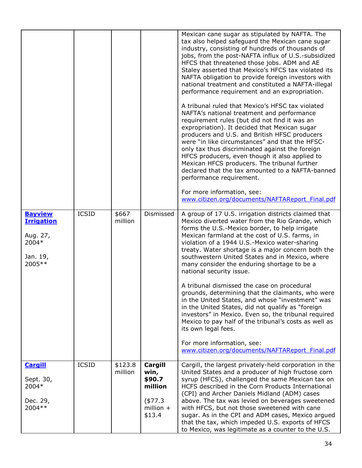|                                                                                |              |                    |                                                                            | Mexican cane sugar as stipulated by NAFTA. The<br>tax also helped safeguard the Mexican cane sugar<br>industry, consisting of hundreds of thousands of<br>jobs, from the post-NAFTA influx of U.S.-subsidized<br>HFCS that threatened those jobs. ADM and AE<br>Staley asserted that Mexico's HFCS tax violated its<br>NAFTA obligation to provide foreign investors with<br>national treatment and constituted a NAFTA-illegal<br>performance requirement and an expropriation.<br>A tribunal ruled that Mexico's HFSC tax violated<br>NAFTA's national treatment and performance<br>requirement rules (but did not find it was an<br>expropriation). It decided that Mexican sugar<br>producers and U.S. and British HFSC producers<br>were "in like circumstances" and that the HFSC-<br>only tax thus discriminated against the foreign<br>HFCS producers, even though it also applied to<br>Mexican HFCS producers. The tribunal further<br>declared that the tax amounted to a NAFTA-banned<br>performance requirement.<br>For more information, see:<br>www.citizen.org/documents/NAFTAReport Final.pdf |
|--------------------------------------------------------------------------------|--------------|--------------------|----------------------------------------------------------------------------|----------------------------------------------------------------------------------------------------------------------------------------------------------------------------------------------------------------------------------------------------------------------------------------------------------------------------------------------------------------------------------------------------------------------------------------------------------------------------------------------------------------------------------------------------------------------------------------------------------------------------------------------------------------------------------------------------------------------------------------------------------------------------------------------------------------------------------------------------------------------------------------------------------------------------------------------------------------------------------------------------------------------------------------------------------------------------------------------------------------|
| <b>Bayview</b><br><b>Irrigation</b><br>Aug. 27,<br>2004*<br>Jan. 19,<br>2005** | <b>ICSID</b> | \$667<br>million   | Dismissed                                                                  | A group of 17 U.S. irrigation districts claimed that<br>Mexico diverted water from the Rio Grande, which<br>forms the U.S.-Mexico border, to help irrigate<br>Mexican farmland at the cost of U.S. farms, in<br>violation of a 1944 U.S.-Mexico water-sharing<br>treaty. Water shortage is a major concern both the<br>southwestern United States and in Mexico, where<br>many consider the enduring shortage to be a<br>national security issue.<br>A tribunal dismissed the case on procedural                                                                                                                                                                                                                                                                                                                                                                                                                                                                                                                                                                                                               |
|                                                                                |              |                    |                                                                            | grounds, determining that the claimants, who were<br>in the United States, and whose "investment" was<br>in the United States, did not qualify as "foreign<br>investors" in Mexico. Even so, the tribunal required<br>Mexico to pay half of the tribunal's costs as well as<br>its own legal fees.<br>For more information, see:<br>www.citizen.org/documents/NAFTAReport Final.pdf                                                                                                                                                                                                                                                                                                                                                                                                                                                                                                                                                                                                                                                                                                                            |
| <b>Cargill</b><br>Sept. 30,<br>2004*<br>Dec. 29,<br>2004 **                    | <b>ICSID</b> | \$123.8<br>million | Cargill<br>win,<br>\$90.7<br>million<br>$(*77.3)$<br>million $+$<br>\$13.4 | Cargill, the largest privately-held corporation in the<br>United States and a producer of high fructose corn<br>syrup (HFCS), challenged the same Mexican tax on<br>HCFS described in the Corn Products International<br>(CPI) and Archer Daniels Midland (ADM) cases<br>above. The tax was levied on beverages sweetened<br>with HFCS, but not those sweetened with cane<br>sugar. As in the CPI and ADM cases, Mexico argued<br>that the tax, which impeded U.S. exports of HFCS<br>to Mexico, was legitimate as a counter to the U.S.                                                                                                                                                                                                                                                                                                                                                                                                                                                                                                                                                                       |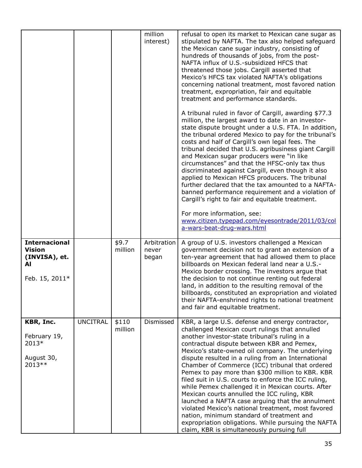|                                                                                |                 |                  | million<br>interest)          | refusal to open its market to Mexican cane sugar as<br>stipulated by NAFTA. The tax also helped safeguard<br>the Mexican cane sugar industry, consisting of<br>hundreds of thousands of jobs, from the post-<br>NAFTA influx of U.S.-subsidized HFCS that<br>threatened those jobs. Cargill asserted that<br>Mexico's HFCS tax violated NAFTA's obligations<br>concerning national treatment, most favored nation<br>treatment, expropriation, fair and equitable<br>treatment and performance standards.<br>A tribunal ruled in favor of Cargill, awarding \$77.3<br>million, the largest award to date in an investor-<br>state dispute brought under a U.S. FTA. In addition,<br>the tribunal ordered Mexico to pay for the tribunal's<br>costs and half of Cargill's own legal fees. The<br>tribunal decided that U.S. agribusiness giant Cargill<br>and Mexican sugar producers were "in like<br>circumstances" and that the HFSC-only tax thus<br>discriminated against Cargill, even though it also<br>applied to Mexican HFCS producers. The tribunal<br>further declared that the tax amounted to a NAFTA-<br>banned performance requirement and a violation of<br>Cargill's right to fair and equitable treatment.<br>For more information, see:<br>www.citizen.typepad.com/eyesontrade/2011/03/col |
|--------------------------------------------------------------------------------|-----------------|------------------|-------------------------------|---------------------------------------------------------------------------------------------------------------------------------------------------------------------------------------------------------------------------------------------------------------------------------------------------------------------------------------------------------------------------------------------------------------------------------------------------------------------------------------------------------------------------------------------------------------------------------------------------------------------------------------------------------------------------------------------------------------------------------------------------------------------------------------------------------------------------------------------------------------------------------------------------------------------------------------------------------------------------------------------------------------------------------------------------------------------------------------------------------------------------------------------------------------------------------------------------------------------------------------------------------------------------------------------------------------|
|                                                                                |                 |                  |                               | a-wars-beat-drug-wars.html                                                                                                                                                                                                                                                                                                                                                                                                                                                                                                                                                                                                                                                                                                                                                                                                                                                                                                                                                                                                                                                                                                                                                                                                                                                                                    |
| <b>Internacional</b><br><b>Vision</b><br>(INVISA), et.<br>Al<br>Feb. 15, 2011* |                 | \$9.7<br>million | Arbitration<br>never<br>began | A group of U.S. investors challenged a Mexican<br>government decision not to grant an extension of a<br>ten-year agreement that had allowed them to place<br>billboards on Mexican federal land near a U.S.-<br>Mexico border crossing. The investors argue that<br>the decision to not continue renting out federal<br>land, in addition to the resulting removal of the<br>billboards, constituted an expropriation and violated<br>their NAFTA-enshrined rights to national treatment<br>and fair and equitable treatment.                                                                                                                                                                                                                                                                                                                                                                                                                                                                                                                                                                                                                                                                                                                                                                                 |
| KBR, Inc.<br>February 19,<br>2013*<br>August 30,<br>2013 **                    | <b>UNCITRAL</b> | \$110<br>million | Dismissed                     | KBR, a large U.S. defense and energy contractor,<br>challenged Mexican court rulings that annulled<br>another investor-state tribunal's ruling in a<br>contractual dispute between KBR and Pemex,<br>Mexico's state-owned oil company. The underlying<br>dispute resulted in a ruling from an International<br>Chamber of Commerce (ICC) tribunal that ordered<br>Pemex to pay more than \$300 million to KBR. KBR<br>filed suit in U.S. courts to enforce the ICC ruling,<br>while Pemex challenged it in Mexican courts. After<br>Mexican courts annulled the ICC ruling, KBR<br>launched a NAFTA case arguing that the annulment<br>violated Mexico's national treatment, most favored<br>nation, minimum standard of treatment and<br>expropriation obligations. While pursuing the NAFTA<br>claim, KBR is simultaneously pursuing full                                                                                                                                                                                                                                                                                                                                                                                                                                                                   |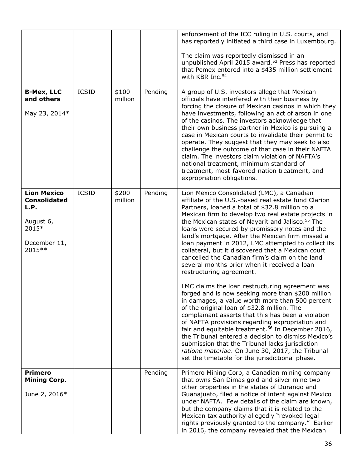|                                                                                                    |              |                  |         | enforcement of the ICC ruling in U.S. courts, and<br>has reportedly initiated a third case in Luxembourg.<br>The claim was reportedly dismissed in an<br>unpublished April 2015 award. <sup>53</sup> Press has reported<br>that Pemex entered into a \$435 million settlement<br>with KBR Inc. <sup>54</sup>                                                                                                                                                                                                                                                                                                                                                          |
|----------------------------------------------------------------------------------------------------|--------------|------------------|---------|-----------------------------------------------------------------------------------------------------------------------------------------------------------------------------------------------------------------------------------------------------------------------------------------------------------------------------------------------------------------------------------------------------------------------------------------------------------------------------------------------------------------------------------------------------------------------------------------------------------------------------------------------------------------------|
| <b>B-Mex, LLC</b><br>and others<br>May 23, 2014*                                                   | <b>ICSID</b> | \$100<br>million | Pending | A group of U.S. investors allege that Mexican<br>officials have interfered with their business by<br>forcing the closure of Mexican casinos in which they<br>have investments, following an act of arson in one<br>of the casinos. The investors acknowledge that<br>their own business partner in Mexico is pursuing a<br>case in Mexican courts to invalidate their permit to<br>operate. They suggest that they may seek to also<br>challenge the outcome of that case in their NAFTA<br>claim. The investors claim violation of NAFTA's<br>national treatment, minimum standard of<br>treatment, most-favored-nation treatment, and<br>expropriation obligations. |
| <b>Lion Mexico</b><br><b>Consolidated</b><br>L.P.<br>August 6,<br>2015*<br>December 11,<br>2015 ** | <b>ICSID</b> | \$200<br>million | Pending | Lion Mexico Consolidated (LMC), a Canadian<br>affiliate of the U.S.-based real estate fund Clarion<br>Partners, loaned a total of \$32.8 million to a<br>Mexican firm to develop two real estate projects in<br>the Mexican states of Nayarit and Jalisco. <sup>55</sup> The<br>loans were secured by promissory notes and the<br>land's mortgage. After the Mexican firm missed a<br>loan payment in 2012, LMC attempted to collect its<br>collateral, but it discovered that a Mexican court<br>cancelled the Canadian firm's claim on the land<br>several months prior when it received a loan<br>restructuring agreement.                                         |
|                                                                                                    |              |                  |         | LMC claims the loan restructuring agreement was<br>forged and is now seeking more than \$200 million<br>in damages, a value worth more than 500 percent<br>of the original loan of \$32.8 million. The<br>complainant asserts that this has been a violation<br>of NAFTA provisions regarding expropriation and<br>fair and equitable treatment. <sup>56</sup> In December 2016,<br>the Tribunal entered a decision to dismiss Mexico's<br>submission that the Tribunal lacks jurisdiction<br>ratione materiae. On June 30, 2017, the Tribunal<br>set the timetable for the jurisdictional phase.                                                                     |
| <b>Primero</b><br><b>Mining Corp.</b><br>June 2, 2016*                                             |              |                  | Pending | Primero Mining Corp, a Canadian mining company<br>that owns San Dimas gold and silver mine two<br>other properties in the states of Durango and<br>Guanajuato, filed a notice of intent against Mexico<br>under NAFTA. Few details of the claim are known,<br>but the company claims that it is related to the<br>Mexican tax authority allegedly "revoked legal<br>rights previously granted to the company." Earlier<br>in 2016, the company revealed that the Mexican                                                                                                                                                                                              |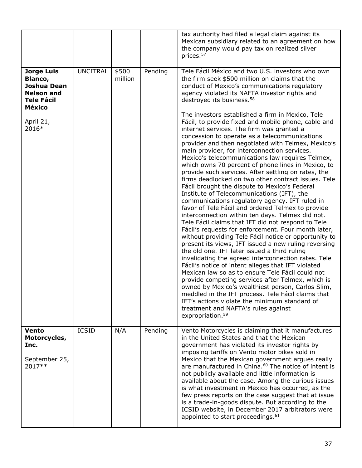|                                                                                                        |                 |                  |         | tax authority had filed a legal claim against its<br>Mexican subsidiary related to an agreement on how<br>the company would pay tax on realized silver<br>prices. <sup>57</sup>                                                                                                                                                                                                                                                                                                                                                                                                                                                                                                                                                                                                                                                                                                                                                                                                                                                                                                                                                                                                                                                                                                                                                                                                                                                                                                                                                      |
|--------------------------------------------------------------------------------------------------------|-----------------|------------------|---------|--------------------------------------------------------------------------------------------------------------------------------------------------------------------------------------------------------------------------------------------------------------------------------------------------------------------------------------------------------------------------------------------------------------------------------------------------------------------------------------------------------------------------------------------------------------------------------------------------------------------------------------------------------------------------------------------------------------------------------------------------------------------------------------------------------------------------------------------------------------------------------------------------------------------------------------------------------------------------------------------------------------------------------------------------------------------------------------------------------------------------------------------------------------------------------------------------------------------------------------------------------------------------------------------------------------------------------------------------------------------------------------------------------------------------------------------------------------------------------------------------------------------------------------|
| <b>Jorge Luis</b><br>Blanco,<br>Joshua Dean<br><b>Nelson and</b><br><b>Tele Fácil</b><br><b>México</b> | <b>UNCITRAL</b> | \$500<br>million | Pending | Tele Fácil México and two U.S. investors who own<br>the firm seek \$500 million on claims that the<br>conduct of Mexico's communications regulatory<br>agency violated its NAFTA investor rights and<br>destroyed its business. <sup>58</sup>                                                                                                                                                                                                                                                                                                                                                                                                                                                                                                                                                                                                                                                                                                                                                                                                                                                                                                                                                                                                                                                                                                                                                                                                                                                                                        |
| April 21,<br>2016*                                                                                     |                 |                  |         | The investors established a firm in Mexico, Tele<br>Fácil, to provide fixed and mobile phone, cable and<br>internet services. The firm was granted a<br>concession to operate as a telecommunications<br>provider and then negotiated with Telmex, Mexico's<br>main provider, for interconnection services.<br>Mexico's telecommunications law requires Telmex,<br>which owns 70 percent of phone lines in Mexico, to<br>provide such services. After settling on rates, the<br>firms deadlocked on two other contract issues. Tele<br>Fácil brought the dispute to Mexico's Federal<br>Institute of Telecommunications (IFT), the<br>communications regulatory agency. IFT ruled in<br>favor of Tele Fácil and ordered Telmex to provide<br>interconnection within ten days. Telmex did not.<br>Tele Fácil claims that IFT did not respond to Tele<br>Fácil's requests for enforcement. Four month later,<br>without providing Tele Fácil notice or opportunity to<br>present its views, IFT issued a new ruling reversing<br>the old one. IFT later issued a third ruling<br>invalidating the agreed interconnection rates. Tele<br>Fácil's notice of intent alleges that IFT violated<br>Mexican law so as to ensure Tele Fácil could not<br>provide competing services after Telmex, which is<br>owned by Mexico's wealthiest person, Carlos Slim,<br>meddled in the IFT process. Tele Fácil claims that<br>IFT's actions violate the minimum standard of<br>treatment and NAFTA's rules against<br>expropriation. <sup>59</sup> |
| Vento<br>Motorcycles,<br>Inc.<br>September 25,<br>2017**                                               | <b>ICSID</b>    | N/A              | Pending | Vento Motorcycles is claiming that it manufactures<br>in the United States and that the Mexican<br>government has violated its investor rights by<br>imposing tariffs on Vento motor bikes sold in<br>Mexico that the Mexican government argues really<br>are manufactured in China. <sup>60</sup> The notice of intent is<br>not publicly available and little information is<br>available about the case. Among the curious issues<br>is what investment in Mexico has occurred, as the<br>few press reports on the case suggest that at issue<br>is a trade-in-goods dispute. But according to the<br>ICSID website, in December 2017 arbitrators were<br>appointed to start proceedings. <sup>61</sup>                                                                                                                                                                                                                                                                                                                                                                                                                                                                                                                                                                                                                                                                                                                                                                                                                           |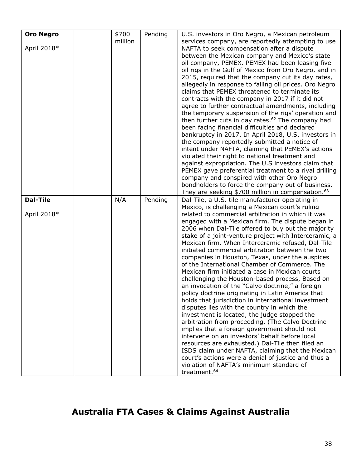| <b>Oro Negro</b> | \$700<br>million | Pending | U.S. investors in Oro Negro, a Mexican petroleum              |
|------------------|------------------|---------|---------------------------------------------------------------|
| April 2018*      |                  |         | services company, are reportedly attempting to use            |
|                  |                  |         | NAFTA to seek compensation after a dispute                    |
|                  |                  |         | between the Mexican company and Mexico's state                |
|                  |                  |         | oil company, PEMEX. PEMEX had been leasing five               |
|                  |                  |         | oil rigs in the Gulf of Mexico from Oro Negro, and in         |
|                  |                  |         | 2015, required that the company cut its day rates,            |
|                  |                  |         | allegedly in response to falling oil prices. Oro Negro        |
|                  |                  |         | claims that PEMEX threatened to terminate its                 |
|                  |                  |         | contracts with the company in 2017 if it did not              |
|                  |                  |         | agree to further contractual amendments, including            |
|                  |                  |         | the temporary suspension of the rigs' operation and           |
|                  |                  |         | then further cuts in day rates. <sup>62</sup> The company had |
|                  |                  |         | been facing financial difficulties and declared               |
|                  |                  |         | bankruptcy in 2017. In April 2018, U.S. investors in          |
|                  |                  |         | the company reportedly submitted a notice of                  |
|                  |                  |         | intent under NAFTA, claiming that PEMEX's actions             |
|                  |                  |         | violated their right to national treatment and                |
|                  |                  |         | against expropriation. The U.S investors claim that           |
|                  |                  |         | PEMEX gave preferential treatment to a rival drilling         |
|                  |                  |         | company and conspired with other Oro Negro                    |
|                  |                  |         | bondholders to force the company out of business.             |
|                  |                  |         | They are seeking \$700 million in compensation. <sup>63</sup> |
| <b>Dal-Tile</b>  | N/A              | Pending | Dal-Tile, a U.S. tile manufacturer operating in               |
|                  |                  |         | Mexico, is challenging a Mexican court's ruling               |
| April 2018*      |                  |         | related to commercial arbitration in which it was             |
|                  |                  |         | engaged with a Mexican firm. The dispute began in             |
|                  |                  |         | 2006 when Dal-Tile offered to buy out the majority            |
|                  |                  |         | stake of a joint-venture project with Interceramic, a         |
|                  |                  |         | Mexican firm. When Interceramic refused, Dal-Tile             |
|                  |                  |         | initiated commercial arbitration between the two              |
|                  |                  |         | companies in Houston, Texas, under the auspices               |
|                  |                  |         | of the International Chamber of Commerce. The                 |
|                  |                  |         | Mexican firm initiated a case in Mexican courts               |
|                  |                  |         | challenging the Houston-based process, Based on               |
|                  |                  |         | an invocation of the "Calvo doctrine," a foreign              |
|                  |                  |         | policy doctrine originating in Latin America that             |
|                  |                  |         | holds that jurisdiction in international investment           |
|                  |                  |         | disputes lies with the country in which the                   |
|                  |                  |         | investment is located, the judge stopped the                  |
|                  |                  |         | arbitration from proceeding. (The Calvo Doctrine              |
|                  |                  |         | implies that a foreign government should not                  |
|                  |                  |         | intervene on an investors' behalf before local                |
|                  |                  |         | resources are exhausted.) Dal-Tile then filed an              |
|                  |                  |         | ISDS claim under NAFTA, claiming that the Mexican             |
|                  |                  |         | court's actions were a denial of justice and thus a           |
|                  |                  |         | violation of NAFTA's minimum standard of                      |
|                  |                  |         | treatment. <sup>64</sup>                                      |

# **Australia FTA Cases & Claims Against Australia**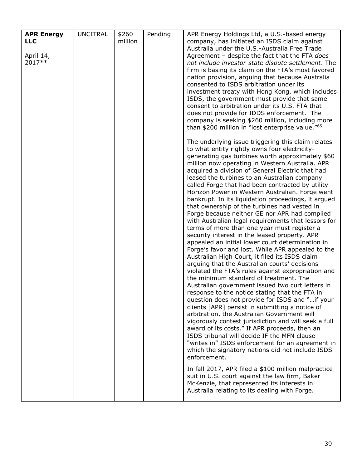| <b>APR Energy</b> | <b>UNCITRAL</b> | \$260   | Pending | APR Energy Holdings Ltd, a U.S.-based energy                                                          |
|-------------------|-----------------|---------|---------|-------------------------------------------------------------------------------------------------------|
| <b>LLC</b>        |                 | million |         | company, has initiated an ISDS claim against                                                          |
|                   |                 |         |         | Australia under the U.S.-Australia Free Trade                                                         |
| April 14,         |                 |         |         | Agreement - despite the fact that the FTA does                                                        |
| 2017**            |                 |         |         | not include investor-state dispute settlement. The                                                    |
|                   |                 |         |         | firm is basing its claim on the FTA's most favored                                                    |
|                   |                 |         |         | nation provision, arguing that because Australia                                                      |
|                   |                 |         |         | consented to ISDS arbitration under its                                                               |
|                   |                 |         |         | investment treaty with Hong Kong, which includes                                                      |
|                   |                 |         |         | ISDS, the government must provide that same                                                           |
|                   |                 |         |         | consent to arbitration under its U.S. FTA that                                                        |
|                   |                 |         |         | does not provide for IDDS enforcement. The                                                            |
|                   |                 |         |         | company is seeking \$260 million, including more                                                      |
|                   |                 |         |         |                                                                                                       |
|                   |                 |         |         | than \$200 million in "lost enterprise value." <sup>65</sup>                                          |
|                   |                 |         |         | The underlying issue triggering this claim relates                                                    |
|                   |                 |         |         | to what entity rightly owns four electricity-                                                         |
|                   |                 |         |         | generating gas turbines worth approximately \$60                                                      |
|                   |                 |         |         | million now operating in Western Australia. APR                                                       |
|                   |                 |         |         | acquired a division of General Electric that had                                                      |
|                   |                 |         |         | leased the turbines to an Australian company                                                          |
|                   |                 |         |         | called Forge that had been contracted by utility                                                      |
|                   |                 |         |         | Horizon Power in Western Australian. Forge went                                                       |
|                   |                 |         |         | bankrupt. In its liquidation proceedings, it argued                                                   |
|                   |                 |         |         | that ownership of the turbines had vested in                                                          |
|                   |                 |         |         | Forge because neither GE nor APR had complied                                                         |
|                   |                 |         |         | with Australian legal requirements that lessors for                                                   |
|                   |                 |         |         | terms of more than one year must register a                                                           |
|                   |                 |         |         | security interest in the leased property. APR                                                         |
|                   |                 |         |         | appealed an initial lower court determination in<br>Forge's favor and lost. While APR appealed to the |
|                   |                 |         |         |                                                                                                       |
|                   |                 |         |         | Australian High Court, it filed its ISDS claim                                                        |
|                   |                 |         |         | arguing that the Australian courts' decisions<br>violated the FTA's rules against expropriation and   |
|                   |                 |         |         | the minimum standard of treatment. The                                                                |
|                   |                 |         |         |                                                                                                       |
|                   |                 |         |         | Australian government issued two curt letters in                                                      |
|                   |                 |         |         | response to the notice stating that the FTA in                                                        |
|                   |                 |         |         | question does not provide for ISDS and "if your                                                       |
|                   |                 |         |         | clients [APR] persist in submitting a notice of                                                       |
|                   |                 |         |         | arbitration, the Australian Government will                                                           |
|                   |                 |         |         | vigorously contest jurisdiction and will seek a full                                                  |
|                   |                 |         |         | award of its costs." If APR proceeds, then an                                                         |
|                   |                 |         |         | ISDS tribunal will decide IF the MFN clause                                                           |
|                   |                 |         |         | "writes in" ISDS enforcement for an agreement in                                                      |
|                   |                 |         |         | which the signatory nations did not include ISDS                                                      |
|                   |                 |         |         | enforcement.                                                                                          |
|                   |                 |         |         | In fall 2017, APR filed a \$100 million malpractice                                                   |
|                   |                 |         |         | suit in U.S. court against the law firm, Baker                                                        |
|                   |                 |         |         | McKenzie, that represented its interests in                                                           |
|                   |                 |         |         | Australia relating to its dealing with Forge.                                                         |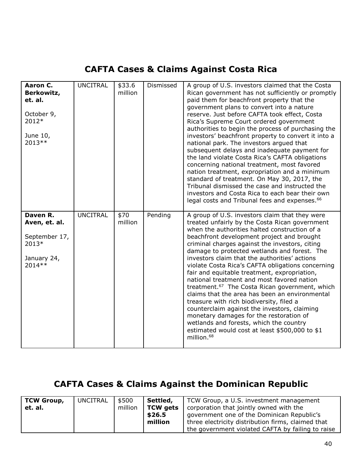### **CAFTA Cases & Claims Against Costa Rica**

| Aaron C.<br>Berkowitz,<br>et. al.<br>October 9,<br>2012*<br>June 10,<br>2013 ** | <b>UNCITRAL</b> | \$33.6<br>million | Dismissed | A group of U.S. investors claimed that the Costa<br>Rican government has not sufficiently or promptly<br>paid them for beachfront property that the<br>government plans to convert into a nature<br>reserve. Just before CAFTA took effect, Costa<br>Rica's Supreme Court ordered government<br>authorities to begin the process of purchasing the<br>investors' beachfront property to convert it into a<br>national park. The investors argued that<br>subsequent delays and inadequate payment for<br>the land violate Costa Rica's CAFTA obligations<br>concerning national treatment, most favored<br>nation treatment, expropriation and a minimum<br>standard of treatment. On May 30, 2017, the<br>Tribunal dismissed the case and instructed the<br>investors and Costa Rica to each bear their own<br>legal costs and Tribunal fees and expenses. <sup>66</sup>           |
|---------------------------------------------------------------------------------|-----------------|-------------------|-----------|-------------------------------------------------------------------------------------------------------------------------------------------------------------------------------------------------------------------------------------------------------------------------------------------------------------------------------------------------------------------------------------------------------------------------------------------------------------------------------------------------------------------------------------------------------------------------------------------------------------------------------------------------------------------------------------------------------------------------------------------------------------------------------------------------------------------------------------------------------------------------------------|
| Daven R.<br>Aven, et. al.<br>September 17,<br>2013*<br>January 24,<br>2014 **   | <b>UNCITRAL</b> | \$70<br>million   | Pending   | A group of U.S. investors claim that they were<br>treated unfairly by the Costa Rican government<br>when the authorities halted construction of a<br>beachfront development project and brought<br>criminal charges against the investors, citing<br>damage to protected wetlands and forest. The<br>investors claim that the authorities' actions<br>violate Costa Rica's CAFTA obligations concerning<br>fair and equitable treatment, expropriation,<br>national treatment and most favored nation<br>treatment. <sup>67</sup> The Costa Rican government, which<br>claims that the area has been an environmental<br>treasure with rich biodiversity, filed a<br>counterclaim against the investors, claiming<br>monetary damages for the restoration of<br>wetlands and forests, which the country<br>estimated would cost at least \$500,000 to \$1<br>million. <sup>68</sup> |

### **CAFTA Cases & Claims Against the Dominican Republic**

| <b>TCW Group,</b> | UNCITRAL | \$500   | Settled, | TCW Group, a U.S. investment management            |
|-------------------|----------|---------|----------|----------------------------------------------------|
| et. al.           |          | million | TCW gets | corporation that jointly owned with the            |
|                   |          |         | \$26.5   | government one of the Dominican Republic's         |
|                   |          |         | million  | three electricity distribution firms, claimed that |
|                   |          |         |          | the government violated CAFTA by failing to raise  |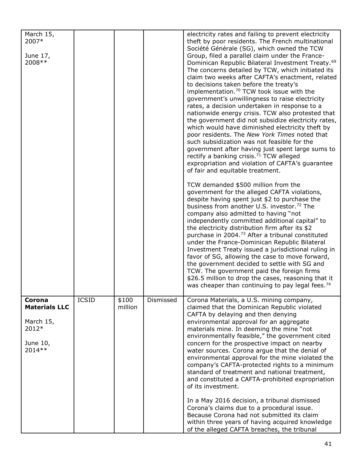| March 15,<br>2007*<br>June 17,<br>2008 **                                   |              |                  |           | electricity rates and failing to prevent electricity<br>theft by poor residents. The French multinational<br>Société Générale (SG), which owned the TCW<br>Group, filed a parallel claim under the France-<br>Dominican Republic Bilateral Investment Treaty. <sup>69</sup><br>The concerns detailed by TCW, which initiated its<br>claim two weeks after CAFTA's enactment, related<br>to decisions taken before the treaty's<br>implementation. <sup>70</sup> TCW took issue with the<br>government's unwillingness to raise electricity<br>rates, a decision undertaken in response to a<br>nationwide energy crisis. TCW also protested that<br>the government did not subsidize electricity rates,<br>which would have diminished electricity theft by<br>poor residents. The New York Times noted that<br>such subsidization was not feasible for the<br>government after having just spent large sums to<br>rectify a banking crisis. <sup>71</sup> TCW alleged<br>expropriation and violation of CAFTA's guarantee<br>of fair and equitable treatment.<br>TCW demanded \$500 million from the<br>government for the alleged CAFTA violations,<br>despite having spent just \$2 to purchase the<br>business from another U.S. investor. <sup>72</sup> The<br>company also admitted to having "not<br>independently committed additional capital" to<br>the electricity distribution firm after its \$2<br>purchase in 2004. <sup>73</sup> After a tribunal constituted<br>under the France-Dominican Republic Bilateral<br>Investment Treaty issued a jurisdictional ruling in<br>favor of SG, allowing the case to move forward,<br>the government decided to settle with SG and<br>TCW. The government paid the foreign firms<br>\$26.5 million to drop the cases, reasoning that it<br>was cheaper than continuing to pay legal fees. <sup>74</sup> |
|-----------------------------------------------------------------------------|--------------|------------------|-----------|---------------------------------------------------------------------------------------------------------------------------------------------------------------------------------------------------------------------------------------------------------------------------------------------------------------------------------------------------------------------------------------------------------------------------------------------------------------------------------------------------------------------------------------------------------------------------------------------------------------------------------------------------------------------------------------------------------------------------------------------------------------------------------------------------------------------------------------------------------------------------------------------------------------------------------------------------------------------------------------------------------------------------------------------------------------------------------------------------------------------------------------------------------------------------------------------------------------------------------------------------------------------------------------------------------------------------------------------------------------------------------------------------------------------------------------------------------------------------------------------------------------------------------------------------------------------------------------------------------------------------------------------------------------------------------------------------------------------------------------------------------------------------------------------------------------------------------------------------------------|
| Corona<br><b>Materials LLC</b><br>March 15,<br>2012*<br>June 10,<br>2014 ** | <b>ICSID</b> | \$100<br>million | Dismissed | Corona Materials, a U.S. mining company,<br>claimed that the Dominican Republic violated<br>CAFTA by delaying and then denying<br>environmental approval for an aggregate<br>materials mine. In deeming the mine "not<br>environmentally feasible," the government cited<br>concern for the prospective impact on nearby<br>water sources. Corona argue that the denial of<br>environmental approval for the mine violated the<br>company's CAFTA-protected rights to a minimum<br>standard of treatment and national treatment,<br>and constituted a CAFTA-prohibited expropriation<br>of its investment.<br>In a May 2016 decision, a tribunal dismissed<br>Corona's claims due to a procedural issue.<br>Because Corona had not submitted its claim<br>within three years of having acquired knowledge<br>of the alleged CAFTA breaches, the tribunal                                                                                                                                                                                                                                                                                                                                                                                                                                                                                                                                                                                                                                                                                                                                                                                                                                                                                                                                                                                                      |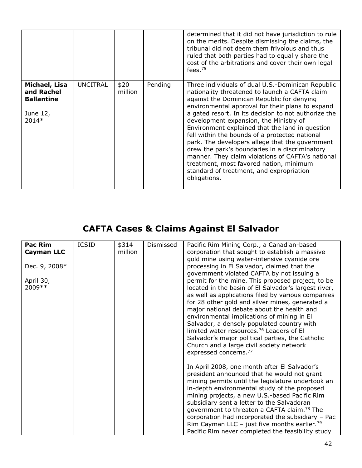|                                                                         |                 |                 |         | determined that it did not have jurisdiction to rule<br>on the merits. Despite dismissing the claims, the<br>tribunal did not deem them frivolous and thus<br>ruled that both parties had to equally share the<br>cost of the arbitrations and cover their own legal<br>fees. $75$                                                                                                                                                                                                                                                                                                                                                                                            |
|-------------------------------------------------------------------------|-----------------|-----------------|---------|-------------------------------------------------------------------------------------------------------------------------------------------------------------------------------------------------------------------------------------------------------------------------------------------------------------------------------------------------------------------------------------------------------------------------------------------------------------------------------------------------------------------------------------------------------------------------------------------------------------------------------------------------------------------------------|
| Michael, Lisa<br>and Rachel<br><b>Ballantine</b><br>June 12,<br>$2014*$ | <b>UNCITRAL</b> | \$20<br>million | Pending | Three individuals of dual U.S.-Dominican Republic<br>nationality threatened to launch a CAFTA claim<br>against the Dominican Republic for denying<br>environmental approval for their plans to expand<br>a gated resort. In its decision to not authorize the<br>development expansion, the Ministry of<br>Environment explained that the land in question<br>fell within the bounds of a protected national<br>park. The developers allege that the government<br>drew the park's boundaries in a discriminatory<br>manner. They claim violations of CAFTA's national<br>treatment, most favored nation, minimum<br>standard of treatment, and expropriation<br>obligations. |

# **CAFTA Cases & Claims Against El Salvador**

| <b>Pac Rim</b>    | <b>ICSID</b> | \$314   | Dismissed | Pacific Rim Mining Corp., a Canadian-based               |
|-------------------|--------------|---------|-----------|----------------------------------------------------------|
| <b>Cayman LLC</b> |              | million |           | corporation that sought to establish a massive           |
|                   |              |         |           | gold mine using water-intensive cyanide ore              |
| Dec. 9, 2008*     |              |         |           | processing in El Salvador, claimed that the              |
|                   |              |         |           | government violated CAFTA by not issuing a               |
| April 30,         |              |         |           | permit for the mine. This proposed project, to be        |
| 2009 **           |              |         |           | located in the basin of El Salvador's largest river,     |
|                   |              |         |           | as well as applications filed by various companies       |
|                   |              |         |           | for 28 other gold and silver mines, generated a          |
|                   |              |         |           | major national debate about the health and               |
|                   |              |         |           | environmental implications of mining in El               |
|                   |              |         |           | Salvador, a densely populated country with               |
|                   |              |         |           | limited water resources. <sup>76</sup> Leaders of El     |
|                   |              |         |           | Salvador's major political parties, the Catholic         |
|                   |              |         |           | Church and a large civil society network                 |
|                   |              |         |           | expressed concerns. <sup>77</sup>                        |
|                   |              |         |           | In April 2008, one month after El Salvador's             |
|                   |              |         |           | president announced that he would not grant              |
|                   |              |         |           | mining permits until the legislature undertook an        |
|                   |              |         |           | in-depth environmental study of the proposed             |
|                   |              |         |           | mining projects, a new U.S.-based Pacific Rim            |
|                   |              |         |           | subsidiary sent a letter to the Salvadoran               |
|                   |              |         |           | government to threaten a CAFTA claim. <sup>78</sup> The  |
|                   |              |         |           | corporation had incorporated the subsidiary - Pac        |
|                   |              |         |           | Rim Cayman LLC - just five months earlier. <sup>79</sup> |
|                   |              |         |           | Pacific Rim never completed the feasibility study        |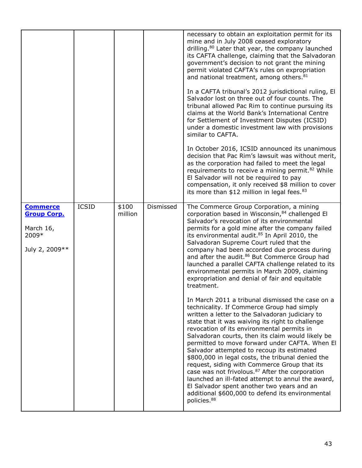|                                                                                |              |                  |           | necessary to obtain an exploitation permit for its<br>mine and in July 2008 ceased exploratory<br>drilling. <sup>80</sup> Later that year, the company launched<br>its CAFTA challenge, claiming that the Salvadoran<br>government's decision to not grant the mining<br>permit violated CAFTA's rules on expropriation<br>and national treatment, among others. <sup>81</sup><br>In a CAFTA tribunal's 2012 jurisdictional ruling, El<br>Salvador lost on three out of four counts. The<br>tribunal allowed Pac Rim to continue pursuing its<br>claims at the World Bank's International Centre<br>for Settlement of Investment Disputes (ICSID)<br>under a domestic investment law with provisions<br>similar to CAFTA.<br>In October 2016, ICSID announced its unanimous<br>decision that Pac Rim's lawsuit was without merit,<br>as the corporation had failed to meet the legal<br>requirements to receive a mining permit. <sup>82</sup> While<br>El Salvador will not be required to pay<br>compensation, it only received \$8 million to cover<br>its more than \$12 million in legal fees. <sup>83</sup>                                                                                                                                                                                                                                            |
|--------------------------------------------------------------------------------|--------------|------------------|-----------|--------------------------------------------------------------------------------------------------------------------------------------------------------------------------------------------------------------------------------------------------------------------------------------------------------------------------------------------------------------------------------------------------------------------------------------------------------------------------------------------------------------------------------------------------------------------------------------------------------------------------------------------------------------------------------------------------------------------------------------------------------------------------------------------------------------------------------------------------------------------------------------------------------------------------------------------------------------------------------------------------------------------------------------------------------------------------------------------------------------------------------------------------------------------------------------------------------------------------------------------------------------------------------------------------------------------------------------------------------------|
| <b>Commerce</b><br><b>Group Corp.</b><br>March 16,<br>2009*<br>July 2, 2009 ** | <b>ICSID</b> | \$100<br>million | Dismissed | The Commerce Group Corporation, a mining<br>corporation based in Wisconsin, 84 challenged El<br>Salvador's revocation of its environmental<br>permits for a gold mine after the company failed<br>its environmental audit. <sup>85</sup> In April 2010, the<br>Salvadoran Supreme Court ruled that the<br>company had been accorded due process during<br>and after the audit. <sup>86</sup> But Commerce Group had<br>launched a parallel CAFTA challenge related to its<br>environmental permits in March 2009, claiming<br>expropriation and denial of fair and equitable<br>treatment.<br>In March 2011 a tribunal dismissed the case on a<br>technicality. If Commerce Group had simply<br>written a letter to the Salvadoran judiciary to<br>state that it was waiving its right to challenge<br>revocation of its environmental permits in<br>Salvadoran courts, then its claim would likely be<br>permitted to move forward under CAFTA. When El<br>Salvador attempted to recoup its estimated<br>\$800,000 in legal costs, the tribunal denied the<br>request, siding with Commerce Group that its<br>case was not frivolous. <sup>87</sup> After the corporation<br>launched an ill-fated attempt to annul the award,<br>El Salvador spent another two years and an<br>additional \$600,000 to defend its environmental<br>policies. <sup>88</sup> |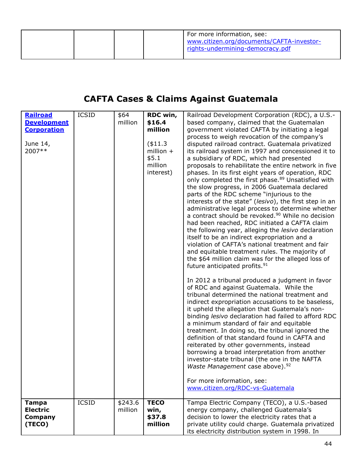|  |  | For more information, see:<br>www.citizen.org/documents/CAFTA-investor-<br>rights-undermining-democracy.pdf |
|--|--|-------------------------------------------------------------------------------------------------------------|
|  |  |                                                                                                             |

### **CAFTA Cases & Claims Against Guatemala**

| Railroad<br><b>Development</b><br><b>Corporation</b><br>June 14,<br>2007** | <b>ICSID</b> | \$64<br>million    | RDC win,<br>\$16.4<br>million<br>$(*11.3)$<br>million $+$<br>\$5.1<br>million<br>interest) | Railroad Development Corporation (RDC), a U.S.-<br>based company, claimed that the Guatemalan<br>government violated CAFTA by initiating a legal<br>process to weigh revocation of the company's<br>disputed railroad contract. Guatemala privatized<br>its railroad system in 1997 and concessioned it to<br>a subsidiary of RDC, which had presented<br>proposals to rehabilitate the entire network in five<br>phases. In its first eight years of operation, RDC<br>only completed the first phase. <sup>89</sup> Unsatisfied with<br>the slow progress, in 2006 Guatemala declared<br>parts of the RDC scheme "injurious to the<br>interests of the state" (lesivo), the first step in an<br>administrative legal process to determine whether<br>a contract should be revoked. <sup>90</sup> While no decision<br>had been reached, RDC initiated a CAFTA claim<br>the following year, alleging the lesivo declaration<br>itself to be an indirect expropriation and a<br>violation of CAFTA's national treatment and fair<br>and equitable treatment rules. The majority of<br>the \$64 million claim was for the alleged loss of<br>future anticipated profits. <sup>91</sup><br>In 2012 a tribunal produced a judgment in favor<br>of RDC and against Guatemala. While the<br>tribunal determined the national treatment and<br>indirect expropriation accusations to be baseless,<br>it upheld the allegation that Guatemala's non-<br>binding lesivo declaration had failed to afford RDC<br>a minimum standard of fair and equitable<br>treatment. In doing so, the tribunal ignored the<br>definition of that standard found in CAFTA and<br>reiterated by other governments, instead<br>borrowing a broad interpretation from another<br>investor-state tribunal (the one in the NAFTA<br>Waste Management case above). <sup>92</sup><br>For more information, see:<br>www.citizen.org/RDC-vs-Guatemala |
|----------------------------------------------------------------------------|--------------|--------------------|--------------------------------------------------------------------------------------------|-----------------------------------------------------------------------------------------------------------------------------------------------------------------------------------------------------------------------------------------------------------------------------------------------------------------------------------------------------------------------------------------------------------------------------------------------------------------------------------------------------------------------------------------------------------------------------------------------------------------------------------------------------------------------------------------------------------------------------------------------------------------------------------------------------------------------------------------------------------------------------------------------------------------------------------------------------------------------------------------------------------------------------------------------------------------------------------------------------------------------------------------------------------------------------------------------------------------------------------------------------------------------------------------------------------------------------------------------------------------------------------------------------------------------------------------------------------------------------------------------------------------------------------------------------------------------------------------------------------------------------------------------------------------------------------------------------------------------------------------------------------------------------------------------------------------------------------------------------------------------------------------------------------------------|
| <b>Tampa</b><br><b>Electric</b><br>Company<br>(TECO)                       | <b>ICSID</b> | \$243.6<br>million | <b>TECO</b><br>win,<br>\$37.8<br>million                                                   | Tampa Electric Company (TECO), a U.S.-based<br>energy company, challenged Guatemala's<br>decision to lower the electricity rates that a<br>private utility could charge. Guatemala privatized<br>its electricity distribution system in 1998. In                                                                                                                                                                                                                                                                                                                                                                                                                                                                                                                                                                                                                                                                                                                                                                                                                                                                                                                                                                                                                                                                                                                                                                                                                                                                                                                                                                                                                                                                                                                                                                                                                                                                      |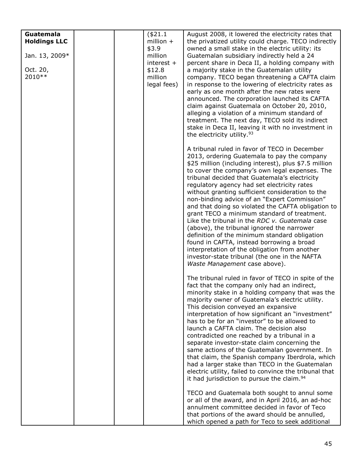| Guatemala           |  | (\$21.1      | August 2008, it lowered the electricity rates that                                                    |
|---------------------|--|--------------|-------------------------------------------------------------------------------------------------------|
| <b>Holdings LLC</b> |  | million $+$  | the privatized utility could charge. TECO indirectly                                                  |
|                     |  | \$3.9        | owned a small stake in the electric utility: its                                                      |
| Jan. 13, 2009*      |  | million      | Guatemalan subsidiary indirectly held a 24                                                            |
|                     |  | interest $+$ | percent share in Deca II, a holding company with                                                      |
| Oct. 20,            |  | \$12.8       | a majority stake in the Guatemalan utility                                                            |
| 2010 **             |  | million      | company. TECO began threatening a CAFTA claim                                                         |
|                     |  | legal fees)  | in response to the lowering of electricity rates as                                                   |
|                     |  |              | early as one month after the new rates were                                                           |
|                     |  |              | announced. The corporation launched its CAFTA                                                         |
|                     |  |              | claim against Guatemala on October 20, 2010,                                                          |
|                     |  |              | alleging a violation of a minimum standard of                                                         |
|                     |  |              | treatment. The next day, TECO sold its indirect<br>stake in Deca II, leaving it with no investment in |
|                     |  |              | the electricity utility. <sup>93</sup>                                                                |
|                     |  |              |                                                                                                       |
|                     |  |              | A tribunal ruled in favor of TECO in December                                                         |
|                     |  |              | 2013, ordering Guatemala to pay the company                                                           |
|                     |  |              | \$25 million (including interest), plus \$7.5 million                                                 |
|                     |  |              | to cover the company's own legal expenses. The                                                        |
|                     |  |              | tribunal decided that Guatemala's electricity<br>regulatory agency had set electricity rates          |
|                     |  |              | without granting sufficient consideration to the                                                      |
|                     |  |              | non-binding advice of an "Expert Commission"                                                          |
|                     |  |              | and that doing so violated the CAFTA obligation to                                                    |
|                     |  |              | grant TECO a minimum standard of treatment.                                                           |
|                     |  |              | Like the tribunal in the RDC v. Guatemala case                                                        |
|                     |  |              | (above), the tribunal ignored the narrower                                                            |
|                     |  |              | definition of the minimum standard obligation                                                         |
|                     |  |              | found in CAFTA, instead borrowing a broad                                                             |
|                     |  |              | interpretation of the obligation from another                                                         |
|                     |  |              | investor-state tribunal (the one in the NAFTA                                                         |
|                     |  |              | Waste Management case above).                                                                         |
|                     |  |              | The tribunal ruled in favor of TECO in spite of the                                                   |
|                     |  |              | fact that the company only had an indirect,                                                           |
|                     |  |              | minority stake in a holding company that was the                                                      |
|                     |  |              | majority owner of Guatemala's electric utility.                                                       |
|                     |  |              | This decision conveyed an expansive                                                                   |
|                     |  |              | interpretation of how significant an "investment"                                                     |
|                     |  |              | has to be for an "investor" to be allowed to                                                          |
|                     |  |              | launch a CAFTA claim. The decision also                                                               |
|                     |  |              | contradicted one reached by a tribunal in a<br>separate investor-state claim concerning the           |
|                     |  |              | same actions of the Guatemalan government. In                                                         |
|                     |  |              | that claim, the Spanish company Iberdrola, which                                                      |
|                     |  |              | had a larger stake than TECO in the Guatemalan                                                        |
|                     |  |              | electric utility, failed to convince the tribunal that                                                |
|                     |  |              | it had jurisdiction to pursue the claim. <sup>94</sup>                                                |
|                     |  |              | TECO and Guatemala both sought to annul some                                                          |
|                     |  |              | or all of the award, and in April 2016, an ad-hoc                                                     |
|                     |  |              | annulment committee decided in favor of Teco                                                          |
|                     |  |              | that portions of the award should be annulled,                                                        |
|                     |  |              | which opened a path for Teco to seek additional                                                       |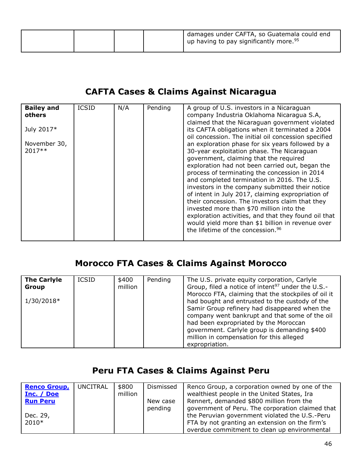### **CAFTA Cases & Claims Against Nicaragua**

| <b>Bailey and</b><br>others | <b>ICSID</b> | N/A | Pending | A group of U.S. investors in a Nicaraguan<br>company Industria Oklahoma Nicaragua S.A,                   |
|-----------------------------|--------------|-----|---------|----------------------------------------------------------------------------------------------------------|
|                             |              |     |         | claimed that the Nicaraguan government violated                                                          |
| July 2017*                  |              |     |         | its CAFTA obligations when it terminated a 2004                                                          |
| November 30,                |              |     |         | oil concession. The initial oil concession specified<br>an exploration phase for six years followed by a |
| $2017**$                    |              |     |         | 30-year exploitation phase. The Nicaraguan<br>government, claiming that the required                     |
|                             |              |     |         | exploration had not been carried out, began the<br>process of terminating the concession in 2014         |
|                             |              |     |         | and completed termination in 2016. The U.S.                                                              |
|                             |              |     |         | investors in the company submitted their notice<br>of intent in July 2017, claiming expropriation of     |
|                             |              |     |         | their concession. The investors claim that they                                                          |
|                             |              |     |         | invested more than \$70 million into the<br>exploration activities, and that they found oil that         |
|                             |              |     |         | would yield more than \$1 billion in revenue over<br>the lifetime of the concession. <sup>96</sup>       |
|                             |              |     |         |                                                                                                          |

#### **Morocco FTA Cases & Claims Against Morocco**

| <b>The Carlyle</b><br>Group | <b>ICSID</b> | \$400<br>million | Pending | The U.S. private equity corporation, Carlyle<br>Group, filed a notice of intent <sup>97</sup> under the U.S.-                                                                                                                                                                                                                                                   |
|-----------------------------|--------------|------------------|---------|-----------------------------------------------------------------------------------------------------------------------------------------------------------------------------------------------------------------------------------------------------------------------------------------------------------------------------------------------------------------|
| 1/30/2018*                  |              |                  |         | Morocco FTA, claiming that the stockpiles of oil it<br>had bought and entrusted to the custody of the<br>Samir Group refinery had disappeared when the<br>company went bankrupt and that some of the oil<br>had been expropriated by the Moroccan<br>government. Carlyle group is demanding \$400<br>million in compensation for this alleged<br>expropriation. |

### **Peru FTA Cases & Claims Against Peru**

| <b>Renco Group,</b> | UNCITRAL | \$800   | Dismissed | Renco Group, a corporation owned by one of the   |
|---------------------|----------|---------|-----------|--------------------------------------------------|
| Inc. / Doe          |          | million |           | wealthiest people in the United States, Ira      |
| <b>Run Peru</b>     |          |         | New case  | Rennert, demanded \$800 million from the         |
|                     |          |         | pending   | government of Peru. The corporation claimed that |
| Dec. 29,            |          |         |           | the Peruvian government violated the U.S.-Peru   |
| $2010*$             |          |         |           | FTA by not granting an extension on the firm's   |
|                     |          |         |           | overdue commitment to clean up environmental     |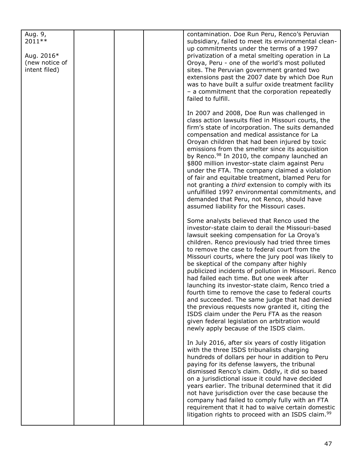| Aug. 9,<br>2011 **<br>Aug. 2016*<br>(new notice of<br>intent filed) |  | contamination. Doe Run Peru, Renco's Peruvian<br>subsidiary, failed to meet its environmental clean-<br>up commitments under the terms of a 1997<br>privatization of a metal smelting operation in La<br>Oroya, Peru - one of the world's most polluted<br>sites. The Peruvian government granted two<br>extensions past the 2007 date by which Doe Run<br>was to have built a sulfur oxide treatment facility<br>- a commitment that the corporation repeatedly<br>failed to fulfill.                                                                                                                                                                                                                                                                                                                            |
|---------------------------------------------------------------------|--|-------------------------------------------------------------------------------------------------------------------------------------------------------------------------------------------------------------------------------------------------------------------------------------------------------------------------------------------------------------------------------------------------------------------------------------------------------------------------------------------------------------------------------------------------------------------------------------------------------------------------------------------------------------------------------------------------------------------------------------------------------------------------------------------------------------------|
|                                                                     |  | In 2007 and 2008, Doe Run was challenged in<br>class action lawsuits filed in Missouri courts, the<br>firm's state of incorporation. The suits demanded<br>compensation and medical assistance for La<br>Oroyan children that had been injured by toxic<br>emissions from the smelter since its acquisition<br>by Renco. <sup>98</sup> In 2010, the company launched an<br>\$800 million investor-state claim against Peru<br>under the FTA. The company claimed a violation<br>of fair and equitable treatment, blamed Peru for<br>not granting a third extension to comply with its<br>unfulfilled 1997 environmental commitments, and<br>demanded that Peru, not Renco, should have<br>assumed liability for the Missouri cases.                                                                               |
|                                                                     |  | Some analysts believed that Renco used the<br>investor-state claim to derail the Missouri-based<br>lawsuit seeking compensation for La Oroya's<br>children. Renco previously had tried three times<br>to remove the case to federal court from the<br>Missouri courts, where the jury pool was likely to<br>be skeptical of the company after highly<br>publicized incidents of pollution in Missouri. Renco<br>had failed each time. But one week after<br>launching its investor-state claim, Renco tried a<br>fourth time to remove the case to federal courts<br>and succeeded. The same judge that had denied<br>the previous requests now granted it, citing the<br>ISDS claim under the Peru FTA as the reason<br>given federal legislation on arbitration would<br>newly apply because of the ISDS claim. |
|                                                                     |  | In July 2016, after six years of costly litigation<br>with the three ISDS tribunalists charging<br>hundreds of dollars per hour in addition to Peru<br>paying for its defense lawyers, the tribunal<br>dismissed Renco's claim. Oddly, it did so based<br>on a jurisdictional issue it could have decided<br>years earlier. The tribunal determined that it did<br>not have jurisdiction over the case because the<br>company had failed to comply fully with an FTA<br>requirement that it had to waive certain domestic<br>litigation rights to proceed with an ISDS claim. <sup>99</sup>                                                                                                                                                                                                                       |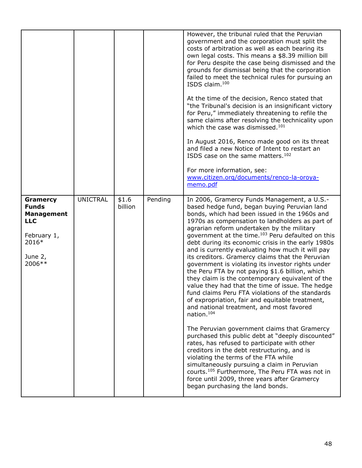|                                                                                                                   |                 |                  |         | However, the tribunal ruled that the Peruvian<br>government and the corporation must split the<br>costs of arbitration as well as each bearing its<br>own legal costs. This means a \$8.39 million bill<br>for Peru despite the case being dismissed and the<br>grounds for dismissal being that the corporation<br>failed to meet the technical rules for pursuing an<br>ISDS claim. <sup>100</sup><br>At the time of the decision, Renco stated that<br>"the Tribunal's decision is an insignificant victory<br>for Peru," immediately threatening to refile the<br>same claims after resolving the technicality upon<br>which the case was dismissed. <sup>101</sup><br>In August 2016, Renco made good on its threat<br>and filed a new Notice of Intent to restart an<br>ISDS case on the same matters. <sup>102</sup><br>For more information, see:<br>www.citizen.org/documents/renco-la-oroya-<br>memo.pdf                                                                                                                                                                                                                                                                                                                                                                                                      |
|-------------------------------------------------------------------------------------------------------------------|-----------------|------------------|---------|-------------------------------------------------------------------------------------------------------------------------------------------------------------------------------------------------------------------------------------------------------------------------------------------------------------------------------------------------------------------------------------------------------------------------------------------------------------------------------------------------------------------------------------------------------------------------------------------------------------------------------------------------------------------------------------------------------------------------------------------------------------------------------------------------------------------------------------------------------------------------------------------------------------------------------------------------------------------------------------------------------------------------------------------------------------------------------------------------------------------------------------------------------------------------------------------------------------------------------------------------------------------------------------------------------------------------|
| <b>Gramercy</b><br><b>Funds</b><br><b>Management</b><br><b>LLC</b><br>February 1,<br>2016*<br>June $2,$<br>2006** | <b>UNICTRAL</b> | \$1.6<br>billion | Pending | In 2006, Gramercy Funds Management, a U.S.-<br>based hedge fund, began buying Peruvian land<br>bonds, which had been issued in the 1960s and<br>1970s as compensation to landholders as part of<br>agrarian reform undertaken by the military<br>government at the time. <sup>103</sup> Peru defaulted on this<br>debt during its economic crisis in the early 1980s<br>and is currently evaluating how much it will pay<br>its creditors. Gramercy claims that the Peruvian<br>government is violating its investor rights under<br>the Peru FTA by not paying \$1.6 billion, which<br>they claim is the contemporary equivalent of the<br>value they had that the time of issue. The hedge<br>fund claims Peru FTA violations of the standards<br>of expropriation, fair and equitable treatment,<br>and national treatment, and most favored<br>nation. <sup>104</sup><br>The Peruvian government claims that Gramercy<br>purchased this public debt at "deeply discounted"<br>rates, has refused to participate with other<br>creditors in the debt restructuring, and is<br>violating the terms of the FTA while<br>simultaneously pursuing a claim in Peruvian<br>courts. <sup>105</sup> Furthermore, The Peru FTA was not in<br>force until 2009, three years after Gramercy<br>began purchasing the land bonds. |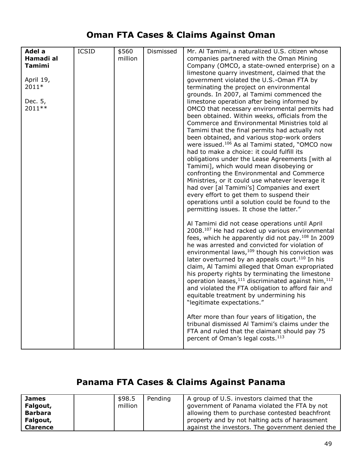### **Oman FTA Cases & Claims Against Oman**

| Adel a        | <b>ICSID</b> | \$560   | Dismissed | Mr. Al Tamimi, a naturalized U.S. citizen whose                            |
|---------------|--------------|---------|-----------|----------------------------------------------------------------------------|
| Hamadi al     |              | million |           | companies partnered with the Oman Mining                                   |
| <b>Tamimi</b> |              |         |           | Company (OMCO, a state-owned enterprise) on a                              |
|               |              |         |           | limestone quarry investment, claimed that the                              |
| April 19,     |              |         |           | government violated the U.S.-Oman FTA by                                   |
|               |              |         |           |                                                                            |
| 2011*         |              |         |           | terminating the project on environmental                                   |
|               |              |         |           | grounds. In 2007, al Tamimi commenced the                                  |
| Dec. 5,       |              |         |           | limestone operation after being informed by                                |
| 2011 **       |              |         |           | OMCO that necessary environmental permits had                              |
|               |              |         |           | been obtained. Within weeks, officials from the                            |
|               |              |         |           | Commerce and Environmental Ministries told al                              |
|               |              |         |           | Tamimi that the final permits had actually not                             |
|               |              |         |           | been obtained, and various stop-work orders                                |
|               |              |         |           | were issued. <sup>106</sup> As al Tamimi stated, "OMCO now                 |
|               |              |         |           | had to make a choice: it could fulfill its                                 |
|               |              |         |           | obligations under the Lease Agreements [with al                            |
|               |              |         |           | Tamimi], which would mean disobeying or                                    |
|               |              |         |           | confronting the Environmental and Commerce                                 |
|               |              |         |           | Ministries, or it could use whatever leverage it                           |
|               |              |         |           | had over [al Tamimi's] Companies and exert                                 |
|               |              |         |           | every effort to get them to suspend their                                  |
|               |              |         |           | operations until a solution could be found to the                          |
|               |              |         |           | permitting issues. It chose the latter."                                   |
|               |              |         |           |                                                                            |
|               |              |         |           | Al Tamimi did not cease operations until April                             |
|               |              |         |           | 2008.107 He had racked up various environmental                            |
|               |              |         |           | fees, which he apparently did not pay. <sup>108</sup> In 2009              |
|               |              |         |           | he was arrested and convicted for violation of                             |
|               |              |         |           | environmental laws, 109 though his conviction was                          |
|               |              |         |           | later overturned by an appeals court. <sup>110</sup> In his                |
|               |              |         |           |                                                                            |
|               |              |         |           | claim, Al Tamimi alleged that Oman expropriated                            |
|               |              |         |           | his property rights by terminating the limestone                           |
|               |              |         |           | operation leases, <sup>111</sup> discriminated against him, <sup>112</sup> |
|               |              |         |           | and violated the FTA obligation to afford fair and                         |
|               |              |         |           | equitable treatment by undermining his                                     |
|               |              |         |           | "legitimate expectations."                                                 |
|               |              |         |           | After more than four years of litigation, the                              |
|               |              |         |           | tribunal dismissed Al Tamimi's claims under the                            |
|               |              |         |           | FTA and ruled that the claimant should pay 75                              |
|               |              |         |           | percent of Oman's legal costs. <sup>113</sup>                              |
|               |              |         |           |                                                                            |

### **Panama FTA Cases & Claims Against Panama**

| <b>James</b>    | \$98.5  | Pending | A group of U.S. investors claimed that the       |
|-----------------|---------|---------|--------------------------------------------------|
| Falgout,        | million |         | government of Panama violated the FTA by not     |
| <b>Barbara</b>  |         |         | allowing them to purchase contested beachfront   |
| Falgout,        |         |         | property and by not halting acts of harassment   |
| <b>Clarence</b> |         |         | against the investors. The government denied the |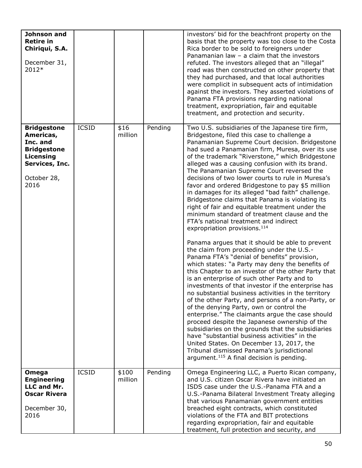| Johnson and<br><b>Retire in</b><br>Chiriqui, S.A.<br>December 31,<br>2012*                                              |              |                  |         | investors' bid for the beachfront property on the<br>basis that the property was too close to the Costa<br>Rica border to be sold to foreigners under<br>Panamanian law - a claim that the investors<br>refuted. The investors alleged that an "illegal"<br>road was then constructed on other property that<br>they had purchased, and that local authorities<br>were complicit in subsequent acts of intimidation<br>against the investors. They asserted violations of<br>Panama FTA provisions regarding national<br>treatment, expropriation, fair and equitable<br>treatment, and protection and security.                                                                                                                                                                                                                                                                                                                                                                                                                                                                                                                                                                                                                                                                                                                                                                                                                                                                                                                                                                                                                                         |
|-------------------------------------------------------------------------------------------------------------------------|--------------|------------------|---------|----------------------------------------------------------------------------------------------------------------------------------------------------------------------------------------------------------------------------------------------------------------------------------------------------------------------------------------------------------------------------------------------------------------------------------------------------------------------------------------------------------------------------------------------------------------------------------------------------------------------------------------------------------------------------------------------------------------------------------------------------------------------------------------------------------------------------------------------------------------------------------------------------------------------------------------------------------------------------------------------------------------------------------------------------------------------------------------------------------------------------------------------------------------------------------------------------------------------------------------------------------------------------------------------------------------------------------------------------------------------------------------------------------------------------------------------------------------------------------------------------------------------------------------------------------------------------------------------------------------------------------------------------------|
| <b>Bridgestone</b><br>Americas,<br>Inc. and<br><b>Bridgestone</b><br>Licensing<br>Services, Inc.<br>October 28,<br>2016 | <b>ICSID</b> | \$16<br>million  | Pending | Two U.S. subsidiaries of the Japanese tire firm,<br>Bridgestone, filed this case to challenge a<br>Panamanian Supreme Court decision. Bridgestone<br>had sued a Panamanian firm, Muresa, over its use<br>of the trademark "Riverstone," which Bridgestone<br>alleged was a causing confusion with its brand.<br>The Panamanian Supreme Court reversed the<br>decisions of two lower courts to rule in Muresa's<br>favor and ordered Bridgestone to pay \$5 million<br>in damages for its alleged "bad faith" challenge.<br>Bridgestone claims that Panama is violating its<br>right of fair and equitable treatment under the<br>minimum standard of treatment clause and the<br>FTA's national treatment and indirect<br>expropriation provisions. <sup>114</sup><br>Panama argues that it should be able to prevent<br>the claim from proceeding under the U.S.-<br>Panama FTA's "denial of benefits" provision,<br>which states: "a Party may deny the benefits of<br>this Chapter to an investor of the other Party that<br>is an enterprise of such other Party and to<br>investments of that investor if the enterprise has<br>no substantial business activities in the territory<br>of the other Party, and persons of a non-Party, or<br>of the denying Party, own or control the<br>enterprise." The claimants argue the case should<br>proceed despite the Japanese ownership of the<br>subsidiaries on the grounds that the subsidiaries<br>have "substantial business activities" in the<br>United States. On December 13, 2017, the<br>Tribunal dismissed Panama's jurisdictional<br>argument. <sup>115</sup> A final decision is pending. |
| Omega<br><b>Engineering</b><br>LLC and Mr.<br><b>Oscar Rivera</b><br>December 30,<br>2016                               | <b>ICSID</b> | \$100<br>million | Pending | Omega Engineering LLC, a Puerto Rican company,<br>and U.S. citizen Oscar Rivera have initiated an<br>ISDS case under the U.S.-Panama FTA and a<br>U.S.-Panama Bilateral Investment Treaty alleging<br>that various Panamanian government entities<br>breached eight contracts, which constituted<br>violations of the FTA and BIT protections<br>regarding expropriation, fair and equitable<br>treatment, full protection and security, and                                                                                                                                                                                                                                                                                                                                                                                                                                                                                                                                                                                                                                                                                                                                                                                                                                                                                                                                                                                                                                                                                                                                                                                                             |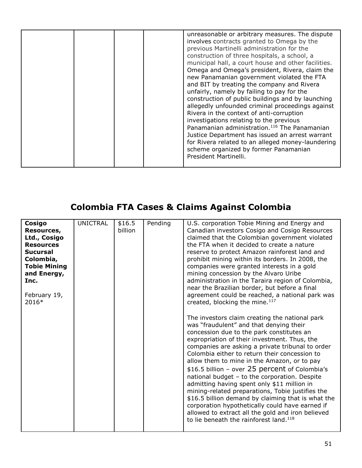|  | unreasonable or arbitrary measures. The dispute<br>involves contracts granted to Omega by the<br>previous Martinelli administration for the<br>construction of three hospitals, a school, a<br>municipal hall, a court house and other facilities.<br>Omega and Omega's president, Rivera, claim the<br>new Panamanian government violated the FTA<br>and BIT by treating the company and Rivera<br>unfairly, namely by failing to pay for the<br>construction of public buildings and by launching<br>allegedly unfounded criminal proceedings against<br>Rivera in the context of anti-corruption<br>investigations relating to the previous<br>Panamanian administration. <sup>116</sup> The Panamanian<br>Justice Department has issued an arrest warrant<br>for Rivera related to an alleged money-laundering<br>scheme organized by former Panamanian<br>President Martinelli. |
|--|--------------------------------------------------------------------------------------------------------------------------------------------------------------------------------------------------------------------------------------------------------------------------------------------------------------------------------------------------------------------------------------------------------------------------------------------------------------------------------------------------------------------------------------------------------------------------------------------------------------------------------------------------------------------------------------------------------------------------------------------------------------------------------------------------------------------------------------------------------------------------------------|
|--|--------------------------------------------------------------------------------------------------------------------------------------------------------------------------------------------------------------------------------------------------------------------------------------------------------------------------------------------------------------------------------------------------------------------------------------------------------------------------------------------------------------------------------------------------------------------------------------------------------------------------------------------------------------------------------------------------------------------------------------------------------------------------------------------------------------------------------------------------------------------------------------|

# **Colombia FTA Cases & Claims Against Colombia**

| Cosigo              | <b>UNICTRAL</b> | \$16.5  | Pending | U.S. corporation Tobie Mining and Energy and       |
|---------------------|-----------------|---------|---------|----------------------------------------------------|
| Resources,          |                 | billion |         | Canadian investors Cosigo and Cosigo Resources     |
| Ltd., Cosigo        |                 |         |         | claimed that the Colombian government violated     |
| <b>Resources</b>    |                 |         |         | the FTA when it decided to create a nature         |
| <b>Sucursal</b>     |                 |         |         | reserve to protect Amazon rainforest land and      |
| Colombia,           |                 |         |         | prohibit mining within its borders. In 2008, the   |
| <b>Tobie Mining</b> |                 |         |         | companies were granted interests in a gold         |
| and Energy,         |                 |         |         | mining concession by the Alvaro Uribe              |
| Inc.                |                 |         |         | administration in the Taraira region of Colombia,  |
|                     |                 |         |         | near the Brazilian border, but before a final      |
| February 19,        |                 |         |         | agreement could be reached, a national park was    |
| 2016*               |                 |         |         | created, blocking the mine. <sup>117</sup>         |
|                     |                 |         |         |                                                    |
|                     |                 |         |         | The investors claim creating the national park     |
|                     |                 |         |         | was "fraudulent" and that denying their            |
|                     |                 |         |         | concession due to the park constitutes an          |
|                     |                 |         |         | expropriation of their investment. Thus, the       |
|                     |                 |         |         | companies are asking a private tribunal to order   |
|                     |                 |         |         | Colombia either to return their concession to      |
|                     |                 |         |         | allow them to mine in the Amazon, or to pay        |
|                     |                 |         |         | \$16.5 billion - over 25 percent of Colombia's     |
|                     |                 |         |         |                                                    |
|                     |                 |         |         | national budget - to the corporation. Despite      |
|                     |                 |         |         | admitting having spent only \$11 million in        |
|                     |                 |         |         | mining-related preparations, Tobie justifies the   |
|                     |                 |         |         | \$16.5 billion demand by claiming that is what the |
|                     |                 |         |         | corporation hypothetically could have earned if    |
|                     |                 |         |         | allowed to extract all the gold and iron believed  |
|                     |                 |         |         | to lie beneath the rainforest land. <sup>118</sup> |
|                     |                 |         |         |                                                    |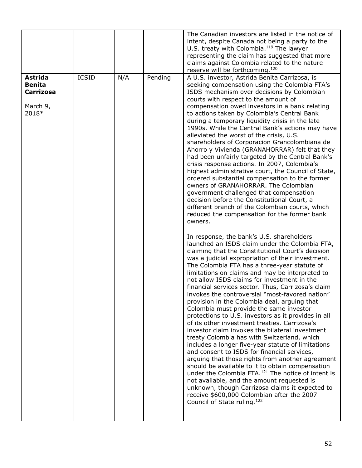|                                                                          |              |     |         | The Canadian investors are listed in the notice of<br>intent, despite Canada not being a party to the<br>U.S. treaty with Colombia. <sup>119</sup> The lawyer<br>representing the claim has suggested that more<br>claims against Colombia related to the nature<br>reserve will be forthcoming. <sup>120</sup>                                                                                                                                                                                                                                                                                                                                                                                                                                                                                                                                                                                                                                                                                                                                                                                                                                                                                                                                                                                                                                                                                                                                                                                                                                                                                                                                                                                                                                                                                                                                                                                                                                                                                                                                                  |
|--------------------------------------------------------------------------|--------------|-----|---------|------------------------------------------------------------------------------------------------------------------------------------------------------------------------------------------------------------------------------------------------------------------------------------------------------------------------------------------------------------------------------------------------------------------------------------------------------------------------------------------------------------------------------------------------------------------------------------------------------------------------------------------------------------------------------------------------------------------------------------------------------------------------------------------------------------------------------------------------------------------------------------------------------------------------------------------------------------------------------------------------------------------------------------------------------------------------------------------------------------------------------------------------------------------------------------------------------------------------------------------------------------------------------------------------------------------------------------------------------------------------------------------------------------------------------------------------------------------------------------------------------------------------------------------------------------------------------------------------------------------------------------------------------------------------------------------------------------------------------------------------------------------------------------------------------------------------------------------------------------------------------------------------------------------------------------------------------------------------------------------------------------------------------------------------------------------|
| <b>Astrida</b><br><b>Benita</b><br><b>Carrizosa</b><br>March 9,<br>2018* | <b>ICSID</b> | N/A | Pending | A U.S. investor, Astrida Benita Carrizosa, is<br>seeking compensation using the Colombia FTA's<br>ISDS mechanism over decisions by Colombian<br>courts with respect to the amount of<br>compensation owed investors in a bank relating<br>to actions taken by Colombia's Central Bank<br>during a temporary liquidity crisis in the late<br>1990s. While the Central Bank's actions may have<br>alleviated the worst of the crisis, U.S.<br>shareholders of Corporacion Grancolombiana de<br>Ahorro y Vivienda (GRANAHORRAR) felt that they<br>had been unfairly targeted by the Central Bank's<br>crisis response actions. In 2007, Colombia's<br>highest administrative court, the Council of State,<br>ordered substantial compensation to the former<br>owners of GRANAHORRAR. The Colombian<br>government challenged that compensation<br>decision before the Constitutional Court, a<br>different branch of the Colombian courts, which<br>reduced the compensation for the former bank<br>owners.<br>In response, the bank's U.S. shareholders<br>launched an ISDS claim under the Colombia FTA,<br>claiming that the Constitutional Court's decision<br>was a judicial expropriation of their investment.<br>The Colombia FTA has a three-year statute of<br>limitations on claims and may be interpreted to<br>not allow ISDS claims for investment in the<br>financial services sector. Thus, Carrizosa's claim<br>invokes the controversial "most-favored nation"<br>provision in the Colombia deal, arguing that<br>Colombia must provide the same investor<br>protections to U.S. investors as it provides in all<br>of its other investment treaties. Carrizosa's<br>investor claim invokes the bilateral investment<br>treaty Colombia has with Switzerland, which<br>includes a longer five-year statute of limitations<br>and consent to ISDS for financial services,<br>arguing that those rights from another agreement<br>should be available to it to obtain compensation<br>under the Colombia FTA. <sup>121</sup> The notice of intent is |
|                                                                          |              |     |         | not available, and the amount requested is<br>unknown, though Carrizosa claims it expected to<br>receive \$600,000 Colombian after the 2007<br>Council of State ruling. <sup>122</sup>                                                                                                                                                                                                                                                                                                                                                                                                                                                                                                                                                                                                                                                                                                                                                                                                                                                                                                                                                                                                                                                                                                                                                                                                                                                                                                                                                                                                                                                                                                                                                                                                                                                                                                                                                                                                                                                                           |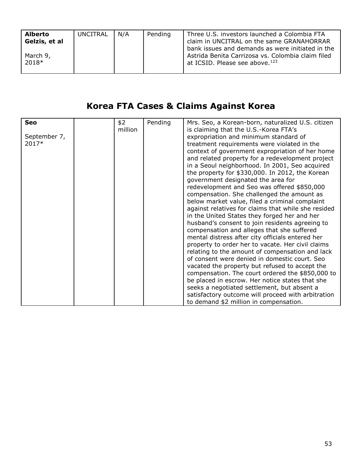| <b>Alberto</b><br>Gelzis, et al | UNCITRAL | N/A | Pending | Three U.S. investors launched a Colombia FTA<br>claim in UNCITRAL on the same GRANAHORRAR                                                           |
|---------------------------------|----------|-----|---------|-----------------------------------------------------------------------------------------------------------------------------------------------------|
| March 9,<br>2018*               |          |     |         | bank issues and demands as were initiated in the<br>Astrida Benita Carrizosa vs. Colombia claim filed<br>at ICSID. Please see above. <sup>123</sup> |

# **Korea FTA Cases & Claims Against Korea**

| <b>Seo</b>   | \$2     | Pending | Mrs. Seo, a Korean-born, naturalized U.S. citizen   |
|--------------|---------|---------|-----------------------------------------------------|
|              | million |         | is claiming that the U.S.-Korea FTA's               |
| September 7, |         |         | expropriation and minimum standard of               |
| 2017*        |         |         | treatment requirements were violated in the         |
|              |         |         | context of government expropriation of her home     |
|              |         |         | and related property for a redevelopment project    |
|              |         |         |                                                     |
|              |         |         | in a Seoul neighborhood. In 2001, Seo acquired      |
|              |         |         | the property for \$330,000. In 2012, the Korean     |
|              |         |         | government designated the area for                  |
|              |         |         | redevelopment and Seo was offered \$850,000         |
|              |         |         | compensation. She challenged the amount as          |
|              |         |         | below market value, filed a criminal complaint      |
|              |         |         | against relatives for claims that while she resided |
|              |         |         | in the United States they forged her and her        |
|              |         |         | husband's consent to join residents agreeing to     |
|              |         |         | compensation and alleges that she suffered          |
|              |         |         | mental distress after city officials entered her    |
|              |         |         | property to order her to vacate. Her civil claims   |
|              |         |         | relating to the amount of compensation and lack     |
|              |         |         | of consent were denied in domestic court. Seo       |
|              |         |         | vacated the property but refused to accept the      |
|              |         |         |                                                     |
|              |         |         | compensation. The court ordered the \$850,000 to    |
|              |         |         | be placed in escrow. Her notice states that she     |
|              |         |         | seeks a negotiated settlement, but absent a         |
|              |         |         | satisfactory outcome will proceed with arbitration  |
|              |         |         | to demand \$2 million in compensation.              |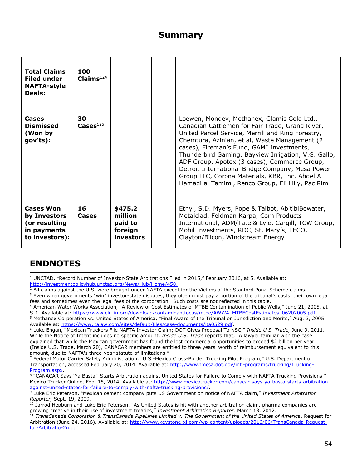#### **Summary**

| <b>Total Claims</b><br><b>Filed under</b><br><b>NAFTA-style</b><br><b>Deals:</b>   | 100<br>Claims <sup>124</sup> |                                                       |                                                                                                                                                                                                                                                                                                                                                                                                                                                                                                                      |
|------------------------------------------------------------------------------------|------------------------------|-------------------------------------------------------|----------------------------------------------------------------------------------------------------------------------------------------------------------------------------------------------------------------------------------------------------------------------------------------------------------------------------------------------------------------------------------------------------------------------------------------------------------------------------------------------------------------------|
| Cases<br><b>Dismissed</b><br>(Won by<br>gov'ts):                                   | 30<br>$\textbf{Cases}^{125}$ |                                                       | Loewen, Mondev, Methanex, Glamis Gold Ltd.,<br>Canadian Cattlemen for Fair Trade, Grand River,<br>United Parcel Service, Merrill and Ring Forestry,<br>Chemtura, Azinian, et al, Waste Management (2)<br>cases), Fireman's Fund, GAMI Investments,<br>Thunderbird Gaming, Bayview Irrigation, V.G. Gallo,<br>ADF Group, Apotex (3 cases), Commerce Group,<br>Detroit International Bridge Company, Mesa Power<br>Group LLC, Corona Materials, KBR, Inc, Abdel A<br>Hamadi al Tamimi, Renco Group, Eli Lilly, Pac Rim |
| <b>Cases Won</b><br>by Investors<br>(or resulting<br>in payments<br>to investors): | 16<br>Cases                  | \$475.2<br>million<br>paid to<br>foreign<br>investors | Ethyl, S.D. Myers, Pope & Talbot, AbitibiBowater,<br>Metalclad, Feldman Karpa, Corn Products<br>International, ADM/Tate & Lyle, Cargill, TCW Group,<br>Mobil Investments, RDC, St. Mary's, TECO,<br>Clayton/Bilcon, Windstream Energy                                                                                                                                                                                                                                                                                |

#### **ENDNOTES**

l

 $1$  UNCTAD, "Record Number of Investor-State Arbitrations Filed in 2015," February 2016, at 5. Available at: http://investmentpolicyhub.unctad.org/News/Hub/Home/458.

 $^2$  All claims against the U.S. were brought under NAFTA except for the Victims of the Stanford Ponzi Scheme claims. <sup>3</sup> Even when governments "win" investor-state disputes, they often must pay a portion of the tribunal's costs, their own legal

fees and sometimes even the legal fees of the corporation. Such costs are not reflected in this table. <sup>4</sup> American Water Works Association, "A Review of Cost Estimates of MTBE Contamination of Public Wells," June 21, 2005, at

S-1. Available at: [https://www.clu-in.org/download/contaminantfocus/mtbe/AWWA\\_MTBECostEstimates\\_06202005.pdf.](https://www.clu-in.org/download/contaminantfocus/mtbe/AWWA_MTBECostEstimates_06202005.pdf)

<sup>5</sup> Methanex Corporation vs. United States of America, "Final Award of the Tribunal on Jurisdiction and Merits," Aug. 3, 2005. Available at: [https://www.italaw.com/sites/default/files/case-documents/ita0529.pdf.](https://www.italaw.com/sites/default/files/case-documents/ita0529.pdf)

<sup>6</sup> Luke Engan, "Mexican Truckers File NAFTA Investor Claim; DOT Gives Proposal To NSC," *Inside U.S. Trade,* June 9, 2011. While the Notice of Intent includes no specific amount, *Inside U.S. Trade* reports that, "A lawyer familiar with the case explained that while the Mexican government has found the lost commercial opportunities to exceed \$2 billion per year (Inside U.S. Trade, March 20), CANACAR members are entitled to three years' worth of reimbursement equivalent to this amount, due to NAFTA's three-year statute of limitations."

<sup>7</sup> Federal Motor Carrier Safety Administration, "U.S.-Mexico Cross-Border Trucking Pilot Program," U.S. Department of Transportation, accessed February 20, 2014. Available at: [http://www.fmcsa.dot.gov/intl-programs/trucking/Trucking-](http://www.fmcsa.dot.gov/intl-programs/trucking/Trucking-Program.aspx)[Program.aspx.](http://www.fmcsa.dot.gov/intl-programs/trucking/Trucking-Program.aspx)

<sup>&</sup>lt;sup>8</sup> "CANACAR Says 'Ya Basta!' Starts Arbitration against United States for Failure to Comply with NAFTA Trucking Provisions," Mexico Trucker Online, Feb. 15, 2014. Available at: [http://www.mexicotrucker.com/canacar-says-ya-basta-starts-arbitration](http://www.mexicotrucker.com/canacar-says-ya-basta-starts-arbitration-against-united-states-for-failure-to-comply-with-nafta-trucking-provisions/)[against-united-states-for-failure-to-comply-with-nafta-trucking-provisions/.](http://www.mexicotrucker.com/canacar-says-ya-basta-starts-arbitration-against-united-states-for-failure-to-comply-with-nafta-trucking-provisions/)

<sup>9</sup> Luke Eric Peterson, "Mexican cement company puts US Government on notice of NAFTA claim," *Investment Arbitration Reporter,* Sept. 19, 2009.

 $10$  Jarrod Hepburn and Luke Eric Peterson, "As United States is hit with another arbitration claim, pharma companies are growing creative in their use of investment treaties," *Investment Arbitration Reporter*, March 13, 2012.<br><sup>11</sup> *TransCanada Corporation* 8 *TransCanal* 15, 2012.

<sup>11</sup> *TransCanada Corporation & TransCanada PipeLines Limited v. The Government of the United States of America*, Request for Arbitration (June 24, 2016). Available at: [http://www.keystone-xl.com/wp-content/uploads/2016/06/TransCanada-Request](http://www.keystone-xl.com/wp-content/uploads/2016/06/TransCanada-Request-for-Arbitratio-2n.pdf)[for-Arbitratio-2n.pdf](http://www.keystone-xl.com/wp-content/uploads/2016/06/TransCanada-Request-for-Arbitratio-2n.pdf)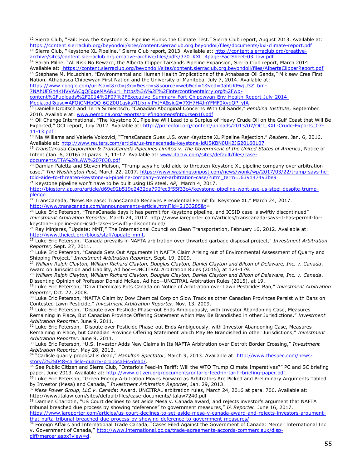<sup>12</sup> Sierra Club, "Fail: How the Keystone XL Pipeline Flunks the Climate Test." Sierra Club report, August 2013. Available at: <https://content.sierraclub.org/beyondoil/sites/content.sierraclub.org.beyondoil/files/documents/kxl-climate-report.pdf> Sierra Club, "Keystone XL Pipeline," Sierra Club report, 2013. Available at: [http://content.sierraclub.org/creative](http://content.sierraclub.org/creative-archive/sites/content.sierraclub.org.creative-archive/files/pdfs/370_KXL_4page-FactSheet-03_low.pdf)[archive/sites/content.sierraclub.org.creative-archive/files/pdfs/370\\_KXL\\_4page-FactSheet-03\\_low.pdf](http://content.sierraclub.org/creative-archive/sites/content.sierraclub.org.creative-archive/files/pdfs/370_KXL_4page-FactSheet-03_low.pdf)

<sup>14</sup> Sarah Milne, "All Risk No Reward, the Alberta Clipper Tarsands Pipeline Expansion, Sierra Club report, March 2014. Available at: https://content.sierraclub.org/beyondoil/sites/content.sierraclub.org.beyondoil/files/AlbertaClipperReport.pdf <sup>15</sup> Stéphane M. McLachlan, "Environmental and Human Health Implications of the Athabasca Oil Sands," Mikisew Cree First

Nation, Athabasca Chipewyan First Nation and the University of Manitoba. July 7, 2014. Available at:

[https://www.google.com/url?sa=t&rct=j&q=&esrc=s&source=web&cd=1&ved=0ahUKEwjU3Z\\_bm-](https://www.google.com/url?sa=t&rct=j&q=&esrc=s&source=web&cd=1&ved=0ahUKEwjU3Z_bm-7NAhUFGh4KHVVAACgQFggeMAA&url=https%3A%2F%2Fintercontinentalcry.org%2Fwp-content%2Fuploads%2F2014%2F07%2FExecutive-Summary-Fort-Chipewyan-Env-Health-Report-July-2014-Media.pdf&usg=AFQjCNHbQQ-6GZ0U1gsks7l1fxnyiPxJYA&sig2=7XH7H4JnYFMF0XvgQP_yfA)

[7NAhUFGh4KHVVAACgQFggeMAA&url=https%3A%2F%2Fintercontinentalcry.org%2Fwp-](https://www.google.com/url?sa=t&rct=j&q=&esrc=s&source=web&cd=1&ved=0ahUKEwjU3Z_bm-7NAhUFGh4KHVVAACgQFggeMAA&url=https%3A%2F%2Fintercontinentalcry.org%2Fwp-content%2Fuploads%2F2014%2F07%2FExecutive-Summary-Fort-Chipewyan-Env-Health-Report-July-2014-Media.pdf&usg=AFQjCNHbQQ-6GZ0U1gsks7l1fxnyiPxJYA&sig2=7XH7H4JnYFMF0XvgQP_yfA)

l

[content%2Fuploads%2F2014%2F07%2FExecutive-Summary-Fort-Chipewyan-Env-Health-Report-July-2014-](https://www.google.com/url?sa=t&rct=j&q=&esrc=s&source=web&cd=1&ved=0ahUKEwjU3Z_bm-7NAhUFGh4KHVVAACgQFggeMAA&url=https%3A%2F%2Fintercontinentalcry.org%2Fwp-content%2Fuploads%2F2014%2F07%2FExecutive-Summary-Fort-Chipewyan-Env-Health-Report-July-2014-Media.pdf&usg=AFQjCNHbQQ-6GZ0U1gsks7l1fxnyiPxJYA&sig2=7XH7H4JnYFMF0XvgQP_yfA)

[Media.pdf&usg=AFQjCNHbQQ-6GZ0U1gsks7l1fxnyiPxJYA&sig2=7XH7H4JnYFMF0XvgQP\\_yfA](https://www.google.com/url?sa=t&rct=j&q=&esrc=s&source=web&cd=1&ved=0ahUKEwjU3Z_bm-7NAhUFGh4KHVVAACgQFggeMAA&url=https%3A%2F%2Fintercontinentalcry.org%2Fwp-content%2Fuploads%2F2014%2F07%2FExecutive-Summary-Fort-Chipewyan-Env-Health-Report-July-2014-Media.pdf&usg=AFQjCNHbQQ-6GZ0U1gsks7l1fxnyiPxJYA&sig2=7XH7H4JnYFMF0XvgQP_yfA)

<sup>16</sup> Danielle Droitsch and Terra Simieritsch, "Canadian Aboriginal Concerns With Oil Sands," *Pembina Institute*, September 2010. Available at: [www.pembina.org/reports/briefingnoteosfntoursep10.pdf](http://www.pembina.org/reports/briefingnoteosfntoursep10.pdf)

<sup>17</sup> Oil Change International, "The Keystone XL Pipeline Will Lead to a Surplus of Heavy Crude Oil on the Gulf Coast that Will Be Exported," OCI report, July 2012. Available at: [http://priceofoil.org/content/uploads/2013/07/OCI\\_KXL-Crude-Exports\\_07-](http://priceofoil.org/content/uploads/2013/07/OCI_KXL-Crude-Exports_07-11-13.pdf) [11-13.pdf](http://priceofoil.org/content/uploads/2013/07/OCI_KXL-Crude-Exports_07-11-13.pdf)

<sup>18</sup> Nia Williams and Valerie Volcovici, "TransCanada Sues U.S. over Keystone XL Pipeline Rejection," *Reuters*, Jan. 6, 2016. Available at:<http://www.reuters.com/article/us-transcanada-keystone-idUSKBN0UK2JG20160107>

<sup>19</sup> *TransCanada Corporation & TransCanada PipeLines Limited v. The Government of the United States of America*, Notice of Intent (Jan. 6, 2016) at paras. 3, 11-12. Available at: [www.italaw.com/sites/default/files/case](http://www.italaw.com/sites/default/files/case-documents/ITA%20LAW%207030.pdf)[documents/ITA%20LAW%207030.pdf](http://www.italaw.com/sites/default/files/case-documents/ITA%20LAW%207030.pdf)

<sup>20</sup> Damian Paletta and Steven Mufson, "Trump says he told aide to threaten Keystone XL pipeline company over arbitration case," The Washington Post, March 22, 2017. [https://www.washingtonpost.com/news/wonk/wp/2017/03/22/trump-says-he](https://www.washingtonpost.com/news/wonk/wp/2017/03/22/trump-says-he-told-aide-to-threaten-keystone-xl-pipeline-company-over-arbitration-case/?utm_term=.639147493be9)[told-aide-to-threaten-keystone-xl-pipeline-company-over-arbitration-case/?utm\\_term=.639147493be9](https://www.washingtonpost.com/news/wonk/wp/2017/03/22/trump-says-he-told-aide-to-threaten-keystone-xl-pipeline-company-over-arbitration-case/?utm_term=.639147493be9)

<sup>21</sup> Keystone pipeline won't have to be built using US steel, AP, March 4, 2017. [http://bigstory.ap.org/article/d69e92b519e2432da790fec3f55f33c4/keystone-pipeline-wont-use-us-steel-despite-trump](http://bigstory.ap.org/article/d69e92b519e2432da790fec3f55f33c4/keystone-pipeline-wont-use-us-steel-despite-trump-pledge)[pledge](http://bigstory.ap.org/article/d69e92b519e2432da790fec3f55f33c4/keystone-pipeline-wont-use-us-steel-despite-trump-pledge)

<sup>22</sup> TransCanada, "News Release: TransCanada Receives Presidential Permit for Keystone XL," March 24, 2017. [http://www.transcanada.com/announcements-article.html?id=2133285&t=](http://www.transcanada.com/announcements-article.html?id=2133285&t)

<sup>23</sup> Luke Eric Peterson, "TransCanada days it has permit for Keystone pipeline, and ICSID case is swiftly discontinued" *Investment Arbitration Reporter*, March 24, 2017. http://www.iareporter.com/articles/transcanada-says-it-has-permit-forkeystone-pipeline-and-icsid-case-is-swiftly-discontinued/

<sup>24</sup> Ray Minjares, "Update: MMT," The International Council on Clean Transportation, February 16, 2012. Available at: [http://www.theicct.org/blogs/staff/update-mmt.](http://www.theicct.org/blogs/staff/update-mmt)

<sup>25</sup> Luke Eric Peterson, "Canada prevails in NAFTA arbitration over thwarted garbage disposal project," *Investment Arbitration Reporter,* Sept. 27, 2011.

<sup>26</sup> Luke Eric Peterson, "Canada Sets Out Arguments in NAFTA Claim Arising out of Environmental Assessment of Quarry and Shipping Project," *Investment Arbitration Reporter*, Sept. 19, 2009.

<sup>27</sup> *William Ralph Clayton, William Richard Clayton, Douglas Clayton, Daniel Clayton and Bilcon of Delaware, Inc. v. Canada*, Award on Jurisdiction and Liability, Ad hoc—UNCITRAL Arbitration Rules (2015), at 124-179.

<sup>28</sup> *William Ralph Clayton, William Richard Clayton, Douglas Clayton, Daniel Clayton and Bilcon of Delaware, Inc. v. Canada*, Dissenting Opinion of Professor Donald McRae, Ad hoc—UNCITRAL Arbitration Rules (2015), at 19.

<sup>29</sup> Luke Eric Peterson, "Dow Chemicals Puts Canada on Notice of Arbitration over Lawn Pesticides Ban," *Investment Arbitration Reporter*, Oct. 22, 2008.

<sup>30</sup> Luke Eric Peterson, "NAFTA Claim by Dow Chemical Corp on Slow Track as other Canadian Provinces Persist with Bans on Contested Lawn Pesticide," *Investment Arbitration Reporter*, Nov. 13, 2009.

Luke Eric Peterson, "Dispute over Pesticde Phase-out Ends Ambiguously, with Investor Abandoning Case, Measures Remaining in Place, But Canadian Province Offering Statement which May Be Brandished in other Jurisdictions," *Investment Arbitration Reporter*, June 9, 2011.

32 Luke Eric Peterson, "Dispute over Pesticide Phase-out Ends Ambiguously, with Investor Abandoning Case, Measures Remaining in Place, but Canadian Province Offering Statement which May Be Brandished in other Jurisdictions," *Investment Arbitration Reporter*, June 9, 2011.

<sup>33</sup> Luke Eric Peterson, "U.S. Investor Adds New Claims in Its NAFTA Arbitration over Detroit Border Crossing," *Investment Arbitration Reporter*, May 28, 2013.

<sup>34</sup> "Carlisle quarry proposal is dead," *Hamilton Spectator*, March 9, 2013. Available at: [http://www.thespec.com/news](http://www.thespec.com/news-story/2525048-carlisle-quarry-proposal-is-dead/)[story/2525048-carlisle-quarry-proposal-is-dead/.](http://www.thespec.com/news-story/2525048-carlisle-quarry-proposal-is-dead/)

<sup>35</sup> See Public Citizen and Sierra Club, "Ontario's Feed-in Tariff: Will the WTO Trump Climate Imperatives?" PC and SC briefing paper, June 2013. Available at: [http://www.citizen.org/documents/ontario-feed-in-tariff-briefing-paper.pdf.](http://www.citizen.org/documents/ontario-feed-in-tariff-briefing-paper.pdf)

<sup>36</sup> Luke Eric Peterson, "Green Energy Arbitration Moves Forward as Arbitrators Are Picked and Preliminary Arguments Tabled by Investor (Mesa) and Canada," *Investment Arbitration Reporter*, Jan. 29, 2013.

<sup>37</sup> *Mesa Power Group, LLC v. Canada*: Award, UNCITRAL arbitration rules, March 24, 2016 at para. 706. Available at: http://www.italaw.com/sites/default/files/case-documents/italaw7240.pdf

<sup>38</sup> Damien Charlotin, "US Court declines to set aside Mesa v. Canada award, and rejects investor's argument that NAFTA tribunal breached due process by showing "deference" to government measures," *IA Reporter*. June 16, 2017. [https://www.iareporter.com/articles/us-court-declines-to-set-aside-mesa-v-canada-award-and-rejects-investors-argument](https://www.iareporter.com/articles/us-court-declines-to-set-aside-mesa-v-canada-award-and-rejects-investors-argument-that-nafta-tribunal-breached-due-process-by-showing-deference-to-government-measures/)[that-nafta-tribunal-breached-due-process-by-showing-deference-to-government-measures/](https://www.iareporter.com/articles/us-court-declines-to-set-aside-mesa-v-canada-award-and-rejects-investors-argument-that-nafta-tribunal-breached-due-process-by-showing-deference-to-government-measures/)

<sup>39</sup> Foreign Affairs and International Trade Canada, "Cases Filed Against the Government of Canada: Mercer International Inc. v. Government of Canada," [http://www.international.gc.ca/trade-agreements-accords-commerciaux/disp](http://www.international.gc.ca/trade-agreements-accords-commerciaux/disp-diff/mercer.aspx?view=d)[diff/mercer.aspx?view=d.](http://www.international.gc.ca/trade-agreements-accords-commerciaux/disp-diff/mercer.aspx?view=d)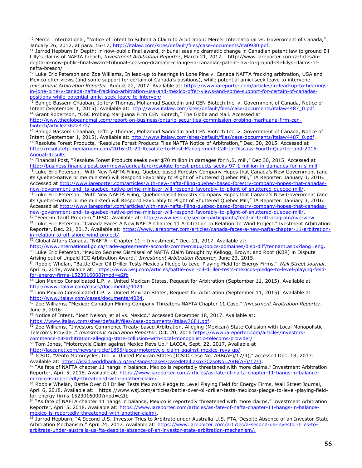<sup>40</sup> Mercer International, "Notice of Intent to Submit a Claim to Arbitration: Mercer International vs. Government of Canada," January 26, 2012, at para. 16-17, [http://italaw.com/sites/default/files/case-documents/ita0930.pdf.](http://italaw.com/sites/default/files/case-documents/ita0930.pdf)

<sup>41</sup> Jerrod Hepburn In Depth: in now-public final award, tribunal sees no dramatic change in Canadian patent law to ground Eli Lilly's claims of NAFTA breach, *Investment Arbitration Reporter*, March 21, 2017. http://www.iareporter.com/articles/indepth-in-now-public-final-award-tribunal-sees-no-dramatic-change-in-canadian-patent-law-to-ground-eli-lillys-claims-ofnafta-breach/

<sup>42</sup> Luke Eric Peterson and Zoe Williams, In lead-up to hearings in Lone Pine v. Canada NAFTA fracking arbitration, USA and Mexico offer views (and some support for certain of Canada's positions), while potential amici seek leave to intervene, *Investment Arbitration Reporter.* August 22, 2017. Available at: [https://www.iareporter.com/articles/in-lead-up-to-hearings](https://www.iareporter.com/articles/in-lead-up-to-hearings-in-lone-pine-v-canada-nafta-fracking-arbitration-usa-and-mexico-offer-views-and-some-support-for-certain-of-canadas-positions-while-potential-amici-seek-leave-to-interven/)[in-lone-pine-v-canada-nafta-fracking-arbitration-usa-and-mexico-offer-views-and-some-support-for-certain-of-canadas](https://www.iareporter.com/articles/in-lead-up-to-hearings-in-lone-pine-v-canada-nafta-fracking-arbitration-usa-and-mexico-offer-views-and-some-support-for-certain-of-canadas-positions-while-potential-amici-seek-leave-to-interven/)[positions-while-potential-amici-seek-leave-to-interven/](https://www.iareporter.com/articles/in-lead-up-to-hearings-in-lone-pine-v-canada-nafta-fracking-arbitration-usa-and-mexico-offer-views-and-some-support-for-certain-of-canadas-positions-while-potential-amici-seek-leave-to-interven/) 

43 Bahige Bassem Chaaban, Jeffery Thomas, Mohamud Saddedin and CEN Biotech Inc. v. Government of Canada, Notice of Intent (September 1, 2015). Available at: [http://www.italaw.com/sites/default/files/case-documents/italaw4487\\_0.pdf.](http://www.italaw.com/sites/default/files/case-documents/italaw4487_0.pdf) <sup>44</sup> Grant Robertson, "OSC Probing Marijuana Firm CEN Biotech," The Globe and Mail. Accessed at

[http://www.theglobeandmail.com/report-on-business/ontario-securities-commission-probing-marijuana-firm-cen](http://www.theglobeandmail.com/report-on-business/ontario-securities-commission-probing-marijuana-firm-cen-biotech/article23622472/)[biotech/article23622472/.](http://www.theglobeandmail.com/report-on-business/ontario-securities-commission-probing-marijuana-firm-cen-biotech/article23622472/)

<sup>45</sup> Bahige Bassem Chaaban, Jeffery Thomas, Mohamud Saddedin and CEN Biotech Inc. v. Government of Canada, Notice of Intent (September 1, 2015). Available at: [http://www.italaw.com/sites/default/files/case-documents/italaw4487\\_0.pdf.](http://www.italaw.com/sites/default/files/case-documents/italaw4487_0.pdf) <sup>46</sup> Resolute Forest Products, "Resolute Forest Products Files NAFTA Notice of Arbitration," Dec. 30, 2015. Accessed at [http://resolutefp.mediaroom.com/2016-01-20-Resolute-to-Host-Management-Call-to-Discuss-Fourth-Quarter-and-2015-](http://resolutefp.mediaroom.com/2016-01-20-Resolute-to-Host-Management-Call-to-Discuss-Fourth-Quarter-and-2015-Annual-Results) [Annual-Results.](http://resolutefp.mediaroom.com/2016-01-20-Resolute-to-Host-Management-Call-to-Discuss-Fourth-Quarter-and-2015-Annual-Results)

 $47$  Financial Post, "Resolute Forest Products seeks over \$70 million in damages for N.S. mill," Dec 30, 2015. Accessed at [http://business.financialpost.com/news/agriculture/resolute-forest-products-seeks-97-1-million-in-damages-for-n-s-mill.](http://business.financialpost.com/news/agriculture/resolute-forest-products-seeks-97-1-million-in-damages-for-n-s-mill)

48 Luke Eric Peterson, "With New NAFTA Filing, Quebec-based Forestry Company Hopes that Canada's New Government (and its Quebec-native prime minister) will Respond Favorably to Plight of Shuttered Quebec Mill," IA Reporter. January 3, 2016. Accessed at [http://www.iareporter.com/articles/with-new-nafta-filing-quebec-based-forestry-company-hopes-that-canadas](http://www.iareporter.com/articles/with-new-nafta-filing-quebec-based-forestry-company-hopes-that-canadas-new-government-and-its-quebec-native-prime-minister-will-respond-favorably-to-plight-of-shuttered-quebec-mill/)[new-government-and-its-quebec-native-prime-minister-will-respond-favorably-to-plight-of-shuttered-quebec-mill/.](http://www.iareporter.com/articles/with-new-nafta-filing-quebec-based-forestry-company-hopes-that-canadas-new-government-and-its-quebec-native-prime-minister-will-respond-favorably-to-plight-of-shuttered-quebec-mill/)

<sup>49</sup> Luke Eric Peterson, "With New NAFTA Filing, Quebec-based Forestry Company Hopes that Canada's New Government (and its Quebec-native prime minister) will Respond Favorably to Plight of Shuttered Quebec Mill," IA Reporter. January 3, 2016. Accessed at [http://www.iareporter.com/articles/with-new-nafta-filing-quebec-based-forestry-company-hopes-that-canadas](http://www.iareporter.com/articles/with-new-nafta-filing-quebec-based-forestry-company-hopes-that-canadas-new-government-and-its-quebec-native-prime-minister-will-respond-favorably-to-plight-of-shuttered-quebec-mill/)[new-government-and-its-quebec-native-prime-minister-will-respond-favorably-to-plight-of-shuttered-quebec-mill/.](http://www.iareporter.com/articles/with-new-nafta-filing-quebec-based-forestry-company-hopes-that-canadas-new-government-and-its-quebec-native-prime-minister-will-respond-favorably-to-plight-of-shuttered-quebec-mill/)

<sup>50</sup> "Feed-in Tariff Program," IESO. Available at: [http://www.ieso.ca/sector-participants/feed-in-tariff-program/overview.](http://www.ieso.ca/sector-participants/feed-in-tariff-program/overview) <sup>51</sup> Luke Eric Peterson, "Canada Faces A New NAFTA Chapter 11 Arbitration In Relation To Wind Project," Ivestment Arbitration Reporter, Dec. 21, 2017. Available at: [https://www.iareporter.com/articles/canada-faces-a-new-nafta-chapter-11-arbitration](https://www.iareporter.com/articles/canada-faces-a-new-nafta-chapter-11-arbitration-in-relation-to-off-shore-wind-project/)[in-relation-to-off-shore-wind-project/.](https://www.iareporter.com/articles/canada-faces-a-new-nafta-chapter-11-arbitration-in-relation-to-off-shore-wind-project/)

 $52$  Global Affairs Canada, "NAFTA – Chapter 11 – Investment," Dec. 21, 2017. Available at:

[http://www.international.gc.ca/trade-agreements-accords-commerciaux/topics-domaines/disp-diff/tennant.aspx?lang=eng.](http://www.international.gc.ca/trade-agreements-accords-commerciaux/topics-domaines/disp-diff/tennant.aspx?lang=eng) 53 Luke Eric Peterson, "Mexico Secures Dismissal of NAFTA Claim Brought by Kellogg, Brown, and Root (KBR) in Dispute Arising out of Unpaid ICC Arbitration Award," *Investment Arbitration Reporter,* June 23, 2015.

<sup>54</sup> Robbie Whelan, "Battle Over Oil Driller Tests Mexico's Pledge to Level Playing Field for Energy Firms," *Wall Street Journal*, April 6, 2018, Available at: [https://www.wsj.com/articles/battle-over-oil-driller-tests-mexicos-pledge-to-level-playing-field](https://www.wsj.com/articles/battle-over-oil-driller-tests-mexicos-pledge-to-level-playing-field-for-energy-firms-1523016000?mod=e2fb)[for-energy-firms-1523016000?mod=e2fb](https://www.wsj.com/articles/battle-over-oil-driller-tests-mexicos-pledge-to-level-playing-field-for-energy-firms-1523016000?mod=e2fb)

<sup>55</sup> Lion Mexico Consolidated L.P. v. United Mexican States, Request for Arbitration (September 11, 2015). Available at [http://www.italaw.com/cases/documents/4024.](http://www.italaw.com/cases/documents/4024)

<sup>56</sup> Lion Mexico Consolidated L.P. v. United Mexican States, Request for Arbitration (September 11, 2015). Available at [http://www.italaw.com/cases/documents/4024.](http://www.italaw.com/cases/documents/4024)

<sup>57</sup> Zoe Williams, "Mexico: Canadian Mining Company Threatens NAFTA Chapter 11 Case," *Investment Arbitration Reporter*, June 5, 2016

58 Notice of Intent, "Josh Nelson, et al vs. Mexico," accessed December 18, 2017. Available at:

[https://www.italaw.com/sites/default/files/case-documents/italaw7681.pdf.](https://www.italaw.com/sites/default/files/case-documents/italaw7681.pdf)<br><sup>59</sup> Zoe Williams "Investors Commence Treaty-based Arbitration Alleging (M

l

<sup>59</sup> Zoe Williams, "Investors Commence Treaty-based Arbitration, Alleging (Mexican) State Collusion with Local Monopolistic Telecoms Provider," *Investment Arbitration Reporter*, Oct. 20, 2016 [https://www.iareporter.com/articles/investors](https://www.iareporter.com/articles/investors-commence-bit-arbitration-alleging-state-collusion-with-local-monopolistic-telecoms-provider/)[commence-bit-arbitration-alleging-state-collusion-with-local-monopolistic-telecoms-provider/](https://www.iareporter.com/articles/investors-commence-bit-arbitration-alleging-state-collusion-with-local-monopolistic-telecoms-provider/)

<sup>60</sup> Tom Jones, "Motorcycle Claim against Mexico Revs Up," LACCA, Sept. 22, 2017, Available at

[http://laccanet.com/news/article/1855/lacca/motorcycle-claim-against-mexico-revs-up/.](http://laccanet.com/news/article/1855/lacca/motorcycle-claim-against-mexico-revs-up/)

61 ICSID, "Vento Motorcycles, Inc. v. United Mexican States (ICSID Case No. ARB(AF)/17/3)," accessed Dec. 18, 2017. Available at: [https://icsid.worldbank.org/en/Pages/cases/casedetail.aspx?CaseNo=ARB\(AF\)/17/3.](https://icsid.worldbank.org/en/Pages/cases/casedetail.aspx?CaseNo=ARB(AF)/17/3)

62 "As fate of NAFTA chapter 11 hangs in balance, Mexico is reportedly threatened with more claims," Investment Arbitration Reporter, April 5, 2018. Available at: [https://www.iareporter.com/articles/as-fate-of-nafta-chapter-11-hangs-in-balance](https://www.iareporter.com/articles/as-fate-of-nafta-chapter-11-hangs-in-balance-mexico-is-reportedly-threatened-with-another-claim/)[mexico-is-reportedly-threatened-with-another-claim/.](https://www.iareporter.com/articles/as-fate-of-nafta-chapter-11-hangs-in-balance-mexico-is-reportedly-threatened-with-another-claim/)

63 Robbie Whelan, Battle Over Oil Driller Tests Mexico's Pledge to Level Playing Field for Energy Firms, Wall Street Journal, April 6, 2018. Available at: https://www.wsj.com/articles/battle-over-oil-driller-tests-mexicos-pledge-to-level-playing-fieldfor-energy-firms-1523016000?mod=e2fb

<sup>64</sup> "As fate of NAFTA chapter 11 hangs in balance, Mexico is reportedly threatened with more claims," Investment Arbitration Reporter, April 5, 2018. Available at: [https://www.iareporter.com/articles/as-fate-of-nafta-chapter-11-hangs-in-balance](https://www.iareporter.com/articles/as-fate-of-nafta-chapter-11-hangs-in-balance-mexico-is-reportedly-threatened-with-another-claim/)[mexico-is-reportedly-threatened-with-another-claim/.](https://www.iareporter.com/articles/as-fate-of-nafta-chapter-11-hangs-in-balance-mexico-is-reportedly-threatened-with-another-claim/)

Jarrod Hepburn, "A Second U.S. Investor Tries to Arbitrate under Australia-U.S. FTA, Despite Absence of an Investor-State Arbitration Mechanism," April 24, 2017. Available at: [https://www.iareporter.com/articles/a-second-us-investor-tries-to](https://www.iareporter.com/articles/a-second-us-investor-tries-to-arbitrate-under-australia-us-fta-despite-absence-of-an-investor-state-arbitration-mechanism/)[arbitrate-under-australia-us-fta-despite-absence-of-an-investor-state-arbitration-mechanism/.](https://www.iareporter.com/articles/a-second-us-investor-tries-to-arbitrate-under-australia-us-fta-despite-absence-of-an-investor-state-arbitration-mechanism/)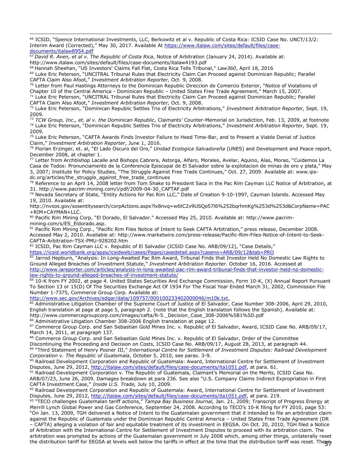l <sup>66</sup> ICSID, "Spence International Investments, LLC, Berkowitz et al v. Republic of Costa Rica: ICSID Case No. UNCT/13/2: Interim Award (Corrected)," May 30, 2017. Available At [https://www.italaw.com/sites/default/files/case](https://www.italaw.com/sites/default/files/case-documents/italaw8954.pdf)[documents/italaw8954.pdf](https://www.italaw.com/sites/default/files/case-documents/italaw8954.pdf)

<sup>67</sup> *David R. Aven, et al v. The Republic of Costa Rica*, Notice of Arbitration (January 24, 2014). Available at: http://www.italaw.com/sites/default/files/case-documents/italaw4193.pdf

<sup>68</sup> Hannah Sheehan, "US Investors' Claims Fall Flat, Costa Rica Tells Tribunal," *Law360*, April 18, 2016

<sup>69</sup> Luke Eric Peterson, "UNCITRAL Tribunal Rules that Electricity Claim Can Proceed against Dominican Republic; Parallel CAFTA Claim Also Afoot," *Investment Arbitration Reporter,* Oct. 9, 2008.

 $70$  Letter from Paul Hastings Attorneys to the Dominican Republic Direccion de Comercio Exterior, "Notice of Violations of Chapter 10 of the Central America - Dominican Republic – United States Free Trade Agreement," March 15, 2007.

<sup>71</sup> Luke Eric Peterson, "UNCITRAL Tribunal Rules that Electricity Claim Can Proceed against Dominican Republic; Parallel CAFTA Claim Also Afoot," *Investment Arbitration Reporter,* Oct. 9, 2008.

<sup>72</sup> Luke Eric Peterson, "Dominican Republic Settles Trio of Electricity Arbitrations," *Investment Arbitration Reporter,* Sept. 19, 2009.

<sup>73</sup> *TCW Group, Inc., et. al v. the Dominican Republic*, Claimants' Counter-Memorial on Jurisdiction, Feb. 13, 2009, at footnote <sup>74</sup> Luke Eric Peterson, "Dominican Republic Settles Trio of Electricity Arbitrations," *Investment Arbitration Reporter,* Sept. 19, 2009.

<sup>75</sup> Luke Eric Peterson, "CAFTA Awards Finds Investor Failure to Heed Time-Bar, and to Present a Viable Denial of Justice Claim," *Investment Arbitration Reporter*, June 1, 2016.

<sup>76</sup> Florian Erzinger, et. al, "El Lado Oscuro del Oro," *Unidad Ecologica Salvadoreña* (UNES) and Development and Peace report, December 2008, at chapter 1.

<sup>77</sup> Letter from Archbishop Lacalle and Bishops Cabrera, Astorga, Alfaro, Morales, Avelar, Aquino, Alas, Morao, "Cuidemos La Casa de Todos: Pronunciamento de la Conferencia Episcopal de El Salvador sobre la explotacion de minas de oro y plata," May 3, 2007; Institute for Policy Studies, "The Struggle Against Free Trade Continues," Oct. 27, 2009. Available at: www.ipsdc.org/articles/the\_struggle\_against\_free\_trade\_continues

<sup>78</sup> Reference to an April 14, 2008 letter from Tom Shake to President Saca in the Pac Rim Cayman LLC Notice of Arbitration, at 31. http://www.pacrim-mining.com/i/pdf/2009-04-30\_CAFTAF.pdf

<sup>79</sup> Nevada Secretary of State, "Entity Actions for Pac Rim LLC," Date of Creation 9-10-1997, Cayman Islands. Accessed May 19, 2010. Available at:

http://nvsos.gov/sosentitysearch/corpActions.aspx?lx8nvq=w6tC2v9USQe57l6%252bqrhmKg%253d%253d&CorpName=PAC +RIM+CAYMAN+LLC.

80 Pacific Rim Mining Corp, "El Dorado, El Salvador." Accessed May 25, 2010. Available at: http://www.pacrimmining.com/s/ES\_Eldorado.asp.

<sup>81</sup> Pacific Rim Mining Corp., "Pacific Rim Files Notice of Intent to Seek CAFTA Arbitration," press release, December 2008. Accessed May 2, 2010. Available at: http://www.marketwire.com/press-release/Pacific-Rim-Files-Notice-of-Intent-to-Seek-CAFTA-Arbitration-TSX-PMU-928202.htm

82 ICSID, Pac Rim Cayman LLC v. Republic of El Salvador (ICSID Case No. ARB/09/12), "Case Details," <https://icsid.worldbank.org/apps/icsidweb/cases/Pages/casedetail.aspx?caseno=ARB/09/12&tab=PRO>

83 Jarrod Hepburn, "Analysis: In Long-Awaited Pac Rim Award, Tribunal Finds that Investor Held No Domestic Law Rights to Ground Alleged Breaches of Investment Statute," *Investment Arbitration Reporter*. October 16, 2016. Accessed at [http://www.iareporter.com/articles/analysis-in-long-awaited-pac-rim-award-tribunal-finds-that-investor-held-no-domestic](http://www.iareporter.com/articles/analysis-in-long-awaited-pac-rim-award-tribunal-finds-that-investor-held-no-domestic-law-rights-to-ground-alleged-breaches-of-investment-statute/)[law-rights-to-ground-alleged-breaches-of-investment-statute/](http://www.iareporter.com/articles/analysis-in-long-awaited-pac-rim-award-tribunal-finds-that-investor-held-no-domestic-law-rights-to-ground-alleged-breaches-of-investment-statute/)

84 10-K from FY 2002, at page 4. United States Securities And Exchange Commission, Form 10-K, (X) Annual Report Pursuant To Section 13 or 15(D) Of The Securities Exchange Act Of 1934 For The Fiscal Year Ended March 31, 2002, Commission File Number 1-7375, Commerce Group Corp. Available at:

<http://www.sec.gov/Archives/edgar/data/109757/000100233402000046/m10k.txt.>

<sup>85</sup> Administrative Litigation Chamber of the Supreme Court of Justice of El Salvador, Case Number 308-2006, April 29, 2010, English translation at page at page 5, paragraph 2. (note that the English translation follows the Spanish). Available at: http://www.commercegroupcorp.com/images/cafta/R-5.\_Decision\_Case\_308-2006%5B1%5D.pdf

86 Administrative Litigation Chamber 308-2006 English translation at page 12.

87 Commerce Group Corp. and San Sebastian Gold Mines Inc. v. Republic of El Salvador, Award, ICSID Case No. ARB/09/17, March 14, 2011, at paragraph 137.

88 Commerce Group Corp. and San Sebastian Gold Mines Inc. v. Republic of El Salvador, Order of the Committee

Discontinuing the Proceeding and Decision on Costs, ICSID Case No. ARB/09/17, August 28, 2013, at paragraph 44.

89 "Third Statement of Henry Posner III," International Centre for Settlement of Investment Disputes: Railroad Development *Corporation v. The Republic of Guatemala*, October 5, 2010, see paras. 3-9.

<sup>90</sup> Railroad Development Corporation and Republic of Guatemala: Award, International Centre for Settlement of Investment Disputes, June 29, 2012, [http://italaw.com/sites/default/files/case-documents/ita1051.pdf,](http://italaw.com/sites/default/files/case-documents/ita1051.pdf) at para. 61.

91 Railroad Development Corporation v. The Republic of Guatemala, Claimant's Memorial on the Merits, ICSID Case No. ARB/07/23, June 26, 2009. Damages breakdown at para 236. See also "U.S. Company Claims Indirect Expropriation in First CAFTA Investment Case," *Inside U.S. Trade,* July 10, 2009.

92 Railroad Development Corporation and Republic of Guatemala: Award, International Centre for Settlement of Investment Disputes, June 29, 2012, [http://italaw.com/sites/default/files/case-documents/ita1051.pdf,](http://italaw.com/sites/default/files/case-documents/ita1051.pdf) at para. 219.

93 "TECO challenges Guatemalan tariff actions," *Tampa Bay Business Journal,* Jan. 21, 2009; Transcript of Progress Energy at Merrill Lynch Global Power and Gas Conference, September 24, 2008. According to TECO's 10-K filing for FY 2010, page 53: "On Jan. 13, 2009, TGH delivered a Notice of Intent to the Guatemalan government that it intended to file an arbitration claim

the distribution tariff for EEGSA at levels well below the tariffs in effect at the time that the distribution tariff was reset. The<del>gg</del> against the Republic of Guatemala under the Dominican Republic Central America – United States Free Trade Agreement (DR – CAFTA) alleging a violation of fair and equitable treatment of its investment in EEGSA. On Oct. 20, 2010, TGH filed a Notice of Arbitration with the International Centre for Settlement of Investment Disputes to proceed with its arbitration claim. The arbitration was prompted by actions of the Guatemalan government in July 2008 which, among other things, unilaterally reset